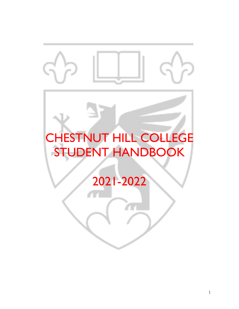# 71 CHESTNUT HILL COLLEGE STUDENT HANDBOOK 2021-2022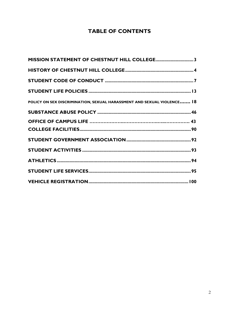# **TABLE OF CONTENTS**

| MISSION STATEMENT OF CHESTNUT HILL COLLEGE3                            |  |
|------------------------------------------------------------------------|--|
|                                                                        |  |
|                                                                        |  |
|                                                                        |  |
| POLICY ON SEX DISCRIMINATION, SEXUAL HARASSMENT AND SEXUAL VIOLENCE 18 |  |
|                                                                        |  |
|                                                                        |  |
|                                                                        |  |
|                                                                        |  |
|                                                                        |  |
|                                                                        |  |
|                                                                        |  |
|                                                                        |  |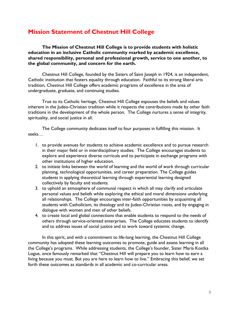# <span id="page-2-0"></span>**Mission Statement of Chestnut Hill College**

**The Mission of Chestnut Hill College is to provide students with holistic education in an inclusive Catholic community marked by academic excellence, shared responsibility, personal and professional growth, service to one another, to the global community, and concern for the earth.**

Chestnut Hill College, founded by the Sisters of Saint Joseph in 1924, is an independent, Catholic institution that fosters equality through education. Faithful to its strong liberal arts tradition, Chestnut Hill College offers academic programs of excellence in the area of undergraduate, graduate, and continuing studies.

True to its Catholic heritage, Chestnut Hill College espouses the beliefs and values inherent in the Judeo-Christian tradition while it respects the contributions made by other faith traditions in the development of the whole person. The College nurtures a sense of integrity, spirituality, and social justice in all.

The College community dedicates itself to four purposes in fulfilling this mission. It seeks…

- 1. to provide avenues for students to achieve academic excellence and to pursue research in their major field or in interdisciplinary studies. The College encourages students to explore and experience diverse curricula and to participate in exchange programs with other institutions of higher education.
- 2. to initiate links between the world of learning and the world of work through curricular planning, technological opportunities, and career preparation. The College guides students in applying theoretical learning through experiential learning designed collectively by faculty and students.
- 3. to uphold an atmosphere of communal respect in which all may clarify and articulate personal values and beliefs while exploring the ethical and moral dimensions underlying all relationships. The College encourages inter-faith opportunities by acquainting all students with Catholicism, its theology and its Judeo-Christian roots, and by engaging in dialogue with women and men of other beliefs.
- 4. to create local and global connections that enable students to respond to the needs of others through service-oriented enterprises. The College educates students to identify and to address issues of social justice and to work toward systemic change.

In this spirit, and with a commitment to life-long learning, the Chestnut Hill College community has adopted these learning outcomes to promote, guide and assess learning in all the College's programs. While addressing students, the College's founder, Sister Maria Kostka Logue, once famously remarked that "Chestnut Hill will prepare you to learn how to earn a living because you must. But you are here to learn how to live." Embracing this belief, we set forth these outcomes as standards in all academic and co-curricular areas.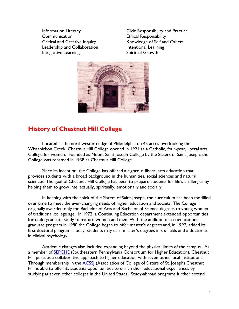Communication Ethical Responsibility Leadership and Collaboration **Intentional Learning** Integrative Learning Theorem Spiritual Growth

Information Literacy Civic Responsibility and Practice Critical and Creative Inquiry **Knowledge of Self and Others** 



# <span id="page-3-0"></span>**History of Chestnut Hill College**

Located at the northwestern edge of Philadelphia on 45 acres overlooking the Wissahickon Creek, Chestnut Hill College opened in 1924 as a Catholic, four-year, liberal arts College for women. Founded as Mount Saint Joseph College by the Sisters of Saint Joseph, the College was renamed in 1938 as Chestnut Hill College.

Since its inception, the College has offered a rigorous liberal arts education that provides students with a broad background in the humanities, social sciences and natural sciences. The goal of Chestnut Hill College has been to prepare students for life's challenges by helping them to grow intellectually, spiritually, emotionally and socially.

In keeping with the spirit of the Sisters of Saint Joseph, the curriculum has been modified over time to meet the ever-changing needs of higher education and society. The College originally awarded only the Bachelor of Arts and Bachelor of Science degrees to young women of traditional college age. In 1972, a Continuing Education department extended opportunities for undergraduate study to mature women and men. With the addition of a coeducational graduate program in 1980 the College began to offer master's degrees and, in 1997, added its first doctoral program. Today, students may earn master's degrees in six fields and a doctorate in clinical psychology.

Academic changes also included expanding beyond the physical limits of the campus. As a member of [SEPCHE](http://www.sepche.org/) (Southeastern Pennsylvania Consortium for Higher Education), Chestnut Hill pursues a collaborative approach to higher education with seven other local institutions. Through membership in the **ACSS** (Association of College of Sisters of St. Joseph) Chestnut Hill is able to offer its students opportunities to enrich their educational experiences by studying at seven other colleges in the United States. Study-abroad programs further extend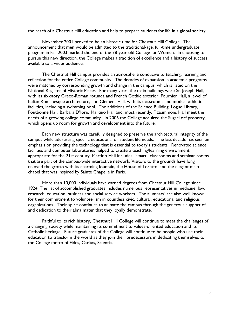the reach of a Chestnut Hill education and help to prepare students for life in a global society.

November 2001 proved to be an historic time for Chestnut Hill College. The announcement that men would be admitted to the traditional-age, full-time undergraduate program in Fall 2003 marked the end of the 78-year-old College for Women. In choosing to pursue this new direction, the College makes a tradition of excellence and a history of success available to a wider audience.

The Chestnut Hill campus provides an atmosphere conducive to teaching, learning and reflection for the entire College community. The decades of expansion in academic programs were matched by corresponding growth and change in the campus, which is listed on the National Register of Historic Places. For many years the main buildings were St. Joseph Hall, with its six-story Greco-Roman rotunda and French Gothic exterior, Fournier Hall, a jewel of Italian Romanesque architecture, and Clement Hall, with its classrooms and modest athletic facilities, including a swimming pool. The additions of the Science Building, Logue Library, Fontbonne Hall, Barbara D'Iorio Martino Hall and, most recently, Fitzsimmons Hall meet the needs of a growing college community. In 2006 the College acquired the SugarLoaf property, which opens up room for growth and development into the future.

Each new structure was carefully designed to preserve the architectural integrity of the campus while addressing specific educational or student life needs. The last decade has seen an emphasis on providing the technology that is essential to today's students. Renovated science facilities and computer laboratories helped to create a teaching/learning environment appropriate for the 21st century. Martino Hall includes "smart" classrooms and seminar rooms that are part of the campus-wide interactive network. Visitors to the grounds have long enjoyed the grotto with its charming fountain, the House of Loretto, and the elegant main chapel that was inspired by Sainte Chapelle in Paris.

More than 10,000 individuals have earned degrees from Chestnut Hill College since 1924. The list of accomplished graduates includes numerous representatives in medicine, law, research, education, business and social service workers. The alumnae/i are also well known for their commitment to volunteerism in countless civic, cultural, educational and religious organizations. Their spirit continues to animate the campus through the generous support of and dedication to their alma mater that they loyally demonstrate.

Faithful to its rich history, Chestnut Hill College will continue to meet the challenges of a changing society while maintaining its commitment to values-oriented education and its Catholic heritage. Future graduates of the College will continue to be people who use their education to transform the world as they join their predecessors in dedicating themselves to the College motto of Fides, Caritas, Scientia.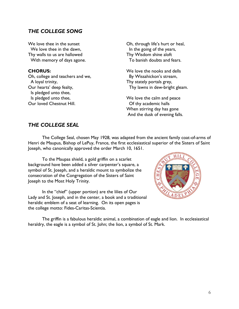## *THE COLLEGE SONG*

We love thee in the sunset We love thee in the dawn, Thy walls to us are hallowed With memory of days agone.

#### **CHORUS:**

Oh, college and teachers and we, A loyal trinity, Our hearts' deep fealty, Is pledged unto thee, Is pledged unto thee, Our loved Chestnut Hill.

Oh, through life's hurt or heal, In the going of the years, Thy Wisdom shine aloft To banish doubts and fears.

We love the nooks and dells By Wissahickon's stream, Thy stately portals grey, Thy lawns in dew-bright gleam.

We love the calm and peace Of thy academic halls When stirring day has gone And the dusk of evening falls.

## *THE COLLEGE SEAL*

The College Seal, chosen May 1928, was adapted from the ancient family coat-of-arms of Henri de Maupus, Bishop of LePuy, France, the first ecclesiastical superior of the Sisters of Saint Joseph, who canonically approved the order March 10, 1651.

To the Maupas shield, a gold griffin on a scarlet background have been added a silver carpenter's square, a symbol of St. Joseph, and a heraldic mount to symbolize the consecration of the Congregation of the Sisters of Saint Joseph to the Most Holy Trinity.

In the "chief" (upper portion) are the lilies of Our Lady and St. Joseph, and in the center, a book and a traditional heraldic emblem of a seat of learning. On its open pages is the college motto: Fides-Caritas-Scientia.



The griffin is a fabulous heraldic animal, a combination of eagle and lion. In ecclesiastical heraldry, the eagle is a symbol of St. John; the lion, a symbol of St. Mark.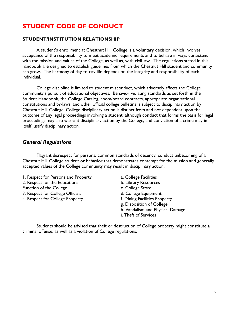# <span id="page-6-0"></span>**STUDENT CODE OF CONDUCT**

#### **STUDENT/INSTITUTION RELATIONSHIP**

A student's enrollment at Chestnut Hill College is a voluntary decision, which involves acceptance of the responsibility to meet academic requirements and to behave in ways consistent with the mission and values of the College, as well as, with civil law. The regulations stated in this handbook are designed to establish guidelines from which the Chestnut Hill student and community can grow. The harmony of day-to-day life depends on the integrity and responsibility of each individual.

College discipline is limited to student misconduct, which adversely affects the College community's pursuit of educational objectives. Behavior violating standards as set forth in the Student Handbook, the College Catalog, room/board contracts, appropriate organizational constitutions and by-laws, and other official college bulletins is subject to disciplinary action by Chestnut Hill College. College disciplinary action is distinct from and not dependent upon the outcome of any legal proceedings involving a student, although conduct that forms the basis for legal proceedings may also warrant disciplinary action by the College, and conviction of a crime may in itself justify disciplinary action.

## *General Regulations*

Flagrant disrespect for persons, common standards of decency, conduct unbecoming of a Chestnut Hill College student or behavior that demonstrates contempt for the mission and generally accepted values of the College community may result in disciplinary action.

1. Respect for Persons and Property **a.** College Facilities

Function of the College Contract College Store c. College Store

3. Respect for College Officials **d. College Equipment** 

- 4. Respect for College Property f. Dining Facilities Property
- 
- 2. Respect for the Educational b. Library Resources
	-
	-
	-
	- g. Disposition of College
	- h. Vandalism and Physical Damage
	- i. Theft of Services

Students should be advised that theft or destruction of College property might constitute a criminal offense, as well as a violation of College regulations.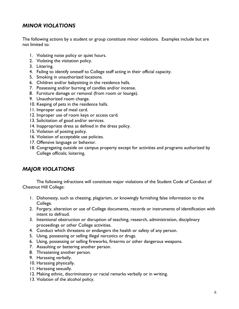# *MINOR VIOLATIONS*

The following actions by a student or group constitute minor violations. Examples include but are not limited to:

- 1. Violating noise policy or quiet hours.
- 2. Violating the visitation policy.
- 3. Littering.
- 4. Failing to identify oneself to College staff acting in their official capacity.
- 5. Smoking in unauthorized locations.
- 6. Children and/or babysitting in the residence halls.
- 7. Possessing and/or burning of candles and/or incense.
- 8. Furniture damage or removal (from room or lounge).
- 9. Unauthorized room change.
- 10. Keeping of pets in the residence halls.
- 11. Improper use of meal card.
- 12. Improper use of room keys or access card.
- 13. Solicitation of good and/or services.
- 14. Inappropriate dress as defined in the dress policy.
- 15. Violation of posting policy.
- 16. Violation of acceptable use policies.
- 17. Offensive language or behavior.
- 18. Congregating outside on campus property except for activities and programs authorized by College officials; loitering.

## *MAJOR VIOLATIONS*

The following infractions will constitute major violations of the Student Code of Conduct of Chestnut Hill College:

- 1. Dishonesty, such as cheating, plagiarism, or knowingly furnishing false information to the College.
- 2. Forgery, alteration or use of College documents, records or instruments of identification with intent to defraud.
- 3. Intentional obstruction or disruption of teaching, research, administration, disciplinary proceedings or other College activities.
- 4. Conduct which threatens or endangers the health or safety of any person.
- 5. Using, possessing or selling illegal narcotics or drugs.
- 6. Using, possessing or selling fireworks, firearms or other dangerous weapons.
- 7. Assaulting or battering another person.
- 8. Threatening another person.
- 9. Harassing verbally.
- 10. Harassing physically.
- 11. Harassing sexually.
- 12. Making ethnic, discriminatory or racial remarks verbally or in writing.
- 13. Violation of the alcohol policy.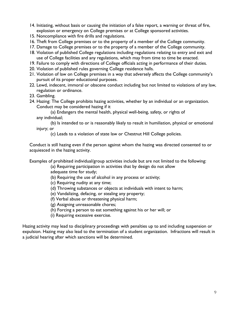- 14. Initiating, without basis or causing the initiation of a false report, a warning or threat of fire, explosion or emergency on College premises or at College sponsored activities.
- 15. Noncompliance with fire drills and regulations.
- 16. Theft from College premises or to the property of a member of the College community.
- 17. Damage to College premises or to the property of a member of the College community.
- 18. Violation of published College regulations including regulations relating to entry and exit and use of College facilities and any regulations, which may from time to time be enacted.
- 19. Failure to comply with directions of College officials acting in performance of their duties.
- 20. Violation of published rules governing College residence halls.
- 21. Violation of law on College premises in a way that adversely affects the College community's pursuit of its proper educational purposes.
- 22. Lewd, indecent, immoral or obscene conduct including but not limited to violations of any law, regulation or ordinance.
- 23. Gambling.
- 24. Hazing: The College prohibits hazing activities, whether by an individual or an organization. Conduct may be considered hazing if it

(a) Endangers the mental health, physical well-being, safety, or rights of any individual;

(b) Is intended to or is reasonably likely to result in humiliation, physical or emotional injury; or

(c) Leads to a violation of state law or Chestnut Hill College policies.

Conduct is still hazing even if the person against whom the hazing was directed consented to or acquiesced in the hazing activity.

Examples of prohibited individual/group activities include but are not limited to the following:

(a) Requiring participation in activities that by design do not allow adequate time for study;

- (b) Requiring the use of alcohol in any process or activity;
- (c) Requiring nudity at any time;
- (d) Throwing substances or objects at individuals with intent to harm;
- (e) Vandalizing, defacing, or stealing any property;
- (f) Verbal abuse or threatening physical harm;
- (g) Assigning unreasonable chores;
- (h) Forcing a person to eat something against his or her will; or
- (i) Requiring excessive exercise.

Hazing activity may lead to disciplinary proceedings with penalties up to and including suspension or expulsion. Hazing may also lead to the termination of a student organization. Infractions will result in a judicial hearing after which sanctions will be determined.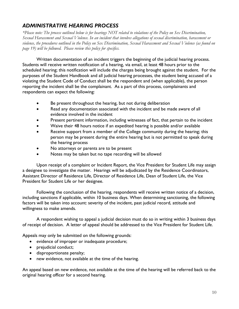# *ADMINISTRATIVE HEARING PROCESS*

*\*Please note: The process outlined below is for hearings NOT related to violations of the Policy on Sex Discrimination, Sexual Harassment and Sexual Violence. In an incident that involves allegations of sexual discrimination, harassment or violence, the procedures outlined in the Policy on Sex Discrimination, Sexual Harassment and Sexual Violence (as found on page 19) will be followed. Please review this policy for specifics.*

Written documentation of an incident triggers the beginning of the judicial hearing process. Students will receive written notification of a hearing, via email, at least 48 hours prior to the scheduled hearing; this notification will include the charges being brought against the student. For the purposes of the Student Handbook and all judicial hearing processes, the student being accused of a violating the Student Code of Conduct shall be the respondent and (when applicable), the person reporting the incident shall be the complainant. As a part of this process, complainants and respondents can expect the following:

- Be present throughout the hearing, but not during deliberation
- Read any documentation associated with the incident and be made aware of all evidence involved in the incident
- Present pertinent information, including witnesses of fact, that pertain to the incident
- Waive their 48 hours notice if an expedited hearing is possible and/or available
- Receive support from a member of the College community during the hearing; this person may be present during the entire hearing but is not permitted to speak during the hearing process
- No attorneys or parents are to be present
- Notes may be taken but no tape recording will be allowed

Upon receipt of a complaint or Incident Report, the Vice President for Student Life may assign a designee to investigate the matter. Hearings will be adjudicated by the Residence Coordinators, Assistant Director of Residence Life, Director of Residence Life, Dean of Student Life, the Vice President for Student Life or her designee.

Following the conclusion of the hearing, respondents will receive written notice of a decision, including sanctions if applicable, within 10 business days. When determining sanctioning, the following factors will be taken into account: severity of the incident, past judicial record, attitude and willingness to make amends.

A respondent wishing to appeal a judicial decision must do so in writing within 3 business days of receipt of decision. A letter of appeal should be addressed to the Vice President for Student Life.

Appeals may only be submitted on the following grounds:

- evidence of improper or inadequate procedure;
- prejudicial conduct;
- disproportionate penalty;
- new evidence, not available at the time of the hearing.

An appeal based on new evidence, not available at the time of the hearing will be referred back to the original hearing officer for a second hearing.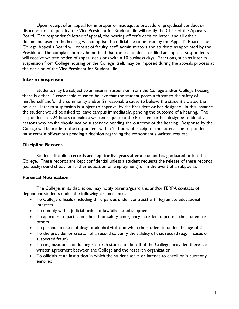Upon receipt of an appeal for improper or inadequate procedure, prejudicial conduct or disproportionate penalty, the Vice President for Student Life will notify the Chair of the Appeal's Board. The respondent's letter of appeal, the hearing officer's decision letter, and all other documents used in the hearing will comprise the official file to be used by the Appeal's Board. The College Appeal's Board will consist of faculty, staff, administrators and students as appointed by the President. The complainant may be notified that the respondent has filed an appeal. Respondents will receive written notice of appeal decisions within 10 business days. Sanctions, such as interim suspension from College housing or the College itself, may be imposed during the appeals process at the decision of the Vice President for Student Life.

#### **Interim Suspension**

Students may be subject to an interim suspension from the College and/or College housing if there is either 1) reasonable cause to believe that the student poses a threat to the safety of him/herself and/or the community and/or 2) reasonable cause to believe the student violated the policies. Interim suspension is subject to approval by the President or her designee. In this instance the student would be asked to leave campus immediately, pending the outcome of a hearing. The respondent has 24 hours to make a written request to the President or her designee to identify reasons why he/she should not be suspended pending the outcome of the hearing. Response by the College will be made to the respondent within 24 hours of receipt of the letter. The respondent must remain off-campus pending a decision regarding the respondent's written request.

## **Discipline Records**

Student discipline records are kept for five years after a student has graduated or left the College. These records are kept confidential unless a student requests the release of these records (i.e. background check for further education or employment) or in the event of a subpoena.

## **Parental Notification**

The College, in its discretion, may notify parents/guardians, and/or FERPA contacts of dependent students under the following circumstances:

- To College officials (including third parties under contract) with legitimate educational interests
- To comply with a judicial order or lawfully issued subpoena
- To appropriate parties in a health or safety emergency in order to protect the student or others
- To parents in cases of drug or alcohol violation when the student in under the age of 21
- To the provider or creator of a record to verify the validity of that record (e.g. in cases of suspected fraud)
- To organizations conducting research studies on behalf of the College, provided there is a written agreement between the College and the research organization
- To officials at an institution in which the student seeks or intends to enroll or is currently enrolled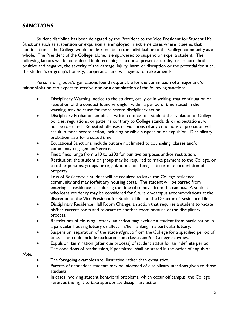## *SANCTIONS*

Student discipline has been delegated by the President to the Vice President for Student Life. Sanctions such as suspension or expulsion are employed in extreme cases where it seems that continuation at the College would be detrimental to the individual or to the College community as a whole. The President of the College, alone, is empowered to suspend or expel a student. The following factors will be considered in determining sanctions: present attitude, past record, both positive and negative, the severity of the damage, injury, harm or disruption or the potential for such, the student's or group's honesty, cooperation and willingness to make amends.

Persons or groups/organizations found responsible for the commission of a major and/or minor violation can expect to receive one or a combination of the following sanctions:

- Disciplinary Warning: notice to the student, orally or in writing, that continuation or repetition of the conduct found wrongful, within a period of time stated in the warning, may be cause for more severe disciplinary action.
- Disciplinary Probation: an official written notice to a student that violation of College policies, regulations, or patterns contrary to College standards or expectations, will not be tolerated. Repeated offenses or violations of any conditions of probation will result in more severe action, including possible suspension or expulsion. Disciplinary probation lasts for a stated time.
- Educational Sanctions: include but are not limited to counseling, classes and/or community engagement/service.
- Fines: fines range from \$10 to \$200 for punitive purposes and/or restitution.
- Restitution: the student or group may be required to make payment to the College, or to other persons, groups or organizations for damages to or misappropriation of property.
- Loss of Residency: a student will be required to leave the College residence community and may forfeit any housing costs. The student will be barred from entering all residence halls during the time of removal from the campus. A student who loses residency may be considered for future on-campus accommodations at the discretion of the Vice President for Student Life and the Director of Residence Life.
- Disciplinary Residence Hall Room Change: an action that requires a student to vacate his/her current room and relocate to another room because of the disciplinary process.
- Restrictions of Housing Lottery: an action may exclude a student from participation in a particular housing lottery or affect his/her ranking in a particular lottery.
- Suspension: separation of the student/group from the College for a specified period of time. This could include exclusion from classes and/or College activities.
- Expulsion: termination (after due process) of student status for an indefinite period. The conditions of readmission, if permitted, shall be stated in the order of expulsion.

*Note:* 

- The foregoing examples are illustrative rather than exhaustive.
- Parents of dependent students may be informed of disciplinary sanctions given to those students.
- In cases involving student behavioral problems, which occur off campus, the College reserves the right to take appropriate disciplinary action.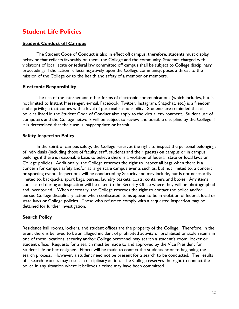# <span id="page-12-0"></span>**Student Life Policies**

## **Student Conduct off Campus**

The Student Code of Conduct is also in effect off campus; therefore, students must display behavior that reflects favorably on them, the College and the community. Students charged with violations of local, state or federal law committed off campus shall be subject to College disciplinary proceedings if the action reflects negatively upon the College community, poses a threat to the mission of the College or to the health and safety of a member or members.

## **Electronic Responsibility**

The use of the internet and other forms of electronic communications (which includes, but is not limited to Instant Messenger, e-mail, Facebook, Twitter, Instagram, Snapchat, etc.) is a freedom and a privilege that comes with a level of personal responsibility. Students are reminded that all policies listed in the Student Code of Conduct also apply to the virtual environment. Student use of computers and the College network will be subject to review and possible discipline by the College if it is determined that their use is inappropriate or harmful.

## **Safety Inspection Policy**

In the spirit of campus safety, the College reserves the right to inspect the personal belongings of individuals (including those of faculty, staff, students and their guests) on campus or in campus buildings if there is reasonable basis to believe there is a violation of federal, state or local laws or College policies. Additionally, the College reserves the right to inspect all bags when there is a concern for campus safety and/or at large scale campus events such as, but not limited to, a concert or sporting event. Inspections will be conducted by Security and may include, but is not necessarily limited to, backpacks, sport bags, purses, laundry baskets, coats, containers and boxes. Any items confiscated during an inspection will be taken to the Security Office where they will be photographed and inventoried. When necessary, the College reserves the right to contact the police and/or pursue College disciplinary action when confiscated items appear to be in violation of federal, local or state laws or College policies. Those who refuse to comply with a requested inspection may be detained for further investigation.

## **Search Policy**

Residence hall rooms, lockers, and student offices are the property of the College. Therefore, in the event there is believed to be an alleged incident of prohibited activity or prohibited or stolen items in one of these locations, security and/or College personnel may search a student's room, locker or student office. Requests for a search must be made to and approved by the Vice President for Student Life or her designee. Efforts will be made to contact the students prior to beginning the search process. However, a student need not be present for a search to be conducted. The results of a search process may result in disciplinary action. The College reserves the right to contact the police in any situation where it believes a crime may have been committed.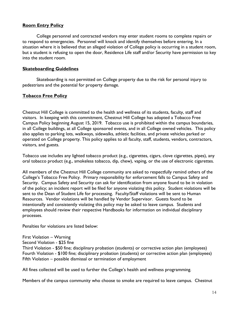## **Room Entry Policy**

College personnel and contracted vendors may enter student rooms to complete repairs or to respond to emergencies. Personnel will knock and identify themselves before entering. In a situation where it is believed that an alleged violation of College policy is occurring in a student room, but a student is refusing to open the door, Residence Life staff and/or Security have permission to key into the student room.

#### **Skateboarding Guidelines**

Skateboarding is not permitted on College property due to the risk for personal injury to pedestrians and the potential for property damage.

## **Tobacco Free Policy**

Chestnut Hill College is committed to the health and wellness of its students, faculty, staff and visitors. In keeping with this commitment, Chestnut Hill College has adopted a Tobacco Free Campus Policy beginning August 15, 2019. Tobacco use is prohibited within the campus boundaries, in all College buildings, at all College sponsored events, and in all College owned vehicles. This policy also applies to parking lots, walkways, sidewalks, athletic facilities, and private vehicles parked or operated on College property. This policy applies to all faculty, staff, students, vendors, contractors, visitors, and guests.

Tobacco use includes any lighted tobacco product (e.g., cigarettes, cigars, clove cigarettes, pipes), any oral tobacco product (e.g., smokeless tobacco, dip, chew), vaping, or the use of electronic cigarettes.

All members of the Chestnut Hill College community are asked to respectfully remind others of the College's Tobacco Free Policy. Primary responsibility for enforcement falls to Campus Safety and Security. Campus Safety and Security can ask for identification from anyone found to be in violation of the policy; an incident report will be filed for anyone violating this policy. Student violations will be sent to the Dean of Student Life for processing. Faculty/Staff violations will be sent to Human Resources. Vendor violations will be handled by Vendor Supervisor. Guests found to be intentionally and consistently violating this policy may be asked to leave campus. Students and employees should review their respective Handbooks for information on individual disciplinary processes.

Penalties for violations are listed below:

First Violation – Warning

Second Violation - \$25 fine

Third Violation - \$50 fine; disciplinary probation (students) or corrective action plan (employees) Fourth Violation - \$100 fine; disciplinary probation (students) or corrective action plan (employees) Fifth Violation – possible dismissal or termination of employment

All fines collected will be used to further the College's health and wellness programming.

Members of the campus community who choose to smoke are required to leave campus. Chestnut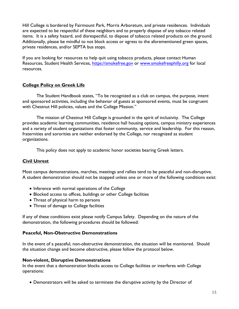Hill College is bordered by Fairmount Park, Morris Arboretum, and private residences. Individuals are expected to be respectful of these neighbors and to properly dispose of any tobacco related items. It is a safety hazard, and disrespectful, to dispose of tobacco related products on the ground. Additionally, please be mindful to not block access or egress to the aforementioned green spaces, private residences, and/or SEPTA bus stops.

If you are looking for resources to help quit using tobacco products, please contact Human Resources, Student Health Services, [https://smokefree.gov](https://smokefree.gov/) or [www.smokefreephilly.org](http://www.smokefreephilly.org/) for local resources.

## **College Policy on Greek Life**

The Student Handbook states, "To be recognized as a club on campus, the purpose, intent and sponsored activities, including the behavior of guests at sponsored events, must be congruent with Chestnut Hill policies, values and the College Mission."

The mission of Chestnut Hill College is grounded in the spirit of inclusivity. The College provides academic learning communities, residence hall housing options, campus ministry experiences and a variety of student organizations that foster community, service and leadership. For this reason, fraternities and sororities are neither endorsed by the College, nor recognized as student organizations.

This policy does not apply to academic honor societies bearing Greek letters.

## **Civil Unrest**

Most campus demonstrations, marches, meetings and rallies tend to be peaceful and non-disruptive. A student demonstration should not be stopped unless one or more of the following conditions exist:

- Inference with normal operations of the College
- Blocked access to offices, buildings or other College facilities
- Threat of physical harm to persons
- Threat of damage to College facilities

If any of these conditions exist please notify Campus Safety. Depending on the nature of the demonstration, the following procedures should be followed:

#### **Peaceful, Non-Obstructive Demonstrations**

In the event of a peaceful, non-obstructive demonstration, the situation will be monitored. Should the situation change and become obstructive, please follow the protocol below.

#### **Non-violent, Disruptive Demonstrations**

In the event that a demonstration blocks access to College facilities or interferes with College operations:

• Demonstrators will be asked to terminate the disruptive activity by the Director of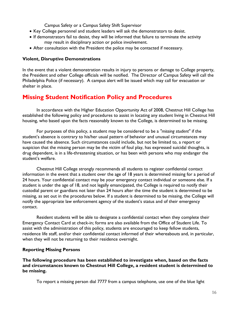Campus Safety or a Campus Safety Shift Supervisor

- Key College personnel and student leaders will ask the demonstrators to desist.
- If demonstrators fail to desist, they will be informed that failure to terminate the activity may result in disciplinary action or police involvement.
- After consultation with the President the police may be contacted if necessary.

## **Violent, Disruptive Demonstrations**

In the event that a violent demonstration results in injury to persons or damage to College property, the President and other College officials will be notified. The Director of Campus Safety will call the Philadelphia Police (if necessary). A campus alert will be issued which may call for evacuation or shelter in place.

# **Missing Student Notification Policy and Procedures**

In accordance with the Higher Education Opportunity Act of 2008, Chestnut Hill College has established the following policy and procedures to assist in locating any student living in Chestnut Hill housing, who based upon the facts reasonably known to the College, is determined to be missing.

For purposes of this policy, a student may be considered to be a *"missing student"* if the student's absence is contrary to his/her usual pattern of behavior and unusual circumstances may have caused the absence. Such circumstances could include, but not be limited to, a report or suspicion that the missing person may be the victim of foul play, has expressed suicidal thoughts, is drug dependent, is in a life-threatening situation, or has been with persons who may endanger the student's welfare.

Chestnut Hill College strongly recommends all students to register confidential contact information in the event that a student over the age of 18 years is determined missing for a period of 24 hours. Your confidential contact may be your emergency contact individual or someone else. If a student is under the age of 18, and not legally emancipated, the College is required to notify their custodial parent or guardians not later than 24 hours after the time the student is determined to be missing, as set out in the procedures below. If a student is determined to be missing, the College will notify the appropriate law enforcement agency of the student's status and of their emergency contact.

Resident students will be able to designate a confidential contact when they complete their Emergency Contact Card at check-in; forms are also available from the Office of Student Life. To assist with the administration of this policy, students are encouraged to keep fellow students, residence life staff, and/or their confidential contact informed of their whereabouts and, in particular, when they will not be returning to their residence overnight.

## **Reporting Missing Persons**

**The following procedure has been established to investigate when, based on the facts and circumstances known to Chestnut Hill College, a resident student is determined to be missing.**

To report a missing person dial 7777 from a campus telephone, use one of the blue light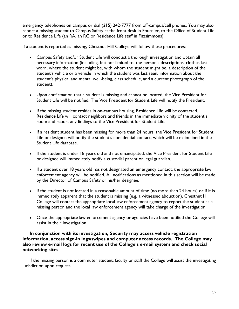emergency telephones on campus or dial (215) 242-7777 from off-campus/cell phones. You may also report a missing student to Campus Safety at the front desk in Fournier, to the Office of Student Life or to Residence Life (an RA, an RC or Residence Life staff in Fitzsimmons).

If a student is reported as missing, Chestnut Hill College will follow these procedures:

- Campus Safety and/or Student Life will conduct a thorough investigation and obtain all necessary information (including, but not limited to, the person's descriptions, clothes last worn, where the student might be, with whom the student might be, a description of the student's vehicle or a vehicle in which the student was last seen, information about the student's physical and mental well-being, class schedule, and a current photograph of the student).
- Upon confirmation that a student is missing and cannot be located, the Vice President for Student Life will be notified. The Vice President for Student Life will notify the President.
- If the missing student resides in on-campus housing, Residence Life will be contacted. Residence Life will contact neighbors and friends in the immediate vicinity of the student's room and report any findings to the Vice President for Student Life.
- If a resident student has been missing for more than 24 hours, the Vice President for Student Life or designee will notify the student's confidential contact, which will be maintained in the Student Life database.
- If the student is under 18 years old and not emancipated, the Vice President for Student Life or designee will immediately notify a custodial parent or legal guardian.
- If a student over 18 years old has not designated an emergency contact, the appropriate law enforcement agency will be notified. All notifications as mentioned in this section will be made by the Director of Campus Safety or his/her designee.
- If the student is not located in a reasonable amount of time (no more than 24 hours) or if it is immediately apparent that the student is missing (e.g. a witnessed abduction), Chestnut Hill College will contact the appropriate local law enforcement agency to report the student as a missing person and the local law enforcement agency will take charge of the investigation.
- Once the appropriate law enforcement agency or agencies have been notified the College will assist in their investigation.

#### **In conjunction with its investigation, Security may access vehicle registration information, access sign-in logs/swipes and computer access records. The College may also review e-mail logs for recent use of the College's e-mail system and check social networking sites**.

If the missing person is a commuter student, faculty or staff the College will assist the investigating jurisdiction upon request.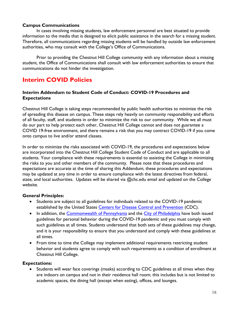## **Campus Communications**

In cases involving missing students, law enforcement personnel are best situated to provide information to the media that is designed to elicit public assistance in the search for a missing student. Therefore, all communications regarding missing students will be handled by outside law enforcement authorities, who may consult with the College's Office of Communications.

Prior to providing the Chestnut Hill College community with any information about a missing student, the Office of Communications shall consult with law enforcement authorities to ensure that communications do not hinder the investigation.

# <span id="page-17-0"></span>**Interim COVID Policies**

## **Interim Addendum to Student Code of Conduct: COVID-19 Procedures and Expectations**

Chestnut Hill College is taking steps recommended by public health authorities to minimize the risk of spreading this disease on campus. These steps rely heavily on community responsibility and efforts of all faculty, staff, and students in order to minimize the risk to our community. While we all must do our part to help protect each other, Chestnut Hill College cannot and does not guarantee a COVID 19-free environment, and there remains a risk that you may contract COVID-19 if you come onto campus to live and/or attend classes.

In order to minimize the risks associated with COVID-19, the procedures and expectations below are incorporated into the Chestnut Hill College Student Code of Conduct and are applicable to all students. Your compliance with these requirements is essential to assisting the College in minimizing the risks to you and other members of the community. Please note that these procedures and expectations are accurate at the time of sharing this Addendum; these procedures and expectations may be updated at any time in order to ensure compliance with the latest directives from federal, state, and local authorities. Updates will be shared via @chc.edu email and updated on the College website.

## **General Principles:**

- Students are subject to all guidelines for individuals related to the COVID-19 pandemic established by the United States [Centers for Disease Control and Prevention](https://www.cdc.gov/coronavirus/2019-ncov/prevent-getting-sick/prevention.html) (CDC).
- In addition, the [Commonwealth of Pennsylvania](https://www.pa.gov/guides/responding-to-covid-19/) and the [City of Philadelphia](https://www.phila.gov/programs/coronavirus-disease-2019-covid-19/) have both issued guidelines for personal behavior during the COVID-19 pandemic and you must comply with such guidelines at all times. Students understand that both sets of these guidelines may change, and it is your responsibility to ensure that you understand and comply with these guidelines at all times.
- From time to time the College may implement additional requirements restricting student behavior and students agree to comply with such requirements as a condition of enrollment at Chestnut Hill College.

## **Expectations:**

• Students will wear face coverings (masks) according to CDC guidelines at all times when they are indoors on campus and not in their residence hall room; this includes but is not limited to academic spaces, the dining hall (except when eating), offices, and lounges.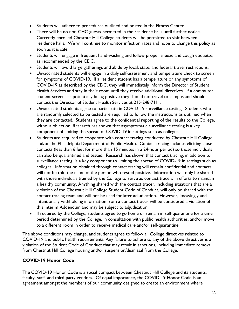- Students will adhere to procedures outlined and posted in the Fitness Center.
- There will be no non-CHC guests permitted in the residence halls until further notice. Currently enrolled Chestnut Hill College students will be permitted to visit between residence halls. We will continue to monitor infection rates and hope to change this policy as soon as it is safe.
- Students will engage in frequent hand-washing and follow proper sneeze and cough etiquette, as recommended by the CDC.
- Students will avoid large gatherings and abide by local, state, and federal travel restrictions.
- Unvaccinated students will engage in a daily self-assessment and temperature check to screen for symptoms of COVID-19. If a resident student has a temperature or any symptoms of COVID-19 as described by the CDC, they will immediately inform the Director of Student Health Services and stay in their room until they receive additional directives. If a commuter student screens as potentially being positive they should not travel to campus and should contact the Director of Student Health Services at 215-248-7111.
- Unvaccinated students agree to participate in COVID-19 surveillance testing. Students who are randomly selected to be tested are required to follow the instructions as outlined when they are contacted. Students agree to the confidential reporting of the results to the College, without objection. Research has shown that asymptomatic surveillance testing is a key component of limiting the spread of COVID-19 in settings such as colleges.
- Students are required to cooperate with contact tracing conducted by Chestnut Hill College and/or the Philadelphia Department of Public Health. Contact tracing includes eliciting close contacts (less than 6 feet for more than 15 minutes in a 24-hour period) so those individuals can also be quarantined and tested. Research has shown that contact tracing, in addition to surveillance testing, is a key component to limiting the spread of COVID-19 in settings such as colleges. Information obtained through contact tracing will remain confidential and contacts will not be told the name of the person who tested positive. Information will only be shared with those individuals trained by the College to serve as contact tracers in efforts to maintain a healthy community. Anything shared with the contact tracer, including situations that are a violation of the Chestnut Hill College Student Code of Conduct, will only be shared with the contact tracing team and will not be used for later adjudication. However, knowingly and intentionally withholding information from a contact tracer will be considered a violation of this Interim Addendum and may be subject to adjudication.
- If required by the College, students agree to go home or remain in self-quarantine for a time period determined by the College, in consultation with public health authorities, and/or move to a different room in order to receive medical care and/or self-quarantine.

The above conditions may change, and students agree to follow all College directives related to COVID-19 and public health requirements. Any failure to adhere to any of the above directives is a violation of the Student Code of Conduct that may result in sanctions, including immediate removal from Chestnut Hill College housing and/or suspension/dismissal from the College.

## **COVID-19 Honor Code**

The COVID-19 Honor Code is a social compact between Chestnut Hill College and its students, faculty, staff, and third-party vendors. Of equal importance, the COVID-19 Honor Code is an agreement amongst the members of our community designed to create an environment where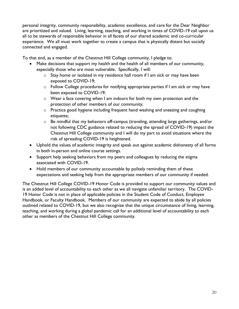personal integrity, community responsibility, academic excellence, and care for the Dear Neighbor are prioritized and valued. Living, learning, teaching, and working in times of COVID-19 call upon us all to be stewards of responsible behavior in all facets of our shared academic and co-curricular experience. We all must work together to create a campus that is physically distant but socially connected and engaged.

To that end, as a member of the Chestnut Hill College community, I pledge to:

- Make decisions that support my health and the health of all members of our community, especially those who are most vulnerable. Specifically, I will:
	- o Stay home or isolated in my residence hall room if I am sick or may have been exposed to COVID-19;
	- o Follow College procedures for notifying appropriate parties if I am sick or may have been exposed to COVID-19;
	- o Wear a face covering when I am indoors for both my own protection and the protection of other members of our community;
	- $\circ$  Practice good hygiene including frequent hand washing and sneezing and coughing etiquette;
	- o Be mindful that my behaviors off-campus (traveling, attending large gatherings, and/or not following CDC guidance related to reducing the spread of COVID-19) impact the Chestnut Hill College community and I will do my part to avoid situations where the risk of spreading COVID-19 is heightened.
- Uphold the values of academic integrity and speak out against academic dishonesty of all forms in both in-person and online course settings.
- Support help seeking behaviors from my peers and colleagues by reducing the stigma associated with COVID-19.
- Hold members of our community accountable by politely reminding them of these expectations and seeking help from the appropriate members of our community if needed.

The Chestnut Hill College COVID-19 Honor Code is provided to support our community values and is an added level of accountability to each other as we all navigate unfamiliar territory. The COVID-19 Honor Code is not in place of applicable policies in the Student Code of Conduct, Employee Handbook, or Faculty Handbook. Members of our community are expected to abide by all policies outlined related to COVID-19, but we also recognize that the unique circumstance of living, learning, teaching, and working during a global pandemic call for an additional level of accountability to each other as members of the Chestnut Hill College community.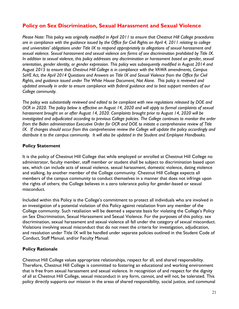## **Policy on Sex Discrimination, Sexual Harassment and Sexual Violence**

*Please Note: This policy was originally modified in April 2011 to ensure that Chestnut Hill College procedures are in compliance with the guidance issued by the Office for Civil Rights on April 4, 2011 relating to college and universities' obligations under Title IX to respond appropriately to allegations of sexual harassment and sexual violence. Sexual harassment and sexual violence are forms of sex discrimination prohibited by Title IX. In addition to sexual violence, this policy addresses any discrimination or harassment based on gender, sexual orientation, gender identity, or gender expression. This policy was subsequently modified in August 2014 and August 2015 to ensure that Chestnut Hill College is in compliance with the VAWA amendments, Campus SaVE Act, the April 2014 Questions and Answers on Title IX and Sexual Violence from the Office for Civil Rights, and guidance issued under The White House Document, Not Alone. This policy is reviewed and updated annually in order to ensure compliance with federal guidance and to best support members of our College community.*

*The policy was substantially reviewed and edited to be compliant with new regulations released by DOE and OCR in 2020. The policy below is effective on August 14, 2020 and will apply to formal complaints of sexual harassment brought on or after August 14, 2020. Complaints brought prior to August 14, 2020 will be investigated and adjudicated according to previous College policies. The College continues to monitor the order from the Biden administration Executive Order for OCR and DOE to initiate a comprehensive review of Title IX. If changes should occur from this comprehensive review the College will update the policy accordingly and distribute it to the campus community. It will also be updated in the Student and Employee Handbooks.*

## **Policy Statement**

It is the policy of Chestnut Hill College that while employed or enrolled at Chestnut Hill College no administrator, faculty member, staff member or student shall be subject to discrimination based upon sex, which can include acts of sexual violence, sexual harassment, domestic violence, dating violence and stalking, by another member of the College community. Chestnut Hill College expects all members of the campus community to conduct themselves in a manner that does not infringe upon the rights of others; the College believes in a zero tolerance policy for gender-based or sexual misconduct.

Included within this Policy is the College's commitment to protect all individuals who are involved in an investigation of a potential violation of this Policy against retaliation from any member of the College community. Such retaliation will be deemed a separate basis for violating the College's Policy on Sex Discrimination, Sexual Harassment and Sexual Violence. For the purposes of this policy, sex discrimination, sexual harassment and sexual violence all fall under the category of sexual misconduct. Violations involving sexual misconduct that do not meet the criteria for investigation, adjudication, and resolution under Title IX will be handled under separate policies outlined in the Student Code of Conduct, Staff Manual, and/or Faculty Manual.

## **Policy Rationale**

Chestnut Hill College values appropriate relationships, respect for all, and shared responsibility. Therefore, Chestnut Hill College is committed to fostering an educational and working environment that is free from sexual harassment and sexual violence. In recognition of and respect for the dignity of all at Chestnut Hill College, sexual misconduct in any form, cannot, and will not, be tolerated. This policy directly supports our mission in the areas of shared responsibility, social justice, and communal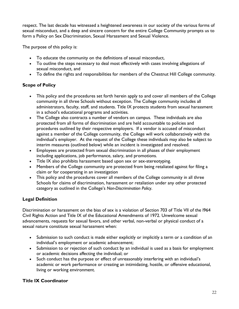respect. The last decade has witnessed a heightened awareness in our society of the various forms of sexual misconduct, and a deep and sincere concern for the entire College Community prompts us to form a Policy on Sex Discrimination, Sexual Harassment and Sexual Violence.

The purpose of this policy is:

- To educate the community on the definitions of sexual misconduct,
- To outline the steps necessary to deal most effectively with cases involving allegations of sexual misconduct, and
- To define the rights and responsibilities for members of the Chestnut Hill College community.

## **Scope of Policy**

- This policy and the procedures set forth herein apply to and cover all members of the College community in all three Schools without exception. The College community includes all administrators, faculty, staff, and students. Title IX protects students from sexual harassment in a school's educational programs and activities.
- The College also contracts a number of vendors on campus. These individuals are also protected from all forms of discrimination and are held accountable to policies and procedures outlined by their respective employers. If a vendor is accused of misconduct against a member of the College community, the College will work collaboratively with the individual's employer. At the request of the College these individuals may also be subject to interim measures (outlined below) while an incident is investigated and resolved.
- Employees are protected from sexual discrimination in all phases of their employment including applications, job performance, salary, and promotions.
- Title IX also prohibits harassment based upon sex or sex-stereotyping.
- Members of the College community are protected from being retaliated against for filing a claim or for cooperating in an investigation
- This policy and the procedures cover all members of the College community in all three Schools for claims of discrimination, harassment or retaliation under any other protected category as outlined in the College's *Non-Discrimination Policy*.

## **Legal Definition**

Discrimination or harassment on the bias of sex is a violation of Section 703 of Title VII of the l964 Civil Rights Action and Title IX of the Educational Amendments of 1972. Unwelcome sexual advancements, requests for sexual favors, and other verbal, non-verbal or physical conduct of a sexual nature constitute sexual harassment when:

- Submission to such conduct is made either explicitly or implicitly a term or a condition of an individual's employment or academic advancement;
- Submission to or rejection of such conduct by an individual is used as a basis for employment or academic decisions affecting the individual; or
- Such conduct has the purpose or effect of unreasonably interfering with an individual's academic or work performance or creating an intimidating, hostile, or offensive educational, living or working environment.

## **Title IX Coordinator**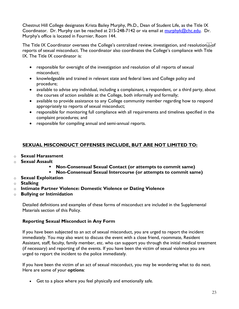Chestnut Hill College designates Krista Bailey Murphy, Ph.D., Dean of Student Life, as the Title IX Coordinator. Dr. Murphy can be reached at 215-248-7142 or via email at [murphyk@chc.edu.](mailto:murphyk@chc.edu) Dr. Murphy's office is located in Fournier, Room 144.

The Title IX Coordinator oversees the College's centralized review, investigation, and resolution seriof reports of sexual misconduct. The coordinator also coordinates the College's compliance with Title IX. The Title IX coordinator is:

- responsible for oversight of the investigation and resolution of all reports of sexual misconduct;
- knowledgeable and trained in relevant state and federal laws and College policy and procedure;
- available to advise any individual, including a complainant, a respondent, or a third party, about the courses of action available at the College, both informally and formally;
- available to provide assistance to any College community member regarding how to respond appropriately to reports of sexual misconduct;
- responsible for monitoring full compliance with all requirements and timelines specified in the complaint procedures; and
- responsible for compiling annual and semi-annual reports.

## **SEXUAL MISCONDUCT OFFENSES INCLUDE, BUT ARE NOT LIMITED TO:**

- o **Sexual Harassment**
- o **Sexual Assault**
	- **Non-Consensual Sexual Contact (or attempts to commit same)**
	- **Non-Consensual Sexual Intercourse (or attempts to commit same)**
- o **Sexual Exploitation**
- o **Stalking**
- o **Intimate Partner Violence: Domestic Violence or Dating Violence**
- o **Bullying or Intimidation**

Detailed definitions and examples of these forms of misconduct are included in the Supplemental Materials section of this Policy.

## **Reporting Sexual Misconduct in Any Form**

If you have been subjected to an act of sexual misconduct, you are urged to report the incident immediately. You may also want to discuss the event with a close friend, roommate, Resident Assistant, staff, faculty, family member, etc. who can support you through the initial medical treatment (if necessary) and reporting of the events. If you have been the victim of sexual violence you are urged to report the incident to the police immediately.

If you have been the victim of an act of sexual misconduct, you may be wondering what to do next. Here are some of your **options**:

• Get to a place where you feel physically and emotionally safe.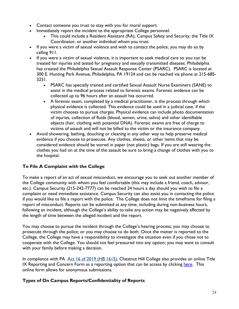- Contact someone you trust to stay with you for moral support.
- Immediately report the incident to the appropriate College personnel.
	- This could include a Resident Assistant (RA), Campus Safety and Security, the Title IX Coordinator, or another individual whom you trust.
- If you were a victim of sexual violence and wish to contact the police, you may do so by calling 911.
- If you were a victim of sexual violence, it is important to seek medical care so you can be treated for injuries and tested for pregnancy and sexually transmitted diseases. Philadelphia has created the Philadelphia Sexual Assault Response Center (PSARC). PSARC is located at 300 E. Hunting Park Avenue, Philadelphia, PA 19124 and can be reached via phone at 215-685- 3251.
	- PSARC has specially trained and certified Sexual Assault Nurse Examiners (SANE) to assist in the medical process related to forensic exams. Forensic evidence can be collected up to 96 hours after an assault has occurred.
	- A forensic exam, completed by a medical practitioner, is the process through which physical evidence is collected. This evidence could be used in a judicial case, if the victim chooses to pursue charges. Physical evidence can include photo documentation of injuries, collection of fluids (blood, semen, urine, saliva) and other identifiable objects (hair, clothing with potential DNA). Forensic exams are free of charge to victims of assault and will not be billed to the victim or the insurance company.
- Avoid showering, bathing, douching or cleaning in any other way to help preserve medical evidence if you choose to prosecute. Any clothes, sheets, or other items that may be considered evidence should be stored in paper (not plastic) bags. If you are still wearing the clothes you had on at the time of the assault be sure to bring a change of clothes with you to the hospital.

## **To File A Complaint with the College**

To make a report of an act of sexual misconduct, we encourage you to seek out another member of the College community with whom you feel comfortable (this may include a friend, coach, advisor, etc.). Campus Security (215-242-7777) can be reached 24 hours a day should you wish to file a complaint or need immediate assistance. Campus Security can also assist you in contacting the police if you would like to file a report with the police. The College does not limit the timeframe for filing a report of misconduct. Reports can be submitted at any time, including during non-business hours, following an incident, although the College's ability to take any action may be negatively affected by the length of time between the alleged incident and the report.

You may choose to pursue the incident through the College's hearing process; you may choose to prosecute through the police; or you may choose to do both. Once the matter is reported to the College, the College may have a responsibility to investigate the situation even if you chose not to cooperate with the College. You should not feel pressured into any option; you may want to consult with your family before making a decision.

In compliance with PA [Act 16 of 2019 \(HB 1615\),](https://www.legis.state.pa.us/CFDOCS/Legis/PN/Public/btCheck.cfm?txtType=PDF&sessYr=2019&sessInd=0&billBody=H&billTyp=B&billNbr=1615&pn=2268) Chestnut Hill College also provides an online Title IX Reporting and Concern Form as a reporting option that can be access by clicking [here.](https://forms.office.com/Pages/DesignPage.aspx#FormId=fVCzVkI_HkCWKSXxlsM3SlXACxZq3mtOsfFJcPXyvgdURDBHSDVIUEJYR1RHVEVNNFJHUFhEUUpGUS4u&Token=8074f7ed9c4b40e4884d858131bb5902) This online form allows for anonymous submissions.

## **Types of On Campus Reports/Confidentiality of Reports**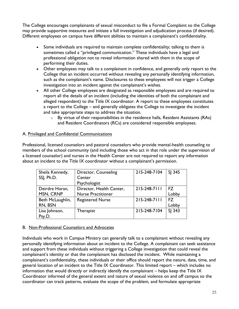The College encourages complainants of sexual misconduct to file a Formal Complaint so the College may provide supportive measures and initiate a full investigation and adjudication process (if desired). Different employees on campus have different abilities to maintain a complainant's confidentiality.

- Some individuals are required to maintain complete confidentiality; talking to them is sometimes called a "privileged communication." These individuals have a legal and professional obligation not to reveal information shared with them in the scope of performing their duties.
- Other employees may talk to a complainant in confidence, and generally only report to the College that an incident occurred without revealing any personally identifying information, such as the complainant's name. Disclosures to these employees will not trigger a College investigation into an incident against the complainant's wishes.
- All other College employees are designated as responsible employees and are required to report all the details of an incident (including the identities of both the complainant and alleged respondent) to the Title IX coordinator. A report to these employees constitutes a report to the College – and generally obligates the College to investigate the incident and take appropriate steps to address the situation.
	- $\circ$  By virtue of their responsibilities in the residence halls, Resident Assistants (RAs) and Resident Coordinators (RCs) are considered responsible employees.

## A. Privileged and Confidential Communications

Professional, licensed counselors and pastoral counselors who provide mental-health counseling to members of the school community (and including those who act in that role under the supervision of a licensed counselor) and nurses in the Health Center are not required to report any information about an incident to the Title IX coordinator without a complainant's permission.

| Sheila Kennedy,  | Director, Counseling      | 215-248-7104 | SJ 345 |
|------------------|---------------------------|--------------|--------|
| SSJ, Ph.D.       | Center                    |              |        |
|                  | Psychologist              |              |        |
| Deirdre Horan,   | Director, Health Center,  | 215-248-7111 | FZ.    |
| MSN, CRNP        | <b>Nurse Practitioner</b> |              | Lobby  |
| Beth McLaughlin, | <b>Registered Nurse</b>   | 215-248-7111 | FZ     |
| RN, BSN          |                           |              | Lobby  |
| Lisa Johnson,    | Therapist                 | 215-248-7104 | SJ 343 |
| Psy.D.           |                           |              |        |

## B. Non-Professional Counselors and Advocates

Individuals who work in Campus Ministry can generally talk to a complainant without revealing any personally identifying information about an incident to the College. A complainant can seek assistance and support from these individuals without triggering a College investigation that could reveal the complainant's identity or that the complainant has disclosed the incident. While maintaining a complainant's confidentiality, these individuals or their office should report the nature, date, time, and general location of an incident to the Title IX Coordinator. This limited report – which includes no information that would directly or indirectly identify the complainant – helps keep the Title IX Coordinator informed of the general extent and nature of sexual violence on and off campus so the coordinator can track patterns, evaluate the scope of the problem, and formulate appropriate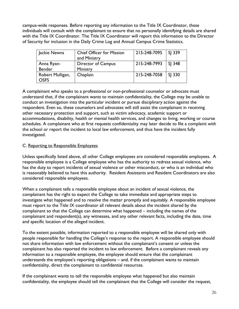campus-wide responses. Before reporting any information to the Title IX Coordinator, these individuals will consult with the complainant to ensure that no personally identifying details are shared with the Title IX Coordinator. The Title IX Coordinator will report this information to the Director of Security for inclusion in the Daily Crime Log and Annual Campus Crime Statistics.

| Jackie Newns                    | <b>Chief Officer for Mission</b><br>and Ministry | 215-248-7095 | $\vert$ SI 339 |
|---------------------------------|--------------------------------------------------|--------------|----------------|
| Anna Ryan-<br><b>Bender</b>     | Director of Campus<br>Ministry                   | 215-248-7993 | $\vert$ SJ 348 |
| Robert Mulligan,<br><b>OSFS</b> | Chaplain                                         | 215-248-7058 | SJ 330         |

A complainant who speaks to a professional or non-professional counselor or advocate must understand that, if the complainant wants to maintain confidentiality, the College may be unable to conduct an investigation into the particular incident or pursue disciplinary action against the respondent. Even so, these counselors and advocates will still assist the complainant in receiving other necessary protection and support, such as victim advocacy, academic support or accommodations, disability, health or mental health services, and changes to living, working or course schedules. A complainant who at first requests confidentiality may later decide to file a complaint with the school or report the incident to local law enforcement, and thus have the incident fully investigated.

## C. Reporting to Responsible Employees

Unless specifically listed above, all other College employees are considered responsible employees. A responsible employee is a College employee who has the authority to redress sexual violence, who has the duty to report incidents of sexual violence or other misconduct, or who is an individual who is reasonably believed to have this authority. Resident Assistants and Resident Coordinators are also considered responsible employees.

When a complainant tells a responsible employee about an incident of sexual violence, the complainant has the right to expect the College to take immediate and appropriate steps to investigate what happened and to resolve the matter promptly and equitably. A responsible employee must report to the Title IX coordinator all relevant details about the incident shared by the complainant so that the College can determine what happened – including the names of the complainant and respondent(s), any witnesses, and any other relevant facts, including the date, time and specific location of the alleged incident.

To the extent possible, information reported to a responsible employee will be shared only with people responsible for handling the College's response to the report. A responsible employee should not share information with law enforcement without the complainant's consent or unless the complainant has also reported the incident to law enforcement. Before a complainant reveals any information to a responsible employee, the employee should ensure that the complainant understands the employee's reporting obligations – and, if the complainant wants to maintain confidentiality, direct the complainant to confidential resources.

If the complainant wants to tell the responsible employee what happened but also maintain confidentiality, the employee should tell the complainant that the College will consider the request,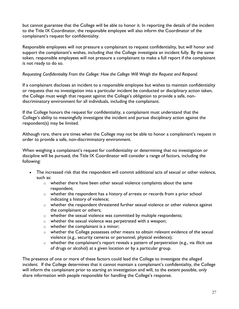but cannot guarantee that the College will be able to honor it. In reporting the details of the incident to the Title IX Coordinator, the responsible employee will also inform the Coordinator of the complainant's request for confidentiality.

Responsible employees will not pressure a complainant to request confidentiality, but will honor and support the complainant's wishes, including that the College investigate an incident fully. By the same token, responsible employees will not pressure a complainant to make a full report if the complainant is not ready to do so.

## *Requesting Confidentiality From the College: How the College Will Weigh the Request and Respond.*

If a complainant discloses an incident to a responsible employee but wishes to maintain confidentiality or requests that no investigation into a particular incident be conducted or disciplinary action taken, the College must weigh that request against the College's obligation to provide a safe, nondiscriminatory environment for all individuals, including the complainant.

If the College honors the request for confidentiality, a complainant must understand that the College's ability to meaningfully investigate the incident and pursue disciplinary action against the respondent(s) may be limited.

Although rare, there are times when the College may not be able to honor a complainant's request in order to provide a safe, non-discriminatory environment.

When weighing a complainant's request for confidentiality or determining that no investigation or discipline will be pursued, the Title IX Coordinator will consider a range of factors, including the following:

- The increased risk that the respondent will commit additional acts of sexual or other violence, such as:
	- $\circ$  whether there have been other sexual violence complaints about the same respondent;
	- o whether the respondent has a history of arrests or records from a prior school indicating a history of violence;
	- o whether the respondent threatened further sexual violence or other violence against the complainant or others;
	- o whether the sexual violence was committed by multiple respondents;
	- o whether the sexual violence was perpetrated with a weapon;
	- o whether the complainant is a minor;
	- o whether the College possesses other means to obtain relevant evidence of the sexual violence (e.g., security cameras or personnel, physical evidence);
	- o whether the complainant's report reveals a pattern of perpetration (e.g., via illicit use of drugs or alcohol) at a given location or by a particular group.

The presence of one or more of these factors could lead the College to investigate the alleged incident. If the College determines that it cannot maintain a complainant's confidentiality, the College will inform the complainant prior to starting an investigation and will, to the extent possible, only share information with people responsible for handling the College's response.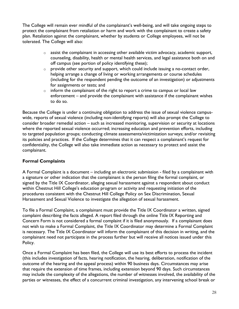The College will remain ever mindful of the complainant's well-being, and will take ongoing steps to protect the complainant from retaliation or harm and work with the complainant to create a safety plan. Retaliation against the complainant, whether by students or College employees, will not be tolerated. The College will also:

- $\circ$  assist the complainant in accessing other available victim advocacy, academic support, counseling, disability, health or mental health services, and legal assistance both on and off campus (see portion of policy identifying these);
- $\circ$  provide other security and support, which could include issuing a no-contact order, helping arrange a change of living or working arrangements or course schedules (including for the respondent pending the outcome of an investigation) or adjustments for assignments or tests; and
- $\circ$  inform the complainant of the right to report a crime to campus or local law enforcement – and provide the complainant with assistance if the complainant wishes to do so.

Because the College is under a continuing obligation to address the issue of sexual violence campuswide, reports of sexual violence (including non-identifying reports) will also prompt the College to consider broader remedial action – such as increased monitoring, supervision or security at locations where the reported sexual violence occurred; increasing education and prevention efforts, including to targeted population groups; conducting climate assessments/victimization surveys; and/or revisiting its policies and practices. If the College determines that it can respect a complainant's request for confidentiality, the College will also take immediate action as necessary to protect and assist the complainant.

## **Formal Complaints**

A Formal Complaint is a document – including an electronic submission - filed by a complainant with a signature or other indication that the complainant is the person filing the formal complaint, or signed by the Title IX Coordinator, alleging sexual harassment against a respondent about conduct within Chestnut Hill College's education program or activity and requesting initiation of the procedures consistent with the Chestnut Hill College Policy on Sex Discrimination, Sexual Harassment and Sexual Violence to investigate the allegation of sexual harassment.

To file a Formal Complaint, a complainant must provide the Title IX Coordinator a written, signed complaint describing the facts alleged. A report filed through the online Title IX Reporting and Concern Form is not considered a formal complaint if it is filed anonymously. If a complainant does not wish to make a Formal Complaint, the Title IX Coordinator may determine a Formal Complaint is necessary. The Title IX Coordinator will inform the complainant of this decision in writing, and the complainant need not participate in the process further but will receive all notices issued under this Policy.

Once a Formal Complaint has been filed, the College will use its best efforts to process the incident (this includes investigation of facts, hearing notification, the hearing, deliberation, notification of the outcome of the hearing and the appeal process) within 90 business days. Circumstances may arise that require the extension of time frames, including extension beyond 90 days. Such circumstances may include the complexity of the allegations, the number of witnesses involved, the availability of the parties or witnesses, the effect of a concurrent criminal investigation, any intervening school break or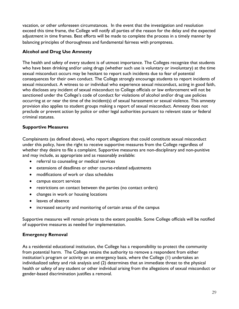vacation, or other unforeseen circumstances. In the event that the investigation and resolution exceed this time frame, the College will notify all parties of the reason for the delay and the expected adjustment in time frames. Best efforts will be made to complete the process in a timely manner by balancing principles of thoroughness and fundamental fairness with promptness.

## **Alcohol and Drug Use Amnesty**

The health and safety of every student is of utmost importance. The Colleges recognize that students who have been drinking and/or using drugs (whether such use is voluntary or involuntary) at the time sexual misconduct occurs may be hesitant to report such incidents due to fear of potential consequences for their own conduct. The College strongly encourage students to report incidents of sexual misconduct. A witness to or individual who experience sexual misconduct, acting in good faith, who discloses any incident of sexual misconduct to College officials or law enforcement will not be sanctioned under the College's code of conduct for violations of alcohol and/or drug use policies occurring at or near the time of the incident(s) of sexual harassment or sexual violence. This amnesty provision also applies to student groups making a report of sexual misconduct. Amnesty does not preclude or prevent action by police or other legal authorities pursuant to relevant state or federal criminal statutes.

## **Supportive Measures**

Complainants (as defined above), who report allegations that could constitute sexual misconduct under this policy, have the right to receive supportive measures from the College regardless of whether they desire to file a complaint. Supportive measures are non-disciplinary and non-punitive and may include, as appropriate and as reasonably available:

- referral to counseling or medical services
- extensions of deadlines or other course-related adjustments
- modifications of work or class schedules
- campus escort services
- restrictions on contact between the parties (no contact orders)
- changes in work or housing locations
- leaves of absence
- increased security and monitoring of certain areas of the campus

Supportive measures will remain private to the extent possible. Some College officials will be notified of supportive measures as needed for implementation.

## **Emergency Removal**

As a residential educational institution, the College has a responsibility to protect the community from potential harm. The College retains the authority to remove a respondent from either institution's program or activity on an emergency basis, where the College (1) undertakes an individualized safety and risk analysis and (2) determines that an immediate threat to the physical health or safety of any student or other individual arising from the allegations of sexual misconduct or gender-based discrimination justifies a removal.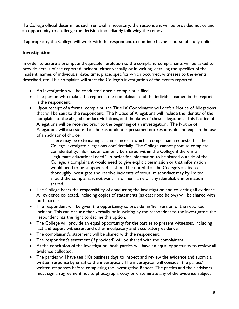If a College official determines such removal is necessary, the respondent will be provided notice and an opportunity to challenge the decision immediately following the removal.

If appropriate, the College will work with the respondent to continue his/her course of study online.

## **Investigation**

In order to assure a prompt and equitable resolution to the complaint, complainants will be asked to provide details of the reported incident, either verbally or in writing, detailing the specifics of the incident, names of individuals, date, time, place, specifics which occurred, witnesses to the events described, etc. This complaint will start the College's investigation of the events reported.

- An investigation will be conducted once a complaint is filed.
- The person who makes the report is the complainant and the individual named in the report is the respondent.
- Upon receipt of a formal complaint, the Title IX Coordinator will draft a Notice of Allegations that will be sent to the respondent. The Notice of Allegations will include the identity of the complainant, the alleged conduct violations, and the dates of these allegations. This Notice of Allegations will be received prior to the beginning of an investigation. The Notice of Allegations will also state that the respondent is presumed not responsible and explain the use of an advisor of choice.
	- o There may be extenuating circumstances in which a complainant requests that the College investigate allegations confidentially. The College cannot promise complete confidentiality. Information can only be shared within the College if there is a "legitimate educational need." In order for information to be shared outside of the College, a complainant would need to give explicit permission or that information would need to be subpoenaed. It should be noted that the College's ability to thoroughly investigate and resolve incidents of sexual misconduct may by limited should the complainant not want his or her name or any identifiable information shared.
- The College bears the responsibility of conducting the investigation and collecting all evidence. All evidence collected, including copies of statements (as described below) will be shared with both parties.
- The respondent will be given the opportunity to provide his/her version of the reported incident. This can occur either verbally or in writing by the respondent to the investigator; the respondent has the right to decline this option.
- The College will provide an equal opportunity for the parties to present witnesses, including fact and expert witnesses, and other inculpatory and exculpatory evidence.
- The complainant's statement will be shared with the respondent.
- The respondent's statement (if provided) will be shared with the complainant.
- At the conclusion of the investigation, both parties will have an equal opportunity to review all evidence collected.
- The parties will have ten (10) business days to inspect and review the evidence and submit a written response by email to the investigator. The investigator will consider the parties' written responses before completing the Investigative Report. The parties and their advisors must sign an agreement not to photograph, copy or disseminate any of the evidence subject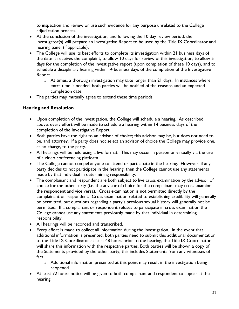to inspection and review or use such evidence for any purpose unrelated to the College adjudication process.

- At the conclusion of the investigation, and following the 10 day review period, the investigator(s) will prepare an Investigative Report to be used by the Title IX Coordinator and hearing panel (if applicable).
- The College will use its best efforts to complete its investigation within 21 business days of the date it receives the complaint, to allow 10 days for review of this investigation, to allow 5 days for the completion of the investigative report (upon completion of these 10 days), and to schedule a disciplinary hearing within 14 business days of the completion of the Investigative Report.
	- $\circ$  At times, a thorough investigation may take longer than 21 days. In instances where extra time is needed, both parties will be notified of the reasons and an expected completion date.
- The parties may mutually agree to extend these time periods.

## **Hearing and Resolution**

- Upon completion of the investigation, the College will schedule a hearing. As described above, every effort will be made to schedule a hearing within 14 business days of the completion of the Investigative Report.
- Both parties have the right to an advisor of choice; this advisor may be, but does not need to be, and attorney. If a party does not select an advisor of choice the College may provide one, at no charge, to the party.
- All hearings will be held using a live format. This may occur in person or virtually via the use of a video conferencing platform.
- The College cannot compel anyone to attend or participate in the hearing. However, if any party decides to not participate in the hearing, then the College cannot use any statements made by that individual in determining responsibility.
- The complainant and respondent are both subject to live cross examination by the advisor of choice for the other party (i.e. the advisor of choice for the complainant may cross examine the respondent and vice versa). Cross examination is not permitted directly by the complainant or respondent. Cross examination related to establishing credibility will generally be permitted, but questions regarding a party's previous sexual history will generally not be permitted. If a complainant or respondent refuses to participate in cross examination the College cannot use any statements previously made by that individual in determining responsibility.
- All hearings will be recorded and transcribed.
- Every effort is made to collect all information during the investigation. In the event that additional information is presented, both parties need to submit this additional documentation to the Title IX Coordinator at least 48 hours prior to the hearing; the Title IX Coordinator will share this information with the respective parties. Both parties will be shown a copy of the Statements provided by the other party; this includes Statements from any witnesses of fact.
	- o Additional information presented at this point may result in the investigation being reopened.
- At least 72 hours notice will be given to both complainant and respondent to appear at the hearing.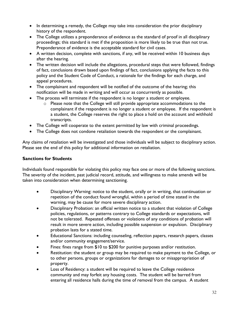- In determining a remedy, the College may take into consideration the prior disciplinary history of the respondent.
- The College utilizes a preponderance of evidence as the standard of proof in all disciplinary proceedings; this standard is met if the proposition is more likely to be true than not true. Preponderance of evidence is the acceptable standard for civil cases.
- A written decision, complete with sanctions, if any, will be received within 10 business days after the hearing.
- The written decision will include the allegations, procedural steps that were followed, findings of fact, conclusions drawn based upon findings of fact, conclusions applying the facts to this policy and the Student Code of Conduct, a rationale for the findings for each charge, and appeal procedures.
- The complainant and respondent will be notified of the outcome of the hearing; this notification will be made in writing and will occur as concurrently as possible.
- The process will terminate if the respondent is no longer a student or employee.
	- o Please note that the College will still provide appropriate accommodations to the complainant if the respondent is no longer a student or employee. If the respondent is a student, the College reserves the right to place a hold on the account and withhold transcripts.
- The College will cooperate to the extent permitted by law with criminal proceedings.
- The College does not condone retaliation towards the respondent or the complainant.

Any claims of retaliation will be investigated and those individuals will be subject to disciplinary action. Please see the end of this policy for additional information on retaliation.

## **Sanctions for Students**

Individuals found responsible for violating this policy may face one or more of the following sanctions. The severity of the incident, past judicial record, attitude, and willingness to make amends will be taken into consideration when determining sanctioning.

- Disciplinary Warning: notice to the student, orally or in writing, that continuation or repetition of the conduct found wrongful, within a period of time stated in the warning, may be cause for more severe disciplinary action.
- Disciplinary Probation: an official written notice to a student that violation of College policies, regulations, or patterns contrary to College standards or expectations, will not be tolerated. Repeated offenses or violations of any conditions of probation will result in more severe action, including possible suspension or expulsion. Disciplinary probation lasts for a stated time.
- Educational Sanctions: including counseling, reflection papers, research papers, classes and/or community engagement/service.
- Fines: fines range from \$10 to \$200 for punitive purposes and/or restitution.
- Restitution: the student or group may be required to make payment to the College, or to other persons, groups or organizations for damages to or misappropriation of property.
- Loss of Residency: a student will be required to leave the College residence community and may forfeit any housing costs. The student will be barred from entering all residence halls during the time of removal from the campus. A student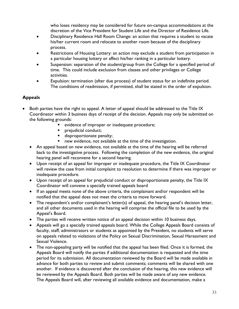who loses residency may be considered for future on-campus accommodations at the discretion of the Vice President for Student Life and the Director of Residence Life.

- Disciplinary Residence Hall Room Change: an action that requires a student to vacate his/her current room and relocate to another room because of the disciplinary process.
- Restrictions of Housing Lottery: an action may exclude a student from participation in a particular housing lottery or affect his/her ranking in a particular lottery.
- Suspension: separation of the student/group from the College for a specified period of time. This could include exclusion from classes and other privileges or College activities.
- Expulsion: termination (after due process) of student status for an indefinite period. The conditions of readmission, if permitted, shall be stated in the order of expulsion.

## **Appeals**

- Both parties have the right to appeal. A letter of appeal should be addressed to the Title IX Coordinator within 3 business days of receipt of the decision. Appeals may only be submitted on the following grounds:
	- evidence of improper or inadequate procedure;
	- prejudicial conduct;
	- **■** disproportionate penalty;
	- new evidence, not available at the time of the investigation.
	- An appeal based on new evidence, not available at the time of the hearing will be referred back to the investigative process. Following the completion of the new evidence, the original hearing panel will reconvene for a second hearing.
	- Upon receipt of an appeal for improper or inadequate procedure, the Title IX Coordinator will review the case from initial complaint to resolution to determine if there was improper or inadequate procedure.
	- Upon receipt of an appeal for prejudicial conduct or disproportionate penalty, the Title IX Coordinator will convene a specially trained appeals board
	- If an appeal meets none of the above criteria, the complainant and/or respondent will be notified that the appeal does not meet the criteria to move forward.
	- The respondent's and/or complainant's letter(s) of appeal, the hearing panel's decision letter, and all other documents used in the hearing will comprise the official file to be used by the Appeal's Board.
	- The parties will receive written notice of an appeal decision within 10 business days.
	- Appeals will go a specially trained appeals board. While the College Appeals Board consists of faculty, staff, administrators or students as appointed by the President, no students will serve on appeals related to violations of the Policy on Sexual Discrimination, Sexual Harassment and Sexual Violence.
	- The non-appealing party will be notified that the appeal has been filed. Once it is formed, the Appeals Board will notify the parties if additional documentation is requested and the time period for its submission. All documentation reviewed by the Board will be made available in advance for both parties to review and submit comments; comments will be shared with one another. If evidence is discovered after the conclusion of the hearing, this new evidence will be reviewed by the Appeals Board. Both parties will be made aware of any new evidence. The Appeals Board will, after reviewing all available evidence and documentation, make a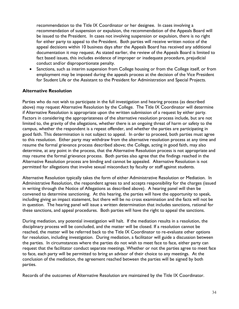recommendation to the Title IX Coordinator or her designee. In cases involving a recommendation of suspension or expulsion, the recommendation of the Appeals Board will be issued to the President. In cases not involving suspension or expulsion, there is no right for either party to appeal to the President. Both parties will receive written notice of the appeal decisions within 10 business days after the Appeals Board has received any additional documentation it may request. As stated earlier, the review of the Appeals Board is limited to fact based issues, this includes evidence of improper or inadequate procedure, prejudicial conduct and/or disproportionate penalty.

Sanctions, such as interim suspension from College housing or from the College itself, or from employment may be imposed during the appeals process at the decision of the Vice President for Student Life or the Assistant to the President for Administration and Special Projects.

#### **Alternative Resolution**

Parties who do not wish to participate in the full investigation and hearing process (as described above) may request Alternative Resolution by the College. The Title IX Coordinator will determine if Alternative Resolution is appropriate upon the written submission of a request by either party. Factors in considering the appropriateness of the alternative resolution process include, but are not limited to, the gravity of the allegations, whether there is an ongoing threat of harm or safety to the campus, whether the respondent is a repeat offender, and whether the parties are participating in good faith. This determination is not subject to appeal. In order to proceed, both parties must agree to this resolution. Either party may withdraw from the alternative resolution process at any time and resume the formal grievance process described above; the College, acting in good faith, may also determine, at any point in the process, that the Alternative Resolution process is not appropriate and may resume the formal grievance process. Both parties also agree that the findings reached in the Alternative Resolution process are binding and cannot be appealed. Alternative Resolution is not permitted for allegations that involve sexual misconduct by faculty or staff against students.

Alternative Resolution typically takes the form of either Administrative Resolution or Mediation. In Administrative Resolution, the respondent agrees to and accepts responsibility for the charges (issued in writing through the Notice of Allegations as described above). A hearing panel will then be convened to determine sanctioning. At this hearing, the parties will have the opportunity to speak, including giving an impact statement, but there will be no cross examination and the facts will not be in question. The hearing panel will issue a written determination that includes sanctions, rational for these sanctions, and appeal procedures. Both parties will have the right to appeal the sanctions.

During mediation, any potential investigation will halt. If the mediation results in a resolution, the disciplinary process will be concluded, and the matter will be closed. If a resolution cannot be reached, the matter will be referred back to the Title IX Coordinator to re-evaluate other options for resolution, including investigation. During mediation, a facilitator will guide a discussion between the parties. In circumstances where the parties do not wish to meet face to face, either party can request that the facilitator conduct separate meetings. Whether or not the parties agree to meet face to face, each party will be permitted to bring an advisor of their choice to any meetings. At the conclusion of the mediation, the agreement reached between the parties will be signed by both parties.

Records of the outcomes of Alternative Resolution are maintained by the Title IX Coordinator.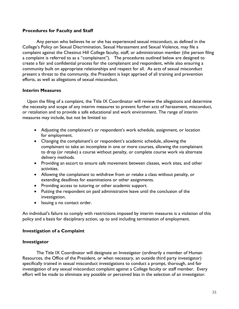#### **Procedures for Faculty and Staff**

Any person who believes he or she has experienced sexual misconduct, as defined in the College's Policy on Sexual Discrimination, Sexual Harassment and Sexual Violence, may file a complaint against the Chestnut Hill College faculty, staff, or administration member (the person filing a complaint is referred to as a "complainant"). The procedures outlined below are designed to create a fair and confidential process for the complainant and respondent, while also ensuring a community built on appropriate relationships and respect for all. As acts of sexual misconduct present a threat to the community, the President is kept apprised of all training and prevention efforts, as well as allegations of sexual misconduct.

#### **Interim Measures**

Upon the filing of a complaint, the Title IX Coordinator will review the allegations and determine the necessity and scope of any interim measures to prevent further acts of harassment, misconduct, or retaliation and to provide a safe educational and work environment. The range of interim measures may include, but not be limited to:

- Adjusting the complainant's or respondent's work schedule, assignment, or location for employment.
- Changing the complainant's or respondent's academic schedule, allowing the complainant to take an incomplete in one or more courses, allowing the complainant to drop (or retake) a course without penalty, or complete course work via alternate delivery methods.
- Providing an escort to ensure safe movement between classes, work sites, and other activities.
- Allowing the complainant to withdraw from or retake a class without penalty, or extending deadlines for examinations or other assignments.
- Providing access to tutoring or other academic support.
- Putting the respondent on paid administrative leave until the conclusion of the investigation.
- Issuing a no contact order.

An individual's failure to comply with restrictions imposed by interim measures is a violation of this policy and a basis for disciplinary action, up to and including termination of employment.

## **Investigation of a Complaint**

#### **Investigator**

The Title IX Coordinator will designate an Investigator (ordinarily a member of Human Resources, the Office of the President, or when necessary, an outside third party investigator) specifically trained in sexual misconduct investigations to conduct a prompt, thorough, and fair investigation of any sexual misconduct complaint against a College faculty or staff member. Every effort will be made to eliminate any possible or perceived bias in the selection of an investigator.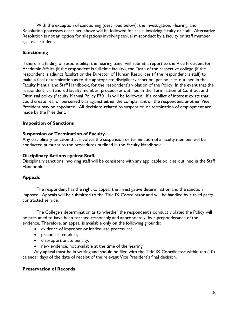With the exception of sanctioning (described below), the Investigation, Hearing, and Resolution processes described above will be followed for cases involving faculty or staff. Alternative Resolution is not an option for allegations involving sexual misconduct by a faculty or staff member against a student.

## **Sanctioning**

If there is a finding of responsibility, the hearing panel will submit a report to the Vice President for Academic Affairs (if the respondent is full-time faculty), the Dean of the respective college (if the respondent is adjunct faculty) or the Director of Human Resources (if the respondent is staff) to make a final determination as to the appropriate disciplinary sanction, per policies outlined in the Faculty Manual and Staff Handbook, for the respondent's violation of the Policy. In the event that the respondent is a tenured faculty member, procedures outlined in the Termination of Contract and Dismissal policy (Faculty Manual Policy F301.1) will be followed. If a conflict of interest exists that could create real or perceived bias against either the complainant or the respondent, another Vice President may be appointed. All decisions related to suspension or termination of employment are made by the President.

## **Imposition of Sanctions**

## **Suspension or Termination of Faculty.**

Any disciplinary sanction that involves the suspension or termination of a faculty member will be conducted pursuant to the procedures outlined in the Faculty Handbook.

## **Disciplinary Actions against Staff.**

Disciplinary sanctions involving staff will be consistent with any applicable policies outlined in the Staff Handbook.

## **Appeals**

The respondent has the right to appeal the investigative determination and the sanction imposed. Appeals will be submitted to the Title IX Coordinator and will be handled by a third party contracted service.

The College's determination as to whether the respondent's conduct violated the Policy will be presumed to have been reached reasonably and appropriately, by a preponderance of the evidence. Therefore, an appeal is available only on the following grounds:

- evidence of improper or inadequate procedure;
- prejudicial conduct;
- disproportionate penalty;
- new evidence, not available at the time of the hearing.

Any appeal must be in writing and should be filed with the Title IX Coordinator within ten (10) calendar days of the date of receipt of the relevant Vice President's final decision.

## **Preservation of Records**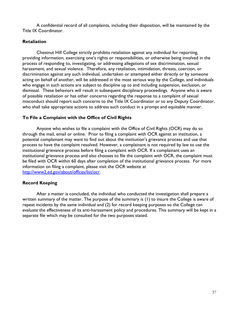A confidential record of all complaints, including their disposition, will be maintained by the Title IX Coordinator.

#### **Retaliation**

Chestnut Hill College strictly prohibits retaliation against any individual for reporting, providing information, exercising one's rights or responsibilities, or otherwise being involved in the process of responding to, investigating, or addressing allegations of sex discrimination, sexual harassment, and sexual violence. Therefore, any retaliation, intimidation, threats, coercion, or discrimination against any such individual, undertaken or attempted either directly or by someone acting on behalf of another, will be addressed in the most serious way by the College, and individuals who engage in such actions are subject to discipline up to and including suspension, exclusion, or dismissal. These behaviors will result in subsequent disciplinary proceedings. Anyone who is aware of possible retaliation or has other concerns regarding the response to a complaint of sexual misconduct should report such concerns to the Title IX Coordinator or to any Deputy Coordinator, who shall take appropriate actions to address such conduct in a prompt and equitable manner.

## **To File a Complaint with the Office of Civil Rights**

Anyone who wishes to file a complaint with the Office of Civil Rights (OCR) may do so through the mail, email or online. Prior to filing a complaint with OCR against an institution, a potential complainant may want to find out about the institution's grievance process and use that process to have the complaint resolved. However, a complainant is not required by law to use the institutional grievance process before filing a complaint with OCR. If a complainant uses an institutional grievance process and also chooses to file the complaint with OCR, the complaint must be filed with OCR within 60 days after completion of the institutional grievance process. For more information on filing a complaint, please visit the OCR website at [http://www2.ed.gov/about/offices/list/ocr.](http://www2.ed.gov/about/offices/list/ocr)

#### **Record Keeping**

After a matter is concluded, the individual who conducted the investigation shall prepare a written summary of the matter. The purpose of the summary is (1) to insure the College is aware of repeat incidents by the same individual and (2) for record keeping purposes so the College can evaluate the effectiveness of its anti-harassment policy and procedures. This summary will be kept in a separate file which may be consulted for the two purposes stated.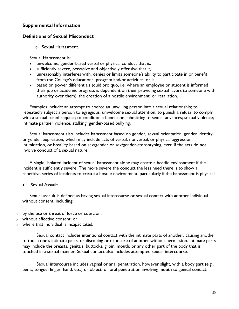## **Supplemental Information**

#### **Definitions of Sexual Misconduct**

#### o Sexual Harassment

Sexual Harassment is:

- unwelcome, gender-based verbal or physical conduct that is,
- sufficiently severe, pervasive and objectively offensive that it,
- unreasonably interferes with, denies or limits someone's ability to participate in or benefit from the College's educational program and/or activities, or is
- based on power differentials (quid pro quo, i.e. where an employee or student is informed their job or academic progress is dependent on their providing sexual favors to someone with authority over them), the creation of a hostile environment, or retaliation.

Examples include: an attempt to coerce an unwilling person into a sexual relationship; to repeatedly subject a person to egregious, unwelcome sexual attention; to punish a refusal to comply with a sexual based request; to condition a benefit on submitting to sexual advances; sexual violence; intimate partner violence, stalking; gender-based bullying.

Sexual harassment also includes harassment based on gender, sexual orientation, gender identity, or gender expression, which may include acts of verbal, nonverbal, or physical aggression, intimidation, or hostility based on sex/gender or sex/gender-stereotyping, even if the acts do not involve conduct of a sexual nature.

A single, isolated incident of sexual harassment alone may create a hostile environment if the incident is sufficiently severe. The more severe the conduct the less need there is to show a repetitive series of incidents to create a hostile environment, particularly if the harassment is physical.

Sexual Assault

Sexual assault is defined as having sexual intercourse or sexual contact with another individual without consent, including:

- o by the use or threat of force or coercion;
- o without effective consent; or
- o where that individual is incapacitated.

Sexual contact includes intentional contact with the intimate parts of another, causing another to touch one's intimate parts, or disrobing or exposure of another without permission. Intimate parts may include the breasts, genitals, buttocks, groin, mouth, or any other part of the body that is touched in a sexual manner. Sexual contact also includes attempted sexual intercourse.

Sexual intercourse includes vaginal or anal penetration, however slight, with a body part (e.g., penis, tongue, finger, hand, etc.) or object, or oral penetration involving mouth to genital contact.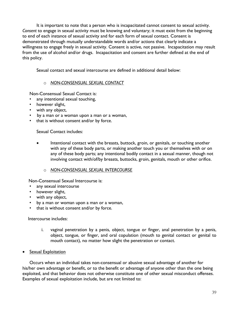It is important to note that a person who is incapacitated cannot consent to sexual activity. *Consent* to engage in sexual activity must be knowing and voluntary; it must exist from the beginning to end of each instance of sexual activity and for each form of sexual contact. Consent is demonstrated through mutually understandable words and/or actions that clearly indicate a willingness to engage freely in sexual activity. Consent is active, not passive. Incapacitation may result from the use of alcohol and/or drugs. Incapacitation and consent are further defined at the end of this policy.

Sexual contact and sexual intercourse are defined in additional detail below:

## o *NON-CONSENSUAL SEXUAL CONTACT*

Non-Consensual Sexual Contact is:

- any intentional sexual touching,
- however slight,
- with any object,
- by a man or a woman upon a man or a woman,
- that is without consent and/or by force.

Sexual Contact includes:

• Intentional contact with the breasts, buttock, groin, or genitals, or touching another with any of these body parts, or making another touch you or themselves with or on any of these body parts; any intentional bodily contact in a sexual manner, though not involving contact with/of/by breasts, buttocks, groin, genitals, mouth or other orifice.

#### o *NON-CONSENSUAL SEXUAL INTERCOURSE*

Non-Consensual Sexual Intercourse is:

- any sexual intercourse
- however slight,
- with any object,
- by a man or woman upon a man or a woman,
- that is without consent and/or by force.

Intercourse includes:

- i. vaginal penetration by a penis, object, tongue or finger, anal penetration by a penis, object, tongue, or finger, and oral copulation (mouth to genital contact or genital to mouth contact), no matter how slight the penetration or contact.
- **Sexual Exploitation**

Occurs when an individual takes non-consensual or abusive sexual advantage of another for his/her own advantage or benefit, or to the benefit or advantage of anyone other than the one being exploited, and that behavior does not otherwise constitute one of other sexual misconduct offenses. Examples of sexual exploitation include, but are not limited to: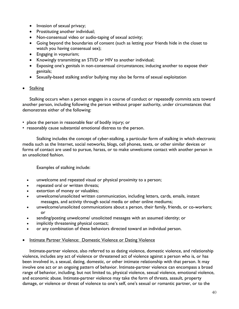- Invasion of sexual privacy;
- Prostituting another individual;
- Non-consensual video or audio-taping of sexual activity;
- Going beyond the boundaries of consent (such as letting your friends hide in the closet to watch you having consensual sex);
- Engaging in voyeurism;
- Knowingly transmitting an STI/D or HIV to another individual;
- Exposing one's genitals in non-consensual circumstances; inducing another to expose their genitals;
- Sexually-based stalking and/or bullying may also be forms of sexual exploitation
- Stalking

Stalking occurs when a person engages in a course of conduct or repeatedly commits acts toward another person, including following the person without proper authority, under circumstances that demonstrate either of the following:

- place the person in reasonable fear of bodily injury; or
- reasonably cause substantial emotional distress to the person.

Stalking includes the concept of cyber-stalking, a particular form of stalking in which electronic media such as the Internet, social networks, blogs, cell phones, texts, or other similar devices or forms of contact are used to pursue, harass, or to make unwelcome contact with another person in an unsolicited fashion.

Examples of stalking include:

- unwelcome and repeated visual or physical proximity to a person;
- repeated oral or written threats;
- extortion of money or valuables;
- unwelcome/unsolicited written communication, including letters, cards, emails, instant messages, and activity through social media or other online mediums;
- unwelcome/unsolicited communications about a person, their family, friends, or co-workers; or
- sending/posting unwelcome/ unsolicited messages with an assumed identity; or
- implicitly threatening physical contact;
- or any combination of these behaviors directed toward an individual person.
- Intimate Partner Violence: Domestic Violence or Dating Violence

Intimate-partner violence, also referred to as dating violence, domestic violence, and relationship violence, includes any act of violence or threatened act of violence against a person who is, or has been involved in, a sexual, dating, domestic, or other intimate relationship with that person. It may involve one act or an ongoing pattern of behavior. Intimate-partner violence can encompass a broad range of behavior, including, but not limited to, physical violence, sexual violence, emotional violence, and economic abuse. Intimate-partner violence may take the form of threats, assault, property damage, or violence or threat of violence to one's self, one's sexual or romantic partner, or to the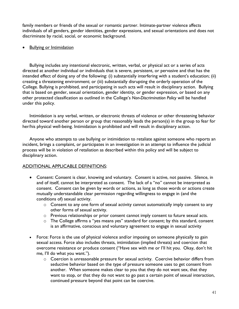family members or friends of the sexual or romantic partner. Intimate-partner violence affects individuals of all genders, gender identities, gender expressions, and sexual orientations and does not discriminate by racial, social, or economic background.

## • Bullying or Intimidation

Bullying includes any intentional electronic, written, verbal, or physical act or a series of acts directed at another individual or individuals that is severe, persistent, or pervasive and that has the intended effect of doing any of the following: (i) substantially interfering with a student's education; (ii) creating a threatening environment; or (iii) substantially disrupting the orderly operation of the College. Bullying is prohibited, and participating in such acts will result in disciplinary action. Bullying that is based on gender, sexual orientation, gender identity, or gender expression, or based on any other protected classification as outlined in the College's *Non-Discrimination Policy* will be handled under this policy.

Intimidation is any verbal, written, or electronic threats of violence or other threatening behavior directed toward another person or group that reasonably leads the person(s) in the group to fear for her/his physical well-being. Intimidation is prohibited and will result in disciplinary action.

Anyone who attempts to use bullying or intimidation to retaliate against someone who reports an incident, brings a complaint, or participates in an investigation in an attempt to influence the judicial process will be in violation of retaliation as described within this policy and will be subject to disciplinary action.

# ADDITIONAL APPLICABLE DEFINITIONS:

- Consent: Consent is clear, knowing and voluntary. Consent is active, not passive. Silence, in and of itself, cannot be interpreted as consent. The lack of a "no" cannot be interpreted as consent. Consent can be given by words or actions, as long as those words or actions create mutually understandable clear permission regarding willingness to engage in (and the conditions of) sexual activity.
	- o Consent to any one form of sexual activity cannot automatically imply consent to any other forms of sexual activity.
	- o Previous relationships or prior consent cannot imply consent to future sexual acts.
	- o The College affirms a "yes means yes" standard for consent; by this standard, consent is an affirmative, conscious and voluntary agreement to engage in sexual activity
- Force: Force is the use of physical violence and/or imposing on someone physically to gain sexual access. Force also includes threats, intimidation (implied threats) and coercion that overcome resistance or produce consent ("Have sex with me or I'll hit you. Okay, don't hit me, I'll do what you want.").
	- o Coercion is unreasonable pressure for sexual activity. Coercive behavior differs from seductive behavior based on the type of pressure someone uses to get consent from another. When someone makes clear to you that they do not want sex, that they want to stop, or that they do not want to go past a certain point of sexual interaction, continued pressure beyond that point can be coercive.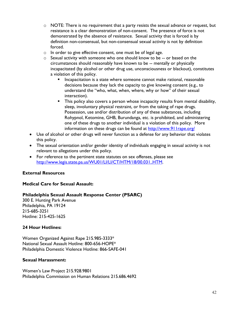- o NOTE: There is no requirement that a party resists the sexual advance or request, but resistance is a clear demonstration of non-consent. The presence of force is not demonstrated by the absence of resistance. Sexual activity that is forced is by definition non-consensual, but non-consensual sexual activity is not by definition forced.
- $\circ$  In order to give effective consent, one must be of legal age.
- o Sexual activity with someone who one should know to be -- or based on the circumstances should reasonably have known to be -- mentally or physically incapacitated (by alcohol or other drug use, unconsciousness or blackout), constitutes a violation of this policy.
	- Incapacitation is a state where someone cannot make rational, reasonable decisions because they lack the capacity to give knowing consent (e.g., to understand the "who, what, when, where, why or how" of their sexual interaction).
	- This policy also covers a person whose incapacity results from mental disability, sleep, involuntary physical restraint, or from the taking of rape drugs. Possession, use and/or distribution of any of these substances, including Rohypnol, Ketomine, GHB, Burundanga, etc. is prohibited, and administering one of these drugs to another individual is a violation of this policy. More information on these drugs can be found at<http://www.911rape.org/>
- Use of alcohol or other drugs will never function as a defense for any behavior that violates this policy.
- The sexual orientation and/or gender identity of individuals engaging in sexual activity is not relevant to allegations under this policy.
- For reference to the pertinent state statutes on sex offenses, please see [http://www.legis.state.pa.us/WU01/LI/LI/CT/HTM/18/00.031..HTM.](http://www.legis.state.pa.us/WU01/LI/LI/CT/HTM/18/00.031..HTM)

## **External Resources**

## **Medical Care for Sexual Assault:**

## **Philadelphia Sexual Assault Response Center (PSARC)**

300 E. Hunting Park Avenue Philadelphia, PA 19124 215-685-3251 Hotline: 215-425-1625

## **24 Hour Hotlines:**

Women Organized Against Rape 215.985-3333\* National Sexual Assault Hotline: 800-656-HOPE\* Philadelphia Domestic Violence Hotline: 866-SAFE-041

## **Sexual Harassment:**

Women's Law Project 215.928.9801 Philadelphia Commission on Human Relations 215.686.4692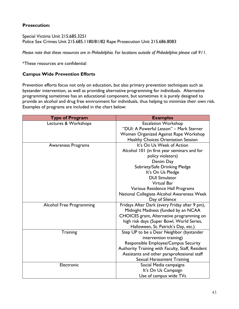# **Prosecution:**

Special Victims Unit 215.685.3251 Police Sex Crimes Unit 215.685.1180/81/82 Rape Prosecution Unit 215.686.8083

*Please note that these resources are in Philadelphia. For locations outside of Philadelphia please call 911.* 

\*These resources are confidential

## **Campus Wide Prevention Efforts**

Prevention efforts focus not only on education, but also primary prevention techniques such as bystander intervention, as well as providing alternative programming for individuals. Alternative programming sometimes has an educational component, but sometimes it is purely designed to provide an alcohol and drug free environment for individuals, thus helping to minimize their own risk. Examples of programs are included in the chart below:

| <b>Type of Program</b>          | <b>Examples</b>                                  |
|---------------------------------|--------------------------------------------------|
| Lectures & Workshops            | <b>Escalation Workshop</b>                       |
|                                 | "DUI: A Powerful Lesson" - Mark Sterner          |
|                                 | Women Organized Against Rape Workshop            |
|                                 | <b>Healthy Choices Orientation Session</b>       |
| <b>Awareness Programs</b>       | It's On Us Week of Action                        |
|                                 | Alcohol 101 (in first year seminars and for      |
|                                 | policy violators)                                |
|                                 | Denim Day                                        |
|                                 | Sobriety/Safe Drinking Pledge                    |
|                                 | It's On Us Pledge                                |
|                                 | <b>DUI Simulator</b>                             |
|                                 | <b>Virtual Bar</b>                               |
|                                 | Various Residence Hall Programs                  |
|                                 | National Collegiate Alcohol Awareness Week       |
|                                 | Day of Silence                                   |
| <b>Alcohol Free Programming</b> | Fridays After Dark (every Friday after 9 pm),    |
|                                 | Midnight Madness (funded by an NCAA              |
|                                 | CHOICES grant, Alternative programming on        |
|                                 | high risk days (Super Bowl, World Series,        |
|                                 | Halloween, St. Patrick's Day, etc.)              |
| Training                        | Step UP to be a Dear Neighbor (bystander         |
|                                 | intervention training)                           |
|                                 | Responsible Employee/Campus Security             |
|                                 | Authority Training with Faculty, Staff, Resident |
|                                 | Assistants and other paraprofessional staff      |
|                                 | Sexual Harassment Training                       |
| Electronic                      | Social Media campaigns                           |
|                                 | It's On Us Campaign                              |
|                                 | Use of campus wide TVs                           |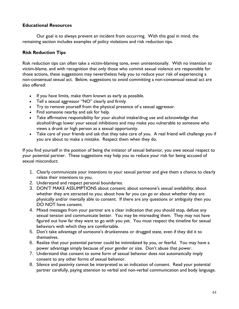## **Educational Resources**

Our goal is to always prevent an incident from occurring. With this goal in mind, the remaining section includes examples of policy violations and risk reduction tips.

# **Risk Reduction Tips**

Risk reduction tips can often take a victim-blaming tone, even unintentionally. With no intention to victim-blame, and with recognition that only those who commit sexual violence are responsible for those actions, these suggestions may nevertheless help you to reduce your risk of experiencing a non-consensual sexual act. Below, suggestions to avoid committing a non-consensual sexual act are also offered:

- If you have limits, make them known as early as possible.
- Tell a sexual aggressor "NO" clearly and firmly.
- Try to remove yourself from the physical presence of a sexual aggressor.
- Find someone nearby and ask for help.
- Take affirmative responsibility for your alcohol intake/drug use and acknowledge that alcohol/drugs lower your sexual inhibitions and may make you vulnerable to someone who views a drunk or high person as a sexual opportunity.
- Take care of your friends and ask that they take care of you. A real friend will challenge you if you are about to make a mistake. Respect them when they do.

If you find yourself in the position of being the initiator of sexual behavior, you owe sexual respect to your potential partner. These suggestions may help you to reduce your risk for being accused of sexual misconduct:

- 1. Clearly communicate your intentions to your sexual partner and give them a chance to clearly relate their intentions to you.
- 2. Understand and respect personal boundaries.
- 3. DON'T MAKE ASSUMPTIONS about consent; about someone's sexual availability; about whether they are attracted to you; about how far you can go or about whether they are physically and/or mentally able to consent. If there are any questions or ambiguity then you DO NOT have consent.
- 4. Mixed messages from your partner are a clear indication that you should stop, defuse any sexual tension and communicate better. You may be misreading them. They may not have figured out how far they want to go with you yet. You must respect the timeline for sexual behaviors with which they are comfortable.
- 5. Don't take advantage of someone's drunkenness or drugged state, even if they did it to themselves.
- 6. Realize that your potential partner could be intimidated by you, or fearful. You may have a power advantage simply because of your gender or size. Don't abuse that power.
- 7. Understand that consent to some form of sexual behavior does not automatically imply consent to any other forms of sexual behavior.
- 8. Silence and passivity cannot be interpreted as an indication of consent. Read your potential partner carefully, paying attention to verbal and non-verbal communication and body language.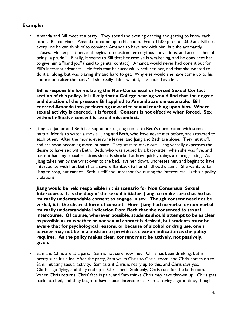# **Examples**

• Amanda and Bill meet at a party. They spend the evening dancing and getting to know each other. Bill convinces Amanda to come up to his room. From 11:00 pm until 3:00 am, Bill uses every line he can think of to convince Amanda to have sex with him, but she adamantly refuses. He keeps at her, and begins to question her religious convictions, and accuses her of being "a prude." Finally, it seems to Bill that her resolve is weakening, and he convinces her to give him a "hand job" (hand to genital contact). Amanda would never had done it but for Bill's incessant advances. He feels that he successfully seduced her, and that she wanted to do it all along, but was playing shy and hard to get. Why else would she have come up to his room alone after the party? If she really didn't want it, she could have left.

**Bill is responsible for violating the Non-Consensual or Forced Sexual Contact section of this policy. It is likely that a College hearing would find that the degree and duration of the pressure Bill applied to Amanda are unreasonable. Bill coerced Amanda into performing unwanted sexual touching upon him. Where sexual activity is coerced, it is forced. Consent is not effective when forced. Sex without effective consent is sexual misconduct.**

• Jiang is a junior and Beth is a sophomore. Jiang comes to Beth's dorm room with some mutual friends to watch a movie. Jiang and Beth, who have never met before, are attracted to each other. After the movie, everyone leaves, and Jiang and Beth are alone. They hit it off, and are soon becoming more intimate. They start to make out. Jiang verbally expresses the desire to have sex with Beth. Beth, who was abused by a baby-sitter when she was five, and has not had any sexual relations since, is shocked at how quickly things are progressing. As Jiang takes her by the wrist over to the bed, lays her down, undresses her, and begins to have intercourse with her, Beth has a severe flashback to her childhood trauma. She wants to tell Jiang to stop, but cannot. Beth is stiff and unresponsive during the intercourse. Is this a policy violation?

**Jiang would be held responsible in this scenario for Non Consensual Sexual Intercourse. It is the duty of the sexual initiator, Jiang, to make sure that he has mutually understandable consent to engage in sex. Though consent need not be verbal, it is the clearest form of consent. Here, Jiang had no verbal or non-verbal mutually understandable indication from Beth that she consented to sexual intercourse. Of course, wherever possible, students should attempt to be as clear as possible as to whether or not sexual contact is desired, but students must be aware that for psychological reasons, or because of alcohol or drug use, one's partner may not be in a position to provide as clear an indication as the policy requires. As the policy makes clear, consent must be actively, not passively, given.**

• Sam and Chris are at a party. Sam is not sure how much Chris has been drinking, but is pretty sure it's a lot. After the party, Sam walks Chris to Chris' room, and Chris comes on to Sam, initiating sexual activity. Sam asks if Chris is really up to this, and Chris says yes. Clothes go flying, and they end up in Chris' bed. Suddenly, Chris runs for the bathroom. When Chris returns, Chris' face is pale, and Sam thinks Chris may have thrown up. Chris gets back into bed, and they begin to have sexual intercourse. Sam is having a good time, though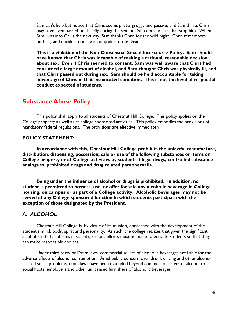Sam can't help but notice that Chris seems pretty groggy and passive, and Sam thinks Chris may have even passed out briefly during the sex, but Sam does not let that stop him. When Sam runs into Chris the next day, Sam thanks Chris for the wild night. Chris remembers nothing, and decides to make a complaint to the Dean.

**This is a violation of the Non-Consensual Sexual Intercourse Policy. Sam should have known that Chris was incapable of making a rational, reasonable decision about sex. Even if Chris seemed to consent, Sam was well aware that Chris had consumed a large amount of alcohol, and Sam thought Chris was physically ill, and that Chris passed out during sex. Sam should be held accountable for taking advantage of Chris in that intoxicated condition. This is not the level of respectful conduct expected of students.**

# **Substance Abuse Policy**

This policy shall apply to all students of Chestnut Hill College. This policy applies on the College property as well as at college sponsored activities. This policy embodies the provisions of mandatory federal regulations. The provisions are effective immediately.

# **POLICY STATEMENT:**

**In accordance with this, Chestnut Hill College prohibits the unlawful manufacture, distribution, dispensing, possession, sale or use of the following substances or items on College property or at College activities by students: illegal drugs, controlled substance analogues, prohibited drugs and drug related paraphernalia.** 

**Being under the influence of alcohol or drugs is prohibited. In addition, no student is permitted to possess, use, or offer for sale any alcoholic beverage in College housing, on campus or as part of a College activity. Alcoholic beverages may not be served at any College-sponsored function in which students participate with the exception of those designated by the President.**

# *A. ALCOHOL*

Chestnut Hill College is, by virtue of its mission, concerned with the development of the student's mind, body, spirit and personality. As such, the college realizes that given the significant alcohol-related problems in society, serious efforts must be made to educate students so that they can make responsible choices.

Under third party or Dram laws, commercial sellers of alcoholic beverages are liable for the adverse effects of alcohol consumption. Amid public concern over drunk driving and other alcoholrelated social problems, dram laws have been extended beyond commercial sellers of alcohol to social hosts, employers and other unlicensed furnishers of alcoholic beverages.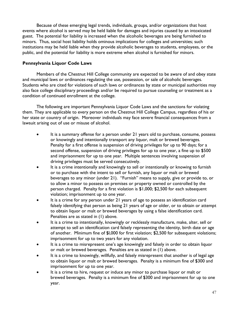Because of these emerging legal trends, individuals, groups, and/or organizations that host events where alcohol is served may be held liable for damages and injuries caused by an intoxicated guest. The potential for liability is increased when the alcoholic beverages are being furnished to minors. Thus, social host liability holds ominous implications for colleges and universities; such institutions may be held liable when they provide alcoholic beverages to students, employees, or the public, and the potential for liability is more extreme when alcohol is furnished for minors.

# **Pennsylvania Liquor Code Laws**

Members of the Chestnut Hill College community are expected to be aware of and obey state and municipal laws or ordinances regulating the use, possession, or sale of alcoholic beverages. Students who are cited for violations of such laws or ordinances by state or municipal authorities may also face college disciplinary proceedings and/or be required to pursue counseling or treatment as a condition of continued enrollment at the college.

The following are important Pennsylvania Liquor Code Laws and the sanctions for violating them. They are applicable to every person on the Chestnut Hill College Campus, regardless of his or her state or country of origin. Moreover individuals may face severe financial consequences from a lawsuit arising out of use or misuse of alcohol.

- It is a summary offense for a person under 21 years old to purchase, consume, possess or knowingly and intentionally transport any liquor, malt or brewed beverages. Penalty for a first offense is suspension of driving privileges for up to 90 days; for a second offense, suspension of driving privileges for up to one year, a fine up to \$500 and imprisonment for up to one year. Multiple sentences involving suspension of driving privileges must be served consecutively.
- It is a crime intentionally and knowingly to sell or intentionally or knowing to furnish or to purchase with the intent to sell or furnish, any liquor or malt or brewed beverages to any minor (under 21). "Furnish" means to supply, give or provide to, or to allow a minor to possess on premises or property owned or controlled by the person charged. Penalty for a first violation is \$1,000; \$2,500 for each subsequent violation; imprisonment up to one year.
- It is a crime for any person under 21 years of age to possess an identification card falsely identifying that person as being 21 years of age or older, or to obtain or attempt to obtain liquor or malt or brewed beverages by using a false identification card. Penalties are as stated in (1) above.
- It is a crime to intentionally, knowingly or recklessly manufacture, make, alter, sell or attempt to sell an identification card falsely representing the identity, birth date or age of another. Minimum fine of \$l,000 for first violation; \$2,500 for subsequent violations; imprisonment for up to two years for any violation.
- It is a crime to misrepresent one's age knowingly and falsely in order to obtain liquor or malt or brewed beverages. Penalties are as stated in (1) above.
- It is a crime to knowingly, willfully, and falsely misrepresent that another is of legal age to obtain liquor or malt or brewed beverages. Penalty is a minimum fine of \$300 and imprisonment for up to one year.
- It is a crime to hire, request or induce any minor to purchase liquor or malt or brewed beverages. Penalty is a minimum fine of \$300 and imprisonment for up to one year.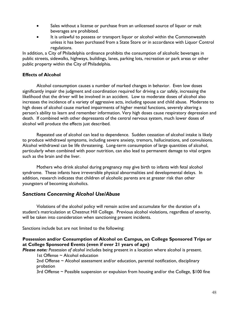- Sales without a license or purchase from an unlicensed source of liquor or malt beverages are prohibited.
- It is unlawful to possess or transport liquor or alcohol within the Commonwealth unless it has been purchased from a State Store or in accordance with Liquor Control regulations.

In addition, a City of Philadelphia ordinance prohibits the consumption of alcoholic beverages in public streets, sidewalks, highways, buildings, lanes, parking lots, recreation or park areas or other public property within the City of Philadelphia.

# **Effects of Alcohol**

Alcohol consumption causes a number of marked changes in behavior. Even low doses significantly impair the judgment and coordination required for driving a car safely, increasing the likelihood that the driver will be involved in an accident. Low to moderate doses of alcohol also increases the incidence of a variety of aggressive acts, including spouse and child abuse. Moderate to high doses of alcohol cause marked impairments of higher mental functions, severely altering a person's ability to learn and remember information. Very high doses cause respiratory depression and death. If combined with other depressants of the central nervous system, much lower doses of alcohol will produce the effects just described.

Repeated use of alcohol can lead to dependence. Sudden cessation of alcohol intake is likely to produce withdrawal symptoms, including severe anxiety, tremors, hallucinations, and convulsions. Alcohol withdrawal can be life threatening. Long-term consumption of large quantities of alcohol, particularly when combined with poor nutrition, can also lead to permanent damage to vital organs such as the brain and the liver.

Mothers who drink alcohol during pregnancy may give birth to infants with fetal alcohol syndrome. These infants have irreversible physical abnormalities and developmental delays. In addition, research indicates that children of alcoholic parents are at greater risk than other youngsters of becoming alcoholics.

# *Sanctions Concerning Alcohol Use/Abuse*

Violations of the alcohol policy will remain active and accumulate for the duration of a student's matriculation at Chestnut Hill College. Previous alcohol violations, regardless of severity, will be taken into consideration when sanctioning present incidents.

Sanctions include but are not limited to the following:

# **Possession and/or Consumption of Alcohol on Campus, on College Sponsored Trips or at College Sponsored Events (even if over 21 years of age)**

*Please note: Possession of alcohol* includes being present in a location where alcohol is present. 1st Offense ~ Alcohol education

2nd Offense ~ Alcohol assessment and/or education, parental notification, disciplinary probation

3rd Offense ~ Possible suspension or expulsion from housing and/or the College, \$100 fine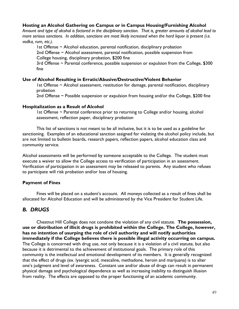#### **Hosting an Alcohol Gathering on Campus or in Campus Housing/Furnishing Alcohol**

*Amount and type of alcohol is factored in the disciplinary sanction. That is, greater amounts of alcohol lead to more serious sanctions. In addition, sanctions are most likely increased when the hard liquor is present (i.e. vodka, rum, etc.).*

1st Offense  $\sim$  Alcohol education, parental notification, disciplinary probation

2nd Offense ~ Alcohol assessment, parental notification, possible suspension from College housing, disciplinary probation, \$200 fine

3rd Offense ~ Parental conference, possible suspension or expulsion from the College, \$300 fine

#### **Use of Alcohol Resulting in Erratic/Abusive/Destructive/Violent Behavior**

1st Offense ~ Alcohol assessment, restitution for damage, parental notification, disciplinary probation

2nd Offense  $\sim$  Possible suspension or expulsion from housing and/or the College, \$200 fine

#### **Hospitalization as a Result of Alcohol**

1st Offense ~ Parental conference prior to returning to College and/or housing, alcohol assessment, reflection paper, disciplinary probation

This list of sanctions is not meant to be all inclusive, but it is to be used as a guideline for sanctioning. Examples of an educational sanction assigned for violating the alcohol policy include, but are not limited to bulletin boards, research papers, reflection papers, alcohol education class and community service.

Alcohol assessments will be performed by someone acceptable to the College. The student must execute a waiver to allow the College access to verification of participation in an assessment. Verification of participation in an assessment may be released to parents. Any student who refuses to participate will risk probation and/or loss of housing.

## **Payment of Fines**

Fines will be placed on a student's account. All moneys collected as a result of fines shall be allocated for Alcohol Education and will be administered by the Vice President for Student Life.

# *B. DRUGS*

Chestnut Hill College does not condone the violation of any civil statute. **The possession, use or distribution of illicit drugs is prohibited within the College. The College, however, has no intention of usurping the role of civil authority and will notify authorities immediately if the College believes there is possible illegal activity occurring on campus.**  The College is concerned with drug use, not only because it is a violation of a civil statute, but also because it is detrimental to the achievement of institutional goals. The primary role of this community is the intellectual and emotional development of its members. It is generally recognized that the effect of drugs (ex. lysergic acid, mescaline, methadone, heroin and marijuana) is to alter one's judgment and level of awareness. Constant use and/or abuse of drugs can result in permanent physical damage and psychological dependence as well as increasing inability to distinguish illusion from reality. The effects are opposed to the proper functioning of an academic community.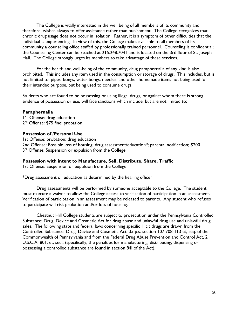The College is vitally interested in the well being of all members of its community and therefore, wishes always to offer assistance rather than punishment. The College recognizes that chronic drug usage does not occur in isolation. Rather, it is a symptom of other difficulties that the individual is experiencing. In view of this, the College makes available to all members of its community a counseling office staffed by professionally trained personnel. Counseling is confidential; the Counseling Center can be reached at 215.248.7041 and is located on the 3rd floor of St. Joseph Hall. The College strongly urges its members to take advantage of these services.

For the health and well-being of the community, drug paraphernalia of any kind is also prohibited. This includes any item used in the consumption or storage of drugs. This includes, but is not limited to, pipes, bongs, water bongs, needles, and other homemade items not being used for their intended purpose, but being used to consume drugs.

Students who are found to be possessing or using illegal drugs, or against whom there is strong evidence of possession or use, will face sanctions which include, but are not limited to:

#### **Paraphernalia**

I<sup>st</sup> Offense: drug education 2<sup>nd</sup> Offense: \$75 fine; probation

#### **Possession of /Personal Use**

1st Offense: probation; drug education 2nd Offense: Possible loss of housing; drug assessment/education\*; parental notification; \$200 3<sup>rd</sup> Offense: Suspension or expulsion from the College

## **Possession with intent to Manufacture, Sell, Distribute, Share, Traffic**

1st Offense: Suspension or expulsion from the College

\*Drug assessment or education as determined by the hearing officer

Drug assessments will be performed by someone acceptable to the College. The student must execute a waiver to allow the College access to verification of participation in an assessment. Verification of participation in an assessment may be released to parents. Any student who refuses to participate will risk probation and/or loss of housing.

Chestnut Hill College students are subject to prosecution under the Pennsylvania Controlled Substance; Drug, Device and Cosmetic Act for drug abuse and unlawful drug use and unlawful drug sales. The following state and federal laws concerning specific illicit drugs are drawn from the Controlled Substance, Drug, Device and Cosmetic Act, 35 p.s. section 107 708-113 et, seq. of the Commonwealth of Pennsylvania and from the Federal Drug Abuse Prevention and Control Act, 2 U.S.C.A. 801, et, seq., (specifically, the penalties for manufacturing, distributing, dispensing or possessing a controlled substance are found in section 84l of the Act).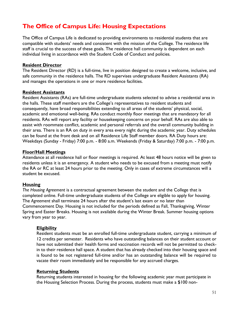# **The Office of Campus Life: Housing Expectations**

The Office of Campus Life is dedicated to providing environments to residential students that are compatible with students' needs and consistent with the mission of the College. The residence life staff is crucial to the success of these goals. The residence hall community is dependent on each individual living in accordance with the Student Code of Conduct and policies.

#### **Resident Director**

The Resident Director (RD) is a full-time, live in position designed to create a welcome, inclusive, and safe community in the residence halls. The RD supervises undergraduate Resident Assistants (RA) and manages the operations in one or more residence facilities.

#### **Resident Assistants**

Resident Assistants (RAs) are full-time undergraduate students selected to advise a residential area in the halls. These staff members are the College's representatives to resident students and consequently, have broad responsibilities extending to all areas of the students' physical, social, academic and emotional well-being. RAs conduct monthly floor meetings that are mandatory for all residents. RAs will report any facility or housekeeping concerns on your behalf. RAs are also able to assist with roommate conflict, academic and personal referrals and the overall community building in their area. There is an RA on duty in every area every night during the academic year. Duty schedules can be found at the front desk and on all Residence Life Staff member doors. RA Duty hours are: Weekdays (Sunday - Friday) 7:00 p.m. - 8:00 a.m. Weekends (Friday & Saturday) 7:00 p.m. - 7:00 p.m.

## **Floor/Hall Meetings**

Attendance at all residence hall or floor meetings is required. At least 48 hours notice will be given to residents unless it is an emergency. A student who needs to be excused from a meeting must notify the RA or RC at least 24 hours prior to the meeting. Only in cases of extreme circumstances will a student be excused.

## **Housing**

*The Housing Agreement* is a contractual agreement between the student and the College that is completed online. Full-time undergraduate students of the College are eligible to apply for housing. The *Agreement* shall terminate 24 hours after the student's last exam or no later than Commencement Day. Housing is not included for the periods defined as Fall, Thanksgiving, Winter Spring and Easter Breaks. Housing is not available during the Winter Break. Summer housing options vary from year to year.

## **Eligibility**

Resident students must be an enrolled full-time undergraduate student, carrying a minimum of 12 credits per semester. Residents who have outstanding balances on their student account or have not submitted their health forms and vaccination records will not be permitted to checkin to their residence hall space. A student that has already checked into their housing space and is found to be not registered full-time and/or has an outstanding balance will be required to vacate their room immediately and be responsible for any accrued charges.

#### **Returning Students**

Returning students interested in housing for the following academic year must participate in the Housing Selection Process. During the process, students must make a \$100 non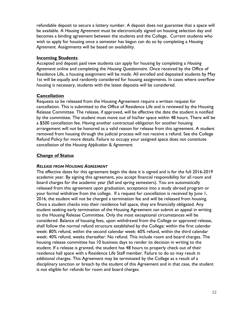refundable deposit to secure a lottery number. A deposit does not guarantee that a space will be available. A *Housing Agreement* must be electronically signed on housing selection day and becomes a binding agreement between the students and the College. Current students who wish to apply for housing once a semester has begun can do so by completing a *Housing Agreement*. Assignments will be based on availability.

## **Incoming Students**

Accepted and deposit paid new students can apply for housing by completing a *Housing Agreement* online and completing the *Housing Questionnaire*. Once received by the Office of Residence Life, a housing assignment will be made. All enrolled and deposited students by May 1st will be equally and randomly considered for housing assignments. In cases where overflow housing is necessary, students with the latest deposits will be considered.

# **Cancellation**

Requests to be released from the Housing Agreement require a written request for cancellation. This is submitted to the Office of Residence Life and is reviewed by the Housing Release Committee. The release, if approved, will be effective the date the student is notified by the committee. The student must move out of his/her space within 48 hours. There will be a \$500 cancellation fee. Having another contractual obligation for another housing arrangement will not be honored as a valid reason for release from this agreement. A student removed from housing through the judicial process will not receive a refund. See the College Refund Policy for more details. Failure to occupy your assigned space does not constitute cancellation of the *Housing Application & Agreement.* 

# **Change of Status**

## *RELEASE FROM HOUSING AGREEMENT*

The effective dates for this agreement begin the date it is signed and is for the full 2016-2019 academic year. By signing this agreement, you accept financial responsibility for all room and board charges for the academic year (fall and spring semesters). You are automatically released from this agreement upon graduation, acceptance into a study abroad program or your formal withdraw from the college. If a request for cancellation is received by June 1, 2016, the student will not be charged a termination fee and will be released from housing. Once a student checks into their residence hall space, they are financially obligated. Any student seeking early termination of the Housing Agreement can submit an appeal in writing to the Housing Release Committee. Only the most exceptional circumstances will be considered. Balance of housing fees, upon withdrawal from the College or approved release, shall follow the normal refund structure established by the College; within the first calendar week: 80% refund, within the second calendar week: 60% refund, within the third calendar week: 40% refund, weeks thereafter: No refund. This include room and board charges. The housing release committee has 10 business days to render its decision in writing to the student. If a release is granted, the student has 48 hours to properly check out of their residence hall space with a Residence Life Staff member. Failure to do so may result in additional charges. This Agreement may be terminated by the College as a result of a disciplinary sanction or breach by the student of this Agreement and in that case, the student is not eligible for refunds for room and board charges.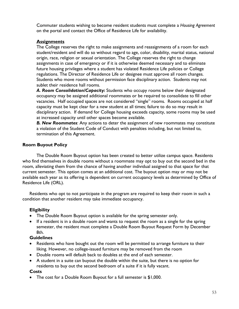Commuter students wishing to become resident students must complete a *Housing Agreement*  on the portal and contact the Office of Residence Life for availability.

# **Assignments**

The College reserves the right to make assignments and reassignments of a room for each student/resident and will do so without regard to age, color, disability, marital status, national origin, race, religion or sexual orientation. The College reserves the right to change assignments in case of emergency or if it is otherwise deemed necessary and to eliminate future housing privileges where a student has violated Residence Life policies or College regulations. The Director of Residence Life or designee must approve all room changes. Students who move rooms without permission face disciplinary action. Students may not sublet their residence hall rooms.

*A. Room Consolidation/Capacity:* Students who occupy rooms below their designated occupancy may be assigned additional roommates or be required to consolidate to fill other vacancies. Half occupied spaces are not considered "single" rooms. Rooms occupied at half capacity must be kept clear for a new student at all times; failure to do so may result in disciplinary action. If demand for College housing exceeds capacity, some rooms may be used at increased capacity until other spaces become available.

*B. New Roommates*: Any actions to deter the assignment of new roommates may constitute a violation of the Student Code of Conduct with penalties including, but not limited to, termination of this Agreement.

# **Room Buyout Policy**

The Double Room Buyout option has been created to better utilize campus space. Residents who find themselves in double rooms without a roommate may opt to buy out the second bed in the room, alleviating them from the chance of having another individual assigned to that space for that current semester. This option comes at an additional cost. The buyout option may or may not be available each year as its offering is dependent on current occupancy levels as determined by Office of Residence Life (ORL).

Residents who opt to not participate in the program are required to keep their room in such a condition that another resident may take immediate occupancy.

# **Eligibility**

- The Double Room Buyout option is available for the spring semester only.
- If a resident is in a double room and wants to request the room as a single for the spring semester, the resident must complete a Double Room Buyout Request Form by December 8th.

## **Guidelines**

- Residents who have bought out the room will be permitted to arrange furniture to their liking. However, no college-issued furniture may be removed from the room
- Double rooms will default back to doubles at the end of each semester.
- A student in a suite can buyout the double within the suite, but there is no option for residents to buy out the second bedroom of a suite if it is fully vacant.

## **Costs**

• The cost for a Double Room Buyout for a full semester is \$1,000.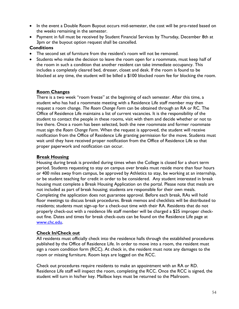- In the event a Double Room Buyout occurs mid-semester, the cost will be pro-rated based on the weeks remaining in the semester.
- Payment in full must be received by Student Financial Services by Thursday, December 8th at 3pm or the buyout option request shall be cancelled.

## **Conditions**

- The second set of furniture from the resident's room will not be removed.
- Students who make the decision to leave the room open for a roommate, must keep half of the room in such a condition that another resident can take immediate occupancy. This includes a completely cleared bed, dresser, closet and desk. If the room is found to be blocked at any time, the student will be billed a \$100 blocked room fee for blocking the room.

# **Room Changes**

There is a two week "room freeze" at the beginning of each semester. After this time, a student who has had a roommate meeting with a Residence Life staff member may then request a room change. *The Room Change Form* can be obtained through an RA or RC. The Office of Residence Life maintains a list of current vacancies. It is the responsibility of the student to contact the people in these rooms, visit with them and decide whether or not to live there. Once a room has been selected, both the new roommate and former roommate must sign the *Room Change Form*. When the request is approved, the student will receive notification from the Office of Residence Life granting permission for the move. Students must wait until they have received proper notification from the Office of Residence Life so that proper paperwork and notification can occur.

# **Break Housing**

Housing during break is provided during times when the College is closed for a short term period. Students requesting to stay on campus over breaks must reside more than four hours or 400 miles away from campus, be approved by Athletics to stay, be working at an internship, or be student teaching for credit in order to be considered. Any student interested in break housing must complete a Break Housing Application on the portal. Please note that meals are not included as part of break housing; students are responsible for their own meals. Completing the application does not guarantee approval. Before each break, RAs will hold floor meetings to discuss break procedures. Break memos and checklists will be distributed to residents; students must sign-up for a check-out time with their RA. Residents that do not properly check-out with a residence life staff member will be charged a \$25 improper checkout fine. Dates and times for break check-outs can be found on the Residence Life page at [www.chc.edu.](http://www.chc.edu/)

## **Check In/Check out**

All residents must officially check into the residence halls through the established procedures published by the Office of Residence Life. In order to move into a room, the resident must sign a room condition form (RCC). At check in, the resident must note any damages to the room or missing furniture. Room keys are logged on the RCC.

Check out procedures require residents to make an appointment with an RA or RD. Residence Life staff will inspect the room, completing the RCC. Once the RCC is signed, the student will turn in his/her key. Mailbox keys must be returned to the Mailroom.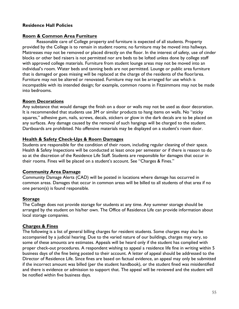## **Residence Hall Policies**

#### **Room & Common Area Furniture**

Reasonable care of College property and furniture is expected of all students. Property provided by the College is to remain in student rooms; no furniture may be moved into hallways. Mattresses may not be removed or placed directly on the floor. In the interest of safety, use of cinder blocks or other bed raisers is not permitted nor are beds to be lofted unless done by college staff with approved college materials. Furniture from student lounge areas may not be moved into an individual's room. Water beds and tanning beds are not permitted. Lounge or public area furniture that is damaged or goes missing will be replaced at the charge of the residents of the floor/area. Furniture may not be altered or renovated. Furniture may not be arranged for use which is incompatible with its intended design; for example, common rooms in Fitzsimmons may not be made into bedrooms.

#### **Room Decorations**

Any substance that would damage the finish on a door or walls may not be used as door decoration. It is recommended that students use 3M or similar products to hang items on walls. No "sticky squares," adhesive gum, nails, screws, decals, stickers or glow in the dark decals are to be placed on any surfaces. Any damage caused by the removal of such hangings will be charged to the student. Dartboards are prohibited. No offensive materials may be displayed on a student's room door.

#### **Health & Safety Check-Ups & Room Damages**

Students are responsible for the condition of their room, including regular cleaning of their space. Health & Safety Inspections will be conducted at least once per semester or if there is reason to do so at the discretion of the Residence Life Staff. Students are responsible for damages that occur in their rooms. Fines will be placed on a student's account. See "Charges & Fines."

## **Community Area Damage**

Community Damage Alerts (CAD) will be posted in locations where damage has occurred in common areas. Damages that occur in common areas will be billed to all students of that area if no one person(s) is found responsible.

## **Storage**

The College does not provide storage for students at any time. Any summer storage should be arranged by the student on his/her own. The Office of Residence Life can provide information about local storage companies.

## **Charges & Fines**

The following is a list of general billing charges for resident students. Some charges may also be accompanied by a judicial hearing. Due to the varied nature of our buildings, charges may vary, so some of these amounts are estimates. Appeals will be heard only if the student has complied with proper check-out procedures. A respondent wishing to appeal a residence life fine in writing within 5 business days of the fine being posted to their account. A letter of appeal should be addressed to the Director of Residence Life. Since fines are based on factual evidence, an appeal may only be submitted if the incorrect amount was billed (per the student handbook), or the student fined was misidentified and there is evidence or admission to support that. The appeal will be reviewed and the student will be notified within five business days.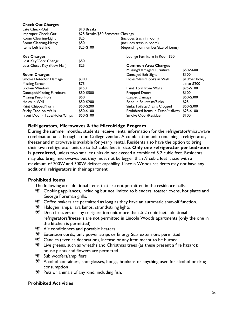| <b>Check-Out Charges</b>      |                                    |                                     |                |
|-------------------------------|------------------------------------|-------------------------------------|----------------|
| Late Check-Out                | \$10 Breaks                        |                                     |                |
| Improper Check-Out            | \$25 Breaks/\$50 Semester Closings |                                     |                |
| Room Cleaning-Light           | \$25<br>(includes trash in room)   |                                     |                |
| Room Cleaning-Heavy           | \$50                               | (includes trash in room)            |                |
| Items Left Behind             | $$25-$100$                         | (depending on number/size of items) |                |
| <b>Key Charges</b>            |                                    | Lounge Furniture in Room\$50        |                |
| Lost Key/Core Change          | \$50                               |                                     |                |
| Lost Closet Key (New Hall)    | \$25                               | <b>Common Area Charges</b>          |                |
|                               |                                    | Missing/Damaged Furniture           | \$50-\$600     |
| <b>Room Charges</b>           |                                    | Damaged Exit Signs                  | \$100          |
| Smoke Detector Damage         | \$300                              | Holes/Nails/Hooks in Wall           | \$10/per hole, |
| <b>Missing Screen</b>         | \$75                               |                                     | up to \$200    |
| <b>Broken Window</b>          | \$150                              | Paint Torn from Walls               | $$25-$100$     |
| Damaged/Missing Furniture     | \$50-\$500                         | <b>Propped Doors</b>                | \$100          |
| Missing Peep Hole             | \$50                               | Carpet Damage                       | \$50-\$300     |
| Holes in Wall                 | \$50-\$200                         | Food in Fountains/Sinks             | \$25           |
| Paint Chipped/Torn            | \$50-\$200                         | Sinks/Toilets/Drains Clogged        | \$50-\$300     |
| Sticky Tape on Walls          | \$50-\$100                         | Prohibited Items in Trash/Hallway   | $$25-$100$     |
| Front Door - Tape/Holes/Chips | $$50-$100$                         | Smoke Odor/Residue                  | \$100          |

## **Refrigerators, Microwaves & the Microfridge Program**

During the summer months, students receive rental information for the refrigerator/microwave combination unit through a non-College vendor. A combination unit containing a refrigerator, freezer and microwave is available for yearly rental. Residents also have the option to bring their own refrigerator unit up to 5.2 cubic feet in size. **Only one refrigerator per bedroom is permitted,** unless two smaller units do not exceed a combined 5.2 cubic feet. Residents may also bring microwaves but they must not be bigger than .9 cubic feet it size with a maximum of 700W and 300W defrost capability. Lincoln Woods residents may not have any additional refrigerators in their apartment.

#### **Prohibited Items**

The following are additional items that are not permitted in the residence halls:

- Cooking appliances, including but not limited to blenders, toaster ovens, hot plates and George Foreman grills.
- **K** Coffee makers are permitted as long as they have an automatic shut-off function.
- Halogen lamps, lava lamps, strand/string lights
- For Deep freezers or any refrigeration unit more than .5.2 cubic feet; additional refrigerators/freezers are not permitted in Lincoln Woods apartments (only the one in the kitchen is permitted)
- Air conditioners and portable heaters
- **Extension cords; only power strips or Energy Star extensions permitted**
- **EXECANDER (EXAMPLE 25 A)** Candles (even as decoration), incense or any item meant to be burned
- Eive greens, such as wreaths and Christmas trees (as these present a fire hazard); house plants and flowers are permitted
- Sub woofers/amplifiers
- **Alcohol containers, shot glasses, bongs, hookahs or anything used for alcohol or drug** consumption
- $\mathcal{F}$  Pets or animals of any kind, including fish.

#### **Prohibited Activities**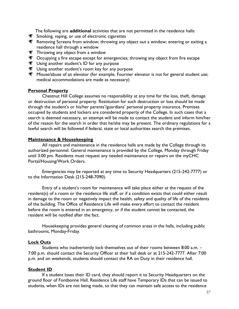The following are **additional** activities that are not permitted in the residence halls:

- Smoking, vaping, or use of electronic cigarettes
- Removing Screens from window; throwing any object out a window; entering or exiting a residence hall through a window
- $\blacktriangleright$  Throwing any object from a window
- **SECOCCUPS** Occupying a fire escape except for emergencies; throwing any object from fire escape
- **We Using another student's ID for any purpose**
- Using another student's room key for any purpose
- **Misuse/abuse of an elevator (for example, Fournier elevator is not for general student use;** medical accommodations are made as necessary)

#### **Personal Property**

Chestnut Hill College assumes no responsibility at any time for the loss, theft, damage or destruction of personal property. Restitution for such destruction or loss should be made through the student's or his/her parents'/guardians' personal property insurance. Premises occupied by students and lockers are considered property of the College. In such cases that a search is deemed necessary, an attempt will be made to contact the student and inform him/her of the reason for the search in order that he/she may be present. The ordinary regulations for a lawful search will be followed if federal, state or local authorities search the premises.

## **Maintenance & Housekeeping**

All repairs and maintenance in the residence halls are made by the College through its authorized personnel. General maintenance is provided by the College, Monday through Friday until 3:00 pm. Residents must request any needed maintenance or repairs on the myCHC Portal/Housing/Work Orders.

Emergencies may be reported at any time to Security Headquarters (215-242-7777) or to the Information Desk (215-248-7090).

Entry of a student's room for maintenance will take place either at the request of the resident(s) of a room or the residence life staff, or if a condition exists that could either result in damage to the room or negatively impact the health, safety and quality of life of the residents of the building. The Office of Residence Life will make every effort to contact the resident before the room is entered in an emergency, or if the student cannot be contacted, the resident will be notified after the fact.

Housekeeping provides general cleaning of common areas in the halls, including public bathrooms, Monday-Friday.

## **Lock Outs**

Students who inadvertently lock themselves out of their rooms between 8:00 a.m. – 7:00 p.m. should contact the Security Officer at their hall desk or at 215-242-7777. After 7:00 p.m. and on weekends, students should contact the RA on Duty in their residence hall.

## **Student ID**

If a student loses their ID card, they should report it to Security Headquarters on the ground floor of Fontbonne Hall. Residence Life staff have Temporary IDs that can be issued to students, when IDs are not being made, so that they can maintain safe access to the residence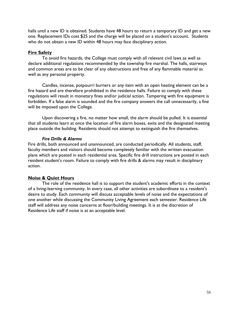halls until a new ID is obtained. Students have 48 hours to return a temporary ID and get a new one. Replacement IDs cost \$25 and the charge will be placed on a student's account. Students who do not obtain a new ID within 48 hours may face disciplinary action.

#### **Fire Safety**

To avoid fire hazards, the College must comply with all relevant civil laws as well as declare additional regulations recommended by the township fire marshal. The halls, stairways and common areas are to be clear of any obstructions and free of any flammable material as well as any personal property.

Candles, incense, potpourri burners or any item with an open heating element can be a fire hazard and are therefore prohibited in the residence halls. Failure to comply with these regulations will result in monetary fines and/or judicial action. Tampering with fire equipment is forbidden. If a false alarm is sounded and the fire company answers the call unnecessarily, a fine will be imposed upon the College.

Upon discovering a fire, no matter how small, the alarm should be pulled. It is essential that all students learn at once the location of fire alarm boxes, exits and the designated meeting place outside the building. Residents should not attempt to extinguish the fire themselves.

#### *Fire Drills & Alarms*

Fire drills, both announced and unannounced, are conducted periodically. All students, staff, faculty members and visitors should become completely familiar with the written evacuation plans which are posted in each residential area. Specific fire drill instructions are posted in each resident student's room. Failure to comply with fire drills & alarms may result in disciplinary action.

## **Noise & Quiet Hours**

The role of the residence hall is to support the student's academic efforts in the context of a living-learning community. In every case, all other activities are subordinate to a resident's desire to study. Each community will discuss acceptable levels of noise and the expectations of one another while discussing the Community Living Agreement each semester. Residence Life staff will address any noise concerns at floor/building meetings. It is at the discretion of Residence Life staff if noise is at an acceptable level.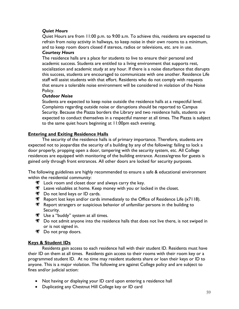# *Quiet Hours*

Quiet Hours are from 11:00 p.m. to 9:00 a.m. To achieve this, residents are expected to refrain from noisy activity in hallways, to keep noise in their own rooms to a minimum, and to keep room doors closed if stereos, radios or televisions, etc. are in use.

# *Courtesy Hours*

The residence halls are a place for students to live to ensure their personal and academic success. Students are entitled to a living environment that supports rest, socialization and academic study at any hour. If there is a noise disturbance that disrupts this success, students are encouraged to communicate with one another. Residence Life staff will assist students with that effort. Residents who do not comply with requests that ensure a tolerable noise environment will be considered in violation of the Noise Policy.

## *Outdoor Noise*

Students are expected to keep noise outside the residence halls at a respectful level. Complaints regarding outside noise or disruptions should be reported to Campus Security. Because the Piazza borders the Library and two residence halls, students are expected to conduct themselves in a respectful manner at all times. The Piazza is subject to the same quiet hours beginning at 11:00pm each evening.

# **Entering and Exiting Residence Halls**

The security of the residence halls is of primary importance. Therefore, students are expected not to jeopardize the security of a building by any of the following: failing to lock a door properly, propping open a door, tampering with the security system, etc. All College residences are equipped with monitoring of the building entrance. Access/egress for guests is gained only through front entrances. All other doors are locked for security purposes.

The following guidelines are highly recommended to ensure a safe & educational environment within the residential community:

- $\mathcal{F}$  Lock room and closet door and always carry the key.
- Leave valuables at home. Keep money with you or locked in the closet.
- Do not lend keys or ID cards.
- Report lost keys and/or cards immediately to the Office of Residence Life  $(x7118)$ .
- Report strangers or suspicious behavior of unfamiliar persons in the building to Security.
- **We Use a "buddy" system at all times.**
- **EXED** Do not admit anyone into the residence halls that does not live there, is not swiped in or is not signed in.
- **Do not prop doors.**

# **Keys & Student IDs**

Residents gain access to each residence hall with their student ID. Residents must have their ID on them at all times. Residents gain access to their rooms with their room key or a programmed student ID. At no time may resident students share or loan their keys or ID to anyone. This is a major violation. The following are against College policy and are subject to fines and/or judicial action:

- Not having or displaying your ID card upon entering a residence hall
- Duplicating any Chestnut Hill College key or ID card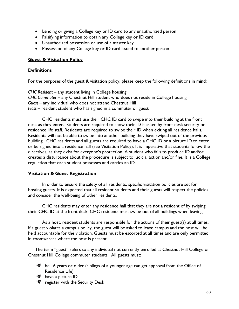- Lending or giving a College key or ID card to any unauthorized person
- Falsifying information to obtain any College key or ID card
- Unauthorized possession or use of a master key
- Possession of any College key or ID card issued to another person

## **Guest & Visitation Policy**

## **Definitions**

For the purposes of the guest & visitation policy, please keep the following definitions in mind:

*CHC Resident* – any student living in College housing *CHC Commuter* – any Chestnut Hill student who does not reside in College housing Guest – any individual who does not attend Chestnut Hill Host – resident student who has signed in a commuter or guest

CHC residents must use their CHC ID card to swipe into their building at the front desk as they enter. Students are required to show their ID if asked by front desk security or residence life staff. Residents are required to swipe their ID when exiting all residence halls. Residents will not be able to swipe into another building they have swiped out of the previous building. CHC residents and all guests are required to have a CHC ID or a picture ID to enter or be signed into a residence hall (see Visitation Policy). It is imperative that students follow the directives, as they exist for everyone's protection. A student who fails to produce ID and/or creates a disturbance about the procedure is subject to judicial action and/or fine. It is a College regulation that each student possesses and carries an ID.

## **Visitation & Guest Registration**

In order to ensure the safety of all residents, specific visitation policies are set for hosting guests. It is expected that all resident students and their guests will respect the policies and consider the well-being of other residents.

CHC residents may enter any residence hall that they are not a resident of by swiping their CHC ID at the front desk. CHC residents must swipe out of all buildings when leaving.

As a host, resident students are responsible for the actions of their guest(s) at all times. If a guest violates a campus policy, the guest will be asked to leave campus and the host will be held accountable for the violation. Guests must be escorted at all times and are only permitted in rooms/areas where the host is present.

The term "guest" refers to any individual not currently enrolled at Chestnut Hill College or Chestnut Hill College commuter students. All guests must:

- $\mathcal{F}$  be 16 years or older (siblings of a younger age can get approval from the Office of Residence Life)
- have a picture ID
- **Follogy** register with the Security Desk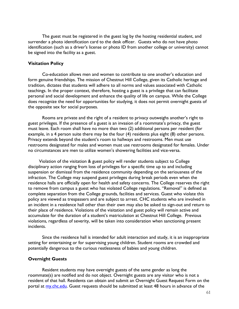The guest must be registered in the guest log by the hosting residential student, and surrender a photo identification card to the desk officer. Guests who do not have photo identification (such as a driver's license or photo ID from another college or university) cannot be signed into the facility as a guest.

#### **Visitation Policy**

Co-education allows men and women to contribute to one another's education and form genuine friendships. The mission of Chestnut Hill College, given its Catholic heritage and tradition, dictates that students will adhere to all norms and values associated with Catholic teachings. In the proper context, therefore, hosting a guest is a privilege that can facilitate personal and social development and enhance the quality of life on campus. While the College does recognize the need for opportunities for studying, it does not permit overnight guests of the opposite sex for social purposes.

Rooms are private and the right of a resident to privacy outweighs another's right to guest privileges. If the presence of a guest is an invasion of a roommate's privacy, the guest must leave. Each room shall have no more than two (2) additional persons per resident (for example, in a 4 person suite there may be the four (4) residents plus eight (8) other persons. Privacy extends beyond the student's room to hallways and restrooms. Men must use restrooms designated for males and women must use restrooms designated for females. Under no circumstances are men to utilize women's showering facilities and vice-versa.

Violation of the visitation & guest policy will render students subject to College disciplinary action ranging from loss of privileges for a specific time up to and including suspension or dismissal from the residence community depending on the seriousness of the infraction. The College may suspend guest privileges during break periods even when the residence halls are officially open for health and safety concerns. The College reserves the right to remove from campus a guest who has violated College regulations. "Removal" is defined as complete separation from the College grounds, facilities and services. Guest who violate this policy are viewed as trespassers and are subject to arrest. CHC students who are involved in an incident in a residence hall other than their own may also be asked to sign-out and return to their place of residence. Violations of the visitation and guest policy will remain active and accumulate for the duration of a student's matriculation at Chestnut Hill College. Previous violations, regardless of severity, will be taken into consideration when sanctioning present incidents.

Since the residence hall is intended for adult interaction and study, it is an inappropriate setting for entertaining or for supervising young children. Student rooms are crowded and potentially dangerous to the curious restlessness of babies and young children.

#### **Overnight Guests**

Resident students may have overnight guests of the same gender as long the roommate(s) are notified and do not object. Overnight guests are any visitor who is not a resident of that hall. Residents can obtain and submit an Overnight Guest Request Form on the portal at [my.chc.edu.](file:///C:/Users/baileyk/AppData/Local/Microsoft/Windows/Temporary%20Internet%20Files/Content.Outlook/KW192QZ2/my.chc.edu) Guest requests should be submitted at least 48 hours in advance of the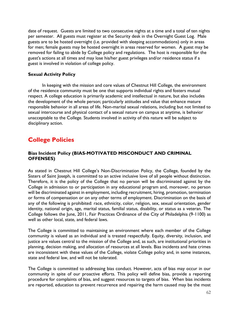date of request. Guests are limited to two consecutive nights at a time and a total of ten nights per semester. All guests must register at the Security desk in the Overnight Guest Log. Male guests are to be hosted overnight (i.e. provided with sleeping accommodations) only in areas for men; female guests may be hosted overnight in areas reserved for women. A guest may be removed for failing to abide by College policy and regulations. The host is responsible for the guest's actions at all times and may lose his/her guest privileges and/or residence status if a guest is involved in violation of college policy.

#### **Sexual Activity Policy**

In keeping with the mission and core values of Chestnut Hill College, the environment of the residence community must be one that supports individual rights and fosters mutual respect. A college education is primarily academic and intellectual in nature, but also includes the development of the whole person; particularly attitudes and value that enhance mature responsible behavior in all areas of life. Non-marital sexual relations, including but not limited to sexual intercourse and physical contact of a sexual nature on campus at anytime, is behavior unacceptable to the College. Students involved in activity of this nature will be subject to disciplinary action.

# **College Policies**

## **Bias Incident Policy (BIAS-MOTIVATED MISCONDUCT AND CRIMINAL OFFENSES)**

As stated in Chestnut Hill College's Non-Discrimination Policy, the College, founded by the Sisters of Saint Joseph, is committed to an active inclusive love of all people without distinction. Therefore, it is the policy of the College that no person will be discriminated against by the College in admission to or participation in any educational program and, moreover, no person will be discriminated against in employment, including recruitment, hiring, promotion, termination or forms of compensation or on any other terms of employment. Discrimination on the basis of any of the following is prohibited: race, ethnicity, color, religion, sex, sexual orientation, gender identity, national origin, age, marital status, familial status, disability, or status as a veteran. The College follows the June, 2011, Fair Practices Ordinance of the City of Philadelphia (9‐1100) as well as other local, state, and federal laws.

The College is committed to maintaining an environment where each member of the College community is valued as an individual and is treated respectfully. Equity, diversity, inclusion, and justice are values central to the mission of the College and, as such, are institutional priorities in planning, decision making, and allocation of resources at all levels. Bias incidents and hate crimes are inconsistent with these values of the College, violate College policy and, in some instances, state and federal law, and will not be tolerated.

The College is committed to addressing bias conduct. However, acts of bias may occur in our community in spite of our proactive efforts. This policy will define bias, provide a reporting procedure for complaints of bias, and suggest resources to targets of bias. When bias incidents are reported, education to prevent recurrence and repairing the harm caused may be the most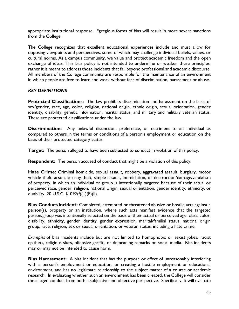appropriate institutional response. Egregious forms of bias will result in more severe sanctions from the College.

The College recognizes that excellent educational experiences include and must allow for opposing viewpoints and perspectives, some of which may challenge individual beliefs, values, or cultural norms. As a campus community, we value and protect academic freedom and the open exchange of ideas. This bias policy is not intended to undermine or weaken these principles; rather it is meant to address those incidents that fall beyond professional and academic discourse. All members of the College community are responsible for the maintenance of an environment in which people are free to learn and work without fear of discrimination, harassment or abuse.

## *KEY DEFINITIONS*

**Protected Classifications:** The law prohibits discrimination and harassment on the basis of sex/gender, race, age, color, religion, national origin, ethnic origin, sexual orientation, gender identity, disability, genetic information, marital status, and military and military veteran status. These are protected classifications under the law.

**Discrimination:** Any unlawful distinction, preference, or detriment to an individual as compared to others in the terms or conditions of a person's employment or education on the basis of their protected category status.

**Target:** The person alleged to have been subjected to conduct in violation of this policy.

**Respondent:** The person accused of conduct that might be a violation of this policy.

**Hate Crime:** Criminal homicide, sexual assault, robbery, aggravated assault, burglary, motor vehicle theft, arson, larceny-theft, simple assault, intimidation, or destruction/damage/vandalism of property, in which an individual or group is intentionally targeted because of their actual or perceived race, gender, religion, national origin, sexual orientation, gender identity, ethnicity, or disability. 20 U.S.C. §1092(f)(1)(F)(ii).

**Bias Conduct/Incident:** Completed, attempted or threatened abusive or hostile acts against a person(s), property or an institution, where such acts manifest evidence that the targeted person/group was intentionally selected on the basis of their actual or perceived age, class, color, disability, ethnicity, gender identity, gender expression, marital/familial status, national origin group, race, religion, sex or sexual orientation, or veteran status, including a hate crime.

*Examples* of bias incidents include but are not limited to homophobic or sexist jokes, racist epithets, religious slurs, offensive graffiti, or demeaning remarks on social media. Bias incidents may or may not be intended to cause harm.

**Bias Harassment:** A bias incident that has the purpose or effect of unreasonably interfering with a person's employment or education, or creating a hostile employment or educational environment, and has no legitimate relationship to the subject matter of a course or academic research. In evaluating whether such an environment has been created, the College will consider the alleged conduct from both a subjective and objective perspective. Specifically, it will evaluate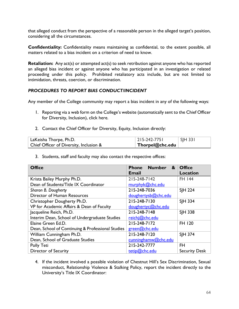that alleged conduct from the perspective of a reasonable person in the alleged target's position, considering all the circumstances.

**Confidentiality:** Confidentiality means maintaining as confidential, to the extent possible, all matters related to a bias incident on a criterion of need to know.

**Retaliation:** Any act(s) or attempted act(s) to seek retribution against anyone who has reported an alleged bias incident or against anyone who has participated in an investigation or related proceeding under this policy. Prohibited retaliatory acts include, but are not limited to intimidation, threats, coercion, or discrimination.

## *PROCEDURES TO REPORT BIAS CONDUCT/INCIDENT*

Any member of the College community may report a bias incident in any of the following ways:

- 1. Reporting via a web form on the College's website (automatically sent to the Chief Officer for Diversity, Inclusion), click here.
- 2. Contact the Chief Officer for Diversity, Equity, Inclusion directly:

| LaKeisha Thorpe, Ph.D.                  | $ 215 - 242 - 775 $     | $\vert$ SJH 331 |
|-----------------------------------------|-------------------------|-----------------|
| Chief Officer of Diversity, Inclusion & | $\perp$ Thorpel@chc.edu |                 |

3. Students, staff and faculty may also contact the respective offices:

| <b>Office</b>                                     | <b>Number</b><br>$\boldsymbol{\mathbf{z}}$<br><b>Phone</b> | <b>Office</b>        |
|---------------------------------------------------|------------------------------------------------------------|----------------------|
|                                                   | <b>Email</b>                                               | <b>Location</b>      |
| Krista Bailey Murphy Ph.D.                        | 215-248-7142                                               | <b>FH 144</b>        |
| Dean of Students/Title IX Coordinator             | murphyk@chc.edu                                            |                      |
| Sharon B. Dougherty                               | 215-248-7036                                               | <b>SIH 224</b>       |
| Director of Human Resources                       | doughertysb@chc.edu                                        |                      |
| Christopher Dougherty Ph.D.                       | 215-248-7130                                               | <b>SIH 334</b>       |
| VP for Academic Affairs & Dean of Faculty         | doughertyc@chc.edu                                         |                      |
| Jacqueline Reich, Ph.D.                           | 215-248-7148                                               | <b>SIH 338</b>       |
| Interim Dean, School of Undergraduate Studies     | reichj@chc.edu                                             |                      |
| Elaine Green Ed.D.                                | 215-248-7172                                               | FH 120               |
| Dean, School of Continuing & Professional Studies | green@chc.edu                                              |                      |
| William Cunningham Ph.D.                          | 215-248-7120                                               | <b>SIH 374</b>       |
| Dean, School of Graduate Studies                  | cunninghamw@chc.edu                                        |                      |
| Polly Teti                                        | 215-242-7777                                               | <b>FH</b>            |
| <b>Director of Security</b>                       | tetip@chc.edu                                              | <b>Security Desk</b> |

4. If the incident involved a possible violation of Chestnut Hill's Sex Discrimination, Sexual misconduct, Relationship Violence & Stalking Policy, report the incident directly to the University's Title IX Coordinator: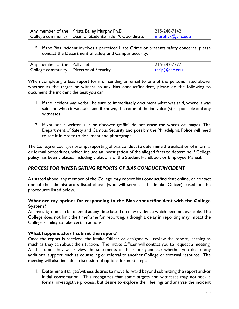| Any member of the   Krista Bailey Murphy Ph.D.                  | $ 215 - 248 - 7142 $     |
|-----------------------------------------------------------------|--------------------------|
| College community $\vert$ Dean of Students/Title IX Coordinator | <u>  murphyk@chc.edu</u> |

5. If the Bias Incident involves a perceived Hate Crime or presents safety concerns, please contact the Department of Safety and Campus Security:

| Any member of the   Polly Teti           | $ 215 - 242 - 7777$ |
|------------------------------------------|---------------------|
| College community   Director of Security | tetip@chc.edu       |

When completing a bias report form or sending an email to one of the persons listed above, whether as the target or witness to any bias conduct/incident, please do the following to document the incident the best you can:

- 1. If the incident was verbal, be sure to immediately document what was said, where it was said and when it was said, and if known, the name of the individual(s) responsible and any witnesses.
- 2. If you see a written slur or discover graffiti, do not erase the words or images. The Department of Safety and Campus Security and possibly the Philadelphia Police will need to see it in order to document and photograph.

The College encourages prompt reporting of bias conduct to determine the utilization of informal or formal procedures, which include an investigation of the alleged facts to determine if College policy has been violated, including violations of the Student Handbook or Employee Manual.

## *PROCESS FOR INVESTIGATING REPORTS OF BIAS CONDUCT/INCIDENT*

As stated above, any member of the College may report bias conduct/incident online, or contact one of the administrators listed above (who will serve as the Intake Officer) based on the procedures listed below.

# **What are my options for responding to the Bias conduct/incident with the College System?**

An investigation can be opened at any time based on new evidence which becomes available. The College does not limit the timeframe for reporting, although a delay in reporting may impact the College's ability to take certain actions.

## **What happens after I submit the report?**

Once the report is received, the Intake Officer or designee will review the report, learning as much as they can about the situation. The Intake Officer will contact you to request a meeting. At that time, they will review the statements of the report; and ask whether you desire any additional support, such as counseling or referral to another College or external resource. The meeting will also include a discussion of options for next steps:

1. Determine if target/witness desires to move forward beyond submitting the report and/or initial conversation. This recognizes that some targets and witnesses may not seek a formal investigative process, but desire to explore their feelings and analyze the incident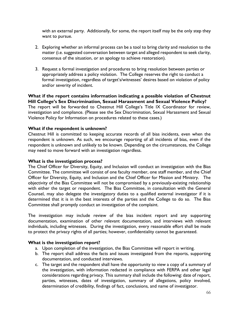with an external party. Additionally, for some, the report itself may be the only step they want to pursue.

- 2. Exploring whether an informal process can be a tool to bring clarity and resolution to the matter (i.e. suggested conversation between target and alleged respondent to seek clarity, consensus of the situation, or an apology to achieve restoration).
- 3. Request a formal investigation and procedures to bring resolution between parties or appropriately address a policy violation. The College reserves the right to conduct a formal investigation, regardless of target's/witnesses' desires based on violation of policy and/or severity of incident.

#### **What if the report contains information indicating a possible violation of Chestnut Hill College's Sex Discrimination, Sexual Harassment and Sexual Violence Policy?**

The report will be forwarded to Chestnut Hill College's Title IX Coordinator for review, investigation and compliance. (Please see the Sex Discrimination, Sexual Harassment and Sexual Violence Policy for Information on procedures related to these cases.)

#### **What if the respondent is unknown?**

Chestnut Hill is committed to keeping accurate records of all bias incidents, even when the respondent is unknown. As such, we encourage reporting of all incidents of bias, even if the respondent is unknown and unlikely to be known. Depending on the circumstances, the College may need to move forward with an investigation regardless.

#### **What is the investigation process?**

The Chief Officer for Diversity, Equity, and Inclusion will conduct an investigation with the Bias Committee. The committee will consist of one faculty member, one staff member, and the Chief Officer for Diversity, Equity, and Inclusion and the Chief Officer for Mission and Ministry. The objectivity of the Bias Committee will not be compromised by a previously-existing relationship with either the target or respondent. The Bias Committee, in consultation with the General Counsel, may also delegate the investigatory duties to a qualified external investigator if it is determined that it is in the best interests of the parties and the College to do so. The Bias Committee shall promptly conduct an investigation of the complaint.

The investigation may include review of the bias incident report and any supporting documentation, examination of other relevant documentation, and interviews with relevant individuals, including witnesses. During the investigation, every reasonable effort shall be made to protect the privacy rights of all parties; however, confidentiality cannot be guaranteed.

#### **What is the investigation report?**

- a. Upon completion of the investigation, the Bias Committee will report in writing.
- b. The report shall address the facts and issues investigated from the reports, supporting documentation, and conducted interviews.
- c. The target and the respondent shall have the opportunity to view a copy of a summary of the investigation, with information redacted in compliance with FERPA and other legal considerations regarding privacy. This summary shall include the following: date of report, parties, witnesses, dates of investigation, summary of allegations, policy involved, determination of credibility, findings of fact, conclusions, and name of investigator.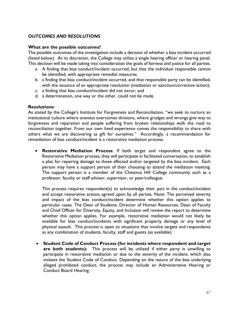## *OUTCOMES AND RESOLUTIONS*

#### **What are the possible outcomes?**

The possible outcomes of the investigation include a decision of whether a bias incident occurred (listed below). At its discretion, the College may utilize a single hearing officer or hearing panel. This decision will be made taking into consideration the goals of fairness and justice for all parties.

- a. A finding that bias conduct/incident occurred, but that the individual responsible cannot be identified, with appropriate remedial measures;
- b. a finding that bias conduct/incident occurred, and that responsible party can be identified, with the issuance of an appropriate resolution (mediation or sanction/corrective action);
- c. a finding that bias conduct/incident did not occur; and
- d. a determination, one way or the other, could not be made.

#### **Resolutions:**

As stated by the College's Institute for Forgiveness and Reconciliation, "we seek to nurture an institutional culture where oneness overcomes divisions, where grudges and wrongs give way to forgiveness and reparation and people suffering from broken relationships walk the road to reconciliation together. From our own lived experience comes the responsibility to share with others what we are discovering as gift for ourselves." Accordingly, a recommendation for remediation of bias conduct/incident is a restorative mediation process.

• **Restorative Mediation Process**: If both target and respondent agree to the Restorative Mediation process, they will participate in facilitated conversation, to establish a plan for repairing damage to those affected and/or targeted by the bias incident. Each person may have a support person of their choosing to attend the mediation meeting. The support person is a member of the Chestnut Hill College community such as a professor, faculty or staff advisor, supervisor, or peer/colleague.

This process requires respondent(s) to acknowledge their part in the conduct/incident and accept restorative actions agreed upon by all parties. Note: The perceived severity and impact of the bias conduct/incident determine whether this option applies to particular cases. The Dean of Students, Director of Human Resources, Dean of Faculty and Chief Officer for Diversity, Equity, and Inclusion will review the report to determine whether this option applies. For example, restorative mediation would not likely be available for bias conduct/incidents with significant property damage or any level of physical assault. This process is open to situations that involve targets and respondents as any combination of students, faculty, staff and guests (as available).

• **Student Code of Conduct Process (for incidents where respondent and target are both students):** This process will be utilized if either party is unwilling to participate in restorative mediation or due to the severity of the incident, which also violates the Student Code of Conduct. Depending on the nature of the bias underlying alleged prohibited conduct, the process may include an Administrative Hearing or Conduct Board Hearing.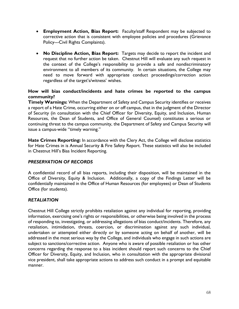- **Employment Action, Bias Report:** Faculty/staff Respondent may be subjected to corrective action that is consistent with employee policies and procedures (Grievance Policy---Civil Rights Complaints).
- **No Discipline Action, Bias Report:** Targets may decide to report the incident and request that no further action be taken. Chestnut Hill will evaluate any such request in the context of the College's responsibility to provide a safe and nondiscriminatory environment to all members of its community. In certain situations, the College may need to move forward with appropriate conduct proceedings/correction action regardless of the target's/witness' wishes.

# **How will bias conduct/incidents and hate crimes be reported to the campus community?**

**Timely Warnings:** When the Department of Safety and Campus Security identifies or receives a report of a Hate Crime, occurring either on or off campus, that in the judgment of the Director of Security (in consultation with the Chief Officer for Diversity, Equity, and Inclusion, Human Resources, the Dean of Students, and Office of General Counsel) constitutes a serious or continuing threat to the campus community, the Department of Safety and Campus Security will issue a campus-wide "timely warning."

**Hate Crimes Reporting:** In accordance with the Clery Act, the College will disclose statistics for Hate Crimes in is Annual Security & Fire Safety Report. These statistics will also be included in Chestnut Hill's Bias Incident Reporting.

# *PRESERVATION OF RECORDS*

A confidential record of all bias reports, including their disposition, will be maintained in the Office of Diversity, Equity & Inclusion. Additionally, a copy of the Findings Letter will be confidentially maintained in the Office of Human Resources (for employees) or Dean of Students Office (for students).

## *RETALIATION*

Chestnut Hill College strictly prohibits retaliation against any individual for reporting, providing information, exercising one's rights or responsibilities, or otherwise being involved in the process of responding to, investigating, or addressing allegations of bias conduct/incidents. Therefore, any retaliation, intimidation, threats, coercion, or discrimination against any such individual, undertaken or attempted either directly or by someone acting on behalf of another, will be addressed in the most serious way by the College, and individuals who engage in such actions are subject to sanctions/corrective action. Anyone who is aware of possible retaliation or has other concerns regarding the response to a bias incident should report such concerns to the Chief Officer for Diversity, Equity, and Inclusion, who in consultation with the appropriate divisional vice president, shall take appropriate actions to address such conduct in a prompt and equitable manner.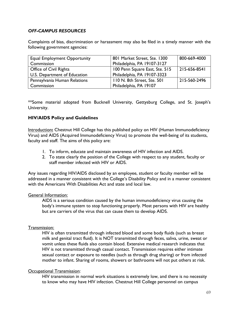## *OFF-CAMPUS RESOURCES*

Complaints of bias, discrimination or harassment may also be filed in a timely manner with the following government agencies:

| <b>Equal Employment Opportunity</b> | 801 Market Street, Ste. 1300   | 800-669-4000        |
|-------------------------------------|--------------------------------|---------------------|
| Commission                          | Philadelphia, PA 19107-3127    |                     |
| <b>Office of Civil Rights</b>       | 100 Penn Square East, Ste. 515 | $1215 - 656 - 8541$ |
| U.S. Department of Education        | Philadelphia, PA 19107-3323    |                     |
| Pennsylvania Human Relations        | 110 N. 8th Street, Ste. 501    | 215-560-2496        |
| Commission                          | Philadelphia, PA 19107         |                     |

\*\*Some material adopted from Bucknell University, Gettysburg College, and St. Joseph's University.

## **HIV/AIDS Policy and Guidelines**

Introduction**:** Chestnut Hill College has this published policy on HIV (Human Immunodeficiency Virus) and AIDS (Acquired Immunodeficiency Virus) to promote the well-being of its students, faculty and staff. The aims of this policy are:

- 1. To inform, educate and maintain awareness of HIV infection and AIDS.
- 2. To state clearly the position of the College with respect to any student, faculty or staff member infected with HIV or AIDS.

Any issues regarding HIV/AIDS disclosed by an employee, student or faculty member will be addressed in a manner consistent with the College's Disability Policy and in a manner consistent with the Americans With Disabilities Act and state and local law.

## General Information:

AIDS is a serious condition caused by the human immunodeficiency virus causing the body's immune system to stop functioning properly. Most persons with HIV are healthy but are carriers of the virus that can cause them to develop AIDS.

## Transmission:

HIV is often transmitted through infected blood and some body fluids (such as breast milk and genital tract fluid). It is NOT transmitted through feces, saliva, urine, sweat or vomit unless these fluids also contain blood. Extensive medical research indicates that HIV is not transmitted through casual contact. Transmission requires either intimate sexual contact or exposure to needles (such as through drug sharing) or from infected mother to infant. Sharing of rooms, showers or bathrooms will not put others at risk.

#### Occupational Transmission:

HIV transmission in normal work situations is extremely low, and there is no necessity to know who may have HIV infection. Chestnut Hill College personnel on campus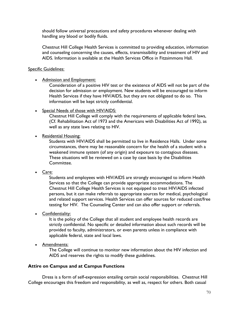should follow universal precautions and safety procedures whenever dealing with handling any blood or bodily fluids.

Chestnut Hill College Health Services is committed to providing education, information and counseling concerning the causes, effects, transmissibility and treatment of HIV and AIDS. Information is available at the Health Services Office in Fitzsimmons Hall.

## Specific Guidelines:

• Admission and Employment:

Consideration of a positive HIV test or the existence of AIDS will not be part of the decision for admission or employment. New students will be encouraged to inform Health Services if they have HIV/AIDS, but they are not obligated to do so. This information will be kept strictly confidential.

• Special Needs of those with HIV/AIDS:

Chestnut Hill College will comply with the requirements of applicable federal laws, (Cf. Rehabilitation Act of 1973 and the Americans with Disabilities Act of 1992), as well as any state laws relating to HIV.

• Residential Housing:

Students with HIV/AIDS shall be permitted to live in Residence Halls. Under some circumstances, there may be reasonable concern for the health of a student with a weakened immune system (of any origin) and exposure to contagious diseases. These situations will be reviewed on a case by case basis by the Disabilities Committee.

• Care:

Students and employees with HIV/AIDS are strongly encouraged to inform Health Services so that the College can provide appropriate accommodations. The Chestnut Hill College Health Services is not equipped to treat HIV/AIDS infected persons, but it can make referrals to appropriate sources for medical, psychological and related support services. Health Services can offer sources for reduced cost/free testing for HIV. The Counseling Center and can also offer support or referrals.

• Confidentiality:

It is the policy of the College that all student and employee health records are strictly confidential. No specific or detailed information about such records will be provided to faculty, administrators, or even parents unless in compliance with applicable federal, state and local laws.

• Amendments:

The College will continue to monitor new information about the HIV infection and AIDS and reserves the rights to modify these guidelines.

# **Attire on Campus and at Campus Functions**

Dress is a form of self-expression entailing certain social responsibilities. Chestnut Hill College encourages this freedom and responsibility, as well as, respect for others. Both casual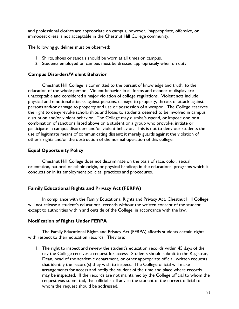and professional clothes are appropriate on campus, however, inappropriate, offensive, or immodest dress is not acceptable in the Chestnut Hill College community.

The following guidelines must be observed:

- 1. Shirts, shoes or sandals should be worn at all times on campus.
- 2. Students employed on campus must be dressed appropriately when on duty

#### **Campus Disorders/Violent Behavior**

Chestnut Hill College is committed to the pursuit of knowledge and truth, to the education of the whole person. Violent behavior in all forms and manner of display are unacceptable and considered a major violation of college regulations. Violent acts include physical and emotional attacks against persons, damage to property, threats of attack against persons and/or damage to property and use or possession of a weapon. The College reserves the right to deny/revoke scholarships and loans to students deemed to be involved in campus disruption and/or violent behavior. The College may dismiss/suspend, or impose one or a combination of sanctions listed above on a student or a group who provoke, initiate or participate in campus disorders and/or violent behavior. This is not to deny our students the use of legitimate means of communicating dissent; it merely guards against the violation of other's rights and/or the obstruction of the normal operation of this college.

## **Equal Opportunity Policy**

Chestnut Hill College does not discriminate on the basis of race, color, sexual orientation, national or ethnic origin, or physical handicap in the educational programs which it conducts or in its employment policies, practices and procedures.

## **Family Educational Rights and Privacy Act (FERPA)**

In compliance with the Family Educational Rights and Privacy Act, Chestnut Hill College will not release a student's educational records without the written consent of the student except to authorities within and outside of the College, in accordance with the law.

## **Notification of Rights Under FERPA**

The Family Educational Rights and Privacy Act (FERPA) affords students certain rights with respect to their education records. They are:

1. The right to inspect and review the student's education records within 45 days of the day the College receives a request for access. Students should submit to the Registrar, Dean, head of the academic department, or other appropriate official, written requests that identify the record(s) they wish to inspect. The College official will make arrangements for access and notify the student of the time and place where records may be inspected. If the records are not maintained by the College official to whom the request was submitted, that official shall advise the student of the correct official to whom the request should be addressed.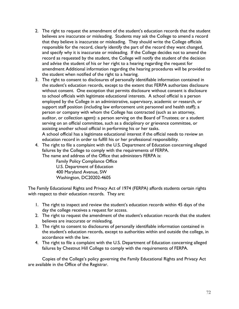- 2. The right to request the amendment of the student's education records that the student believes are inaccurate or misleading. Students may ask the College to amend a record that they believe is inaccurate or misleading. They should write the College officials responsible for the record, clearly identify the part of the record they want changed, and specify why it is inaccurate or misleading. If the College decides not to amend the record as requested by the student, the College will notify the student of the decision and advise the student of his or her right to a hearing regarding the request for amendment Additional information regarding the hearing procedures will be provided to the student when notified of the right to a hearing.
- 3. The right to consent to disclosures of personally identifiable information contained in the student's education records, except to the extent that FERPA authorizes disclosure without consent. One exception that permits disclosure without consent is disclosure to school officials with legitimate educational interests. A school official is a person employed by the College in an administrative, supervisory, academic or research, or support staff position (including law enforcement unit personnel and health staff); a person or company with whom the College has contracted (such as an attorney, auditor, or collection agent): a person serving on the Board of Trustees; or a student serving on an official committee, such as a disciplinary or grievance committee, or assisting another school official in performing his or her tasks. A school official has a legitimate educational interest if the official needs to review an education record in order to fulfill his or her professional responsibility.
- 4. The right to file a complaint with the U.S. Department of Education concerning alleged failures by the College to comply with the requirements of FERPA.

The name and address of the Office that administers FERPA is:

Family Policy Compliance Office U.S. Department of Education 400 Maryland Avenue, SW Washington, DC20202-4605

The Family Educational Rights and Privacy Act of 1974 (FERPA) affords students certain rights with respect to their education records. They are:

- 1. The right to inspect and review the student's education records within 45 days of the day the college receives a request for access.
- 2. The right to request the amendment of the student's education records that the student believes are inaccurate or misleading.
- 3. The right to consent to disclosures of personally identifiable information contained in the student's education records, except to authorities within and outside the college, in accordance with the law.
- 4. The right to file a complaint with the U.S. Department of Education concerning alleged failures by Chestnut Hill College to comply with the requirements of FERPA.

Copies of the College's policy governing the Family Educational Rights and Privacy Act are available in the Office of the Registrar.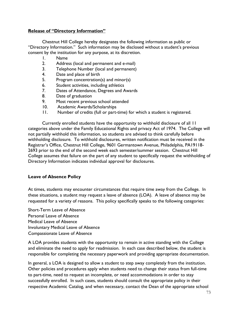#### **Release of "Directory Information"**

Chestnut Hill College hereby designates the following information as public or "Directory Information." Such information may be disclosed without a student's previous consent by the institution for any purpose, at its discretion.

- 1. Name
- 2. Address (local and permanent and e-mail)
- 3. Telephone Number (local and permanent)
- 4. Date and place of birth
- 5. Program concentration(s) and minor(s)
- 6. Student activities, including athletics
- 7. Dates of Attendance, Degrees and Awards
- 8. Date of graduation
- 9. Most recent previous school attended
- 10. Academic Awards/Scholarships
- 11. Number of credits (full or part-time) for which a student is registered.

Currently enrolled students have the opportunity to withhold disclosure of all 11 categories above under the Family Educational Rights and privacy Act of 1974. The College will not partially withhold this information, so students are advised to think carefully before withholding disclosure. To withhold disclosures, written notification must be received in the Registrar's Office, Chestnut Hill College, 9601 Germantown Avenue, Philadelphia, PA19118- 2693 prior to the end of the second week each semester/summer session. Chestnut Hill College assumes that failure on the part of any student to specifically request the withholding of Directory Information indicates individual approval for disclosures.

## **Leave of Absence Policy**

At times, students may encounter circumstances that require time away from the College. In these situations, a student may request a leave of absence (LOA). A leave of absence may be requested for a variety of reasons. This policy specifically speaks to the following categories:

Short-Term Leave of Absence Personal Leave of Absence Medical Leave of Absence Involuntary Medical Leave of Absence Compassionate Leave of Absence

A LOA provides students with the opportunity to remain in active standing with the College and eliminate the need to apply for readmission. In each case described below, the student is responsible for completing the necessary paperwork and providing appropriate documentation.

In general, a LOA is designed to allow a student to step away completely from the institution. Other policies and procedures apply when students need to change their status from full-time to part-time, need to request an incomplete, or need accommodations in order to stay successfully enrolled. In such cases, students should consult the appropriate policy in their respective Academic Catalog, and when necessary, contact the Dean of the appropriate school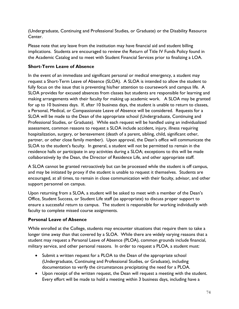(Undergraduate, Continuing and Professional Studies, or Graduate) or the Disability Resource Center.

Please note that any leave from the institution may have financial aid and student billing implications. Students are encouraged to review the Return of Title IV Funds Policy found in the Academic Catalog and to meet with Student Financial Services prior to finalizing a LOA.

## **Short-Term Leave of Absence**

In the event of an immediate and significant personal or medical emergency, a student may request a Short-Term Leave of Absence (SLOA). A SLOA is intended to allow the student to fully focus on the issue that is preventing his/her attention to coursework and campus life. A SLOA provides for excused absences from classes but students are responsible for learning and making arrangements with their faculty for making up academic work. A SLOA may be granted for up to 10 business days. If, after 10 business days, the student is unable to return to classes, a Personal, Medical, or Compassionate Leave of Absence will be considered. Requests for a SLOA will be made to the Dean of the appropriate school (Undergraduate, Continuing and Professional Studies, or Graduate). While each request will be handled using an individualized assessment, common reasons to request a SLOA include accident, injury, illness requiring hospitalization, surgery, or bereavement (death of a parent, sibling, child, significant other, partner, or other close family member). Upon approval, the Dean's office will communicate the SLOA to the student's faculty. In general, a student will not be permitted to remain in the residence halls or participate in any activities during a SLOA; exceptions to this will be made collaboratively by the Dean, the Director of Residence Life, and other appropriate staff.

A SLOA cannot be granted retroactively but can be processed while the student is off campus, and may be initiated by proxy if the student is unable to request it themselves. Students are encouraged, at all times, to remain in close communication with their faculty, advisor, and other support personnel on campus.

Upon returning from a SLOA, a student will be asked to meet with a member of the Dean's Office, Student Success, or Student Life staff (as appropriate) to discuss proper support to ensure a successful return to campus. The student is responsible for working individually with faculty to complete missed course assignments.

## **Personal Leave of Absence**

While enrolled at the College, students may encounter situations that require them to take a longer time away than that covered by a SLOA. While there are widely varying reasons that a student may request a Personal Leave of Absence (PLOA), common grounds include financial, military service, and other personal reasons. In order to request a PLOA, a student must:

- Submit a written request for a PLOA to the Dean of the appropriate school (Undergraduate, Continuing and Professional Studies, or Graduate), including documentation to verify the circumstances precipitating the need for a PLOA.
- Upon receipt of the written request, the Dean will request a meeting with the student. Every effort will be made to hold a meeting within 3 business days, including have a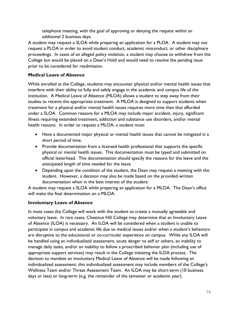telephone meeting, with the goal of approving or denying the request within an additional 2 business days.

A student may request a SLOA while preparing an application for a PLOA. A student may not request a PLOA in order to avoid student conduct, academic misconduct, or other disciplinary proceedings. In cases of an alleged policy violation, a student may choose to withdraw from the College but would be placed on a Dean's Hold and would need to resolve the pending issue prior to be considered for readmission.

## **Medical Leave of Absence**

While enrolled at the College, students may encounter physical and/or mental health issues that interfere with their ability to fully and safely engage in the academic and campus life of the institution. A Medical Leave of Absence (MLOA) allows a student to step away from their studies to receive the appropriate treatment. A MLOA is designed to support students when treatment for a physical and/or mental health issues requires more time than that afforded under a SLOA. Common reasons for a MLOA may include major accident, injury, significant illness requiring extended treatment, addiction and substance use disorders, and/or mental health reasons. In order to request a MLOA, a student must:

- Have a documented major physical or mental health issues that cannot be mitigated in a short period of time.
- Provide documentation from a licensed health professional that supports the specific physical or mental health issues. This documentation must be typed and submitted on official letterhead. This documentation should specify the reasons for the leave and the anticipated length of time needed for the leave.
- Depending upon the condition of the student, the Dean may request a meeting with the student. However, a decision may also be made based on the provided written documentation when in the best interest of the student.

A student may request a SLOA while preparing an application for a MLOA. The Dean's office will make the final determination on a MLOA.

## **Involuntary Leave of Absence**

In most cases the College will work with the student to create a mutually agreeable and voluntary leave. In rare cases, Chestnut Hill College may determine that an Involuntary Leave of Absence (ILOA) is necessary. An ILOA will be considered when a student is unable to participate in campus and academic life due to medical issues and/or when a student's behaviors are disruptive to the educational or co-curricular experience on campus. While any ILOA will be handled using an individualized assessment, acute danger to self or others, an inability to manage daily tasks, and/or an inability to follow a proscribed behavior plan (including use of appropriate support services) may result in the College initiating the ILOA process. The decision to mandate an involuntary Medical Leave of Absence will be made following an individualized assessment; this individualized assessment may include members of the College's Wellness Team and/or Threat Assessment Team. An ILOA may be short-term (10 business days or less) or long-term (e.g. the remainder of the semester or academic year).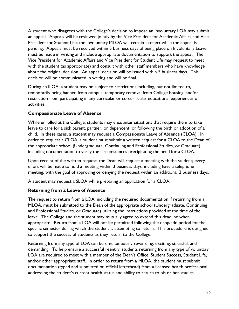A student who disagrees with the College's decision to impose an involuntary LOA may submit an appeal. Appeals will be reviewed jointly by the Vice President for Academic Affairs and Vice President for Student Life; the involuntary MLOA will remain in effect while the appeal is pending. Appeals must be received within 5 business days of being place on Involuntary Leave, must be made in writing and include appropriate documentation to support the appeal. The Vice President for Academic Affairs and Vice President for Student Life may request to meet with the student (as appropriate) and consult with other staff members who have knowledge about the original decision. An appeal decision will be issued within 5 business days. This decision will be communicated in writing and will be final.

During an ILOA, a student may be subject to restrictions including, but not limited to, temporarily being banned from campus, temporary removal from College housing, and/or restriction from participating in any curricular or co-curricular educational experiences or activities.

## **Compassionate Leave of Absence**

While enrolled at the College, students may encounter situations that require them to take leave to care for a sick parent, partner, or dependent, or following the birth or adoption of a child. In these cases, a student may request a Compassionate Leave of Absence (CLOA). In order to request a CLOA, a student must submit a written request for a CLOA to the Dean of the appropriate school (Undergraduate, Continuing and Professional Studies, or Graduate), including documentation to verify the circumstances precipitating the need for a CLOA.

Upon receipt of the written request, the Dean will request a meeting with the student; every effort will be made to hold a meeting within 3 business days, including have a telephone meeting, with the goal of approving or denying the request within an additional 2 business days.

A student may request a SLOA while preparing an application for a CLOA.

## **Returning from a Leave of Absence**

The request to return from a LOA, including the required documentation if returning from a MLOA, must be submitted to the Dean of the appropriate school (Undergraduate, Continuing and Professional Studies, or Graduate) utilizing the instructions provided at the time of the leave. The College and the student may mutually agree to extend this deadline when appropriate. Return from a LOA will not be permitted following the drop/add period for the specific semester during which the student is attempting to return. This procedure is designed to support the success of students as they return to the College.

Returning from any type of LOA can be simultaneously rewarding, exciting, stressful, and demanding. To help ensure a successful reentry, students returning from any type of voluntary LOA are required to meet with a member of the Dean's Office, Student Success, Student Life, and/or other appropriate staff. In order to return from a MLOA, the student must submit documentation (typed and submitted on official letterhead) from a licensed health professional addressing the student's current health status and ability to return to his or her studies.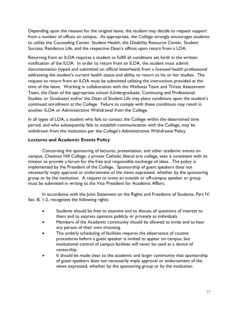Depending upon the reasons for the original leave, the student may decide to request support from a number of offices on campus. As appropriate, the College strongly encourages students to utilize the Counseling Center, Student Health, the Disability Resource Center, Student Success, Residence Life, and the respective Dean's offices upon return from a LOA.

Returning from an ILOA requires a student to fulfill all conditions set forth in the written notification of the ILOA. In order to return from an ILOA, the student must submit documentation (typed and submitted on official letterhead) from a licensed health professional addressing the student's current health status and ability to return to his or her studies. The request to return from an ILOA must be submitted utilizing the instructions provided at the time of the leave. Working in collaboration with the Wellness Team and Threat Assessment Team, the Dean of the appropriate school (Undergraduate, Continuing and Professional Studies, or Graduate) and/or the Dean of Student Life may place conditions upon the student's continued enrollment at the College. Failure to comply with these conditions may result in another ILOA or Administrative Withdrawal from the College.

In all types of LOA, a student who fails to contact the College within the determined time period, and who subsequently fails to establish communication with the College, may be withdrawn from the institution per the College's Administrative Withdrawal Policy.

## **Lectures and Academic Events Policy**

Concerning the sponsoring of lectures, presentation, and other academic events on campus, Chestnut Hill College, a private Catholic liberal arts college, sees it consistent with its mission to provide a forum for the free and responsible exchange of ideas. The policy is implemented by the President of the College. Sponsorship of guest speakers does not necessarily imply approval or endorsement of the views expressed, whether by the sponsoring group or by the institution. A request to invite an outside or off-campus speaker or group must be submitted in writing to the Vice President for Academic Affairs.

In accordance with the Joint Statement on the Rights and Freedoms of Students, Part IV, Sec. B, 1-2, recognizes the following rights:

- Students should be free to examine and to discuss all questions of interest to them and to express opinions publicly or privately as individuals.
- Members of the Academic community should be allowed to invite and to hear any person of their own choosing.
- The orderly scheduling of facilities requires the observance of routine procedures before a guest speaker is invited to appear on campus, but institutional control of campus facilities will never be used as a device of censorship.
- It should be made clear to the academic and larger community that sponsorship of guest speakers does not necessarily imply approval or endorsement of the views expressed, whether by the sponsoring group or by the institution.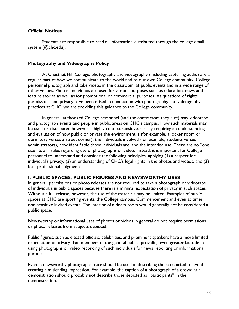## **Official Notices**

Students are responsible to read all information distributed through the college email system (@chc.edu).

## **Photography and Videography Policy**

At Chestnut Hill College, photography and videography (including capturing audio) are a regular part of how we communicate to the world and to our own College community. College personnel photograph and take videos in the classroom, at public events and in a wide range of other venues. Photos and videos are used for various purposes such as education, news and feature stories as well as for promotional or commercial purposes. As questions of rights, permissions and privacy have been raised in connection with photography and videography practices at CHC, we are providing this guidance to the College community.

In general, authorized College personnel (and the contractors they hire) may videotape and photograph events and people in public areas on CHC's campus. How such materials may be used or distributed however is highly context sensitive, usually requiring an understanding and evaluation of how public or private the environment is (for example, a locker room or dormitory versus a street corner), the individuals involved (for example, students versus administrators), how identifiable those individuals are, and the intended use. There are no "one size fits all" rules regarding use of photographs or video. Instead, it is important for College personnel to understand and consider the following principles, applying (1) a respect for individual's privacy, (2) an understanding of CHC's legal rights in the photos and videos, and (3) best professional judgment:

## **I. PUBLIC SPACES, PUBLIC FIGURES AND NEWSWORTHY USES**

In general, permissions or photo releases are not required to take a photograph or videotape of individuals in public spaces because there is a minimal expectation of privacy in such spaces. Without a full release, however, the use of the materials may be limited. Examples of public spaces at CHC are sporting events, the College campus, Commencement and even at times non-sensitive invited events. The interior of a dorm room would generally not be considered a public space.

Newsworthy or informational uses of photos or videos in general do not require permissions or photo releases from subjects depicted.

Public figures, such as elected officials, celebrities, and prominent speakers have a more limited expectation of privacy than members of the general public, providing even greater latitude in using photographs or video recording of such individuals for news reporting or informational purposes.

Even in newsworthy photographs, care should be used in describing those depicted to avoid creating a misleading impression. For example, the caption of a photograph of a crowd at a demonstration should probably not describe those depicted as "participants" in the demonstration.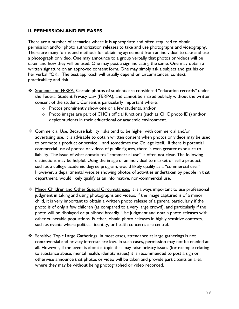## **II. PERMISSION AND RELEASES**

There are a number of scenarios where it is appropriate and often required to obtain permission and/or photo authorization releases to take and use photographs and videography. There are many forms and methods for obtaining agreement from an individual to take and use a photograph or video. One may announce to a group verbally that photos or videos will be taken and how they will be used. One may post a sign indicating the same. One may obtain a written signature on an approved consent form. One may simply ask a subject and get his or her verbal "OK." The best approach will usually depend on circumstances, context, practicability and risk.

- ❖ Students and FERPA. Certain photos of students are considered "education records" under the Federal Student Privacy Law (FERPA), and cannot be shared publicly without the written consent of the student. Consent is particularly important where:
	- o Photos prominently show one or a few students, and/or
	- $\circ$  Photo images are part of CHC's official functions (such as CHC photo IDs) and/or depict students in their educational or academic environment.
- ❖ Commercial Use. Because liability risks tend to be higher with commercial and/or advertising use, it is advisable to obtain written consent when photos or videos may be used to promote a product or service – and sometimes the College itself. If there is potential commercial use of photos or videos of public figures, there is even greater exposure to liability. The issue of what constitutes "commercial use" is often not clear. The following distinctions may be helpful. Using the image of an individual to market or sell a product, such as a college academic degree program, would likely qualify as a "commercial use." However, a departmental website showing photos of activities undertaken by people in that department, would likely qualify as an informative, non-commercial use.
- ❖ Minor Children and Other Special Circumstances. It is always important to use professional judgment in taking and using photographs and videos. If the image captured is of a minor child, it is very important to obtain a written photo release of a parent, particularly if the photo is of only a few children (as compared to a very large crowd), and particularly if the photo will be displayed or published broadly. Use judgment and obtain photo releases with other vulnerable populations. Further, obtain photo releases in highly sensitive contexts, such as events where political, identity, or health concerns are central.
- ❖ Sensitive Topic Large Gatherings. In most cases, attendance at large gatherings is not controversial and privacy interests are low. In such cases, permission may not be needed at all. However, if the event is about a topic that may raise privacy issues (for example relating to substance abuse, mental health, identity issues) it is recommended to post a sign or otherwise announce that photos or video will be taken and provide participants an area where they may be without being photographed or video recorded.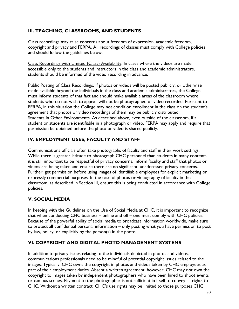## **III. TEACHING, CLASSROOMS, AND STUDENTS**

Class recordings may raise concerns about freedom of expression, academic freedom, copyright and privacy and FERPA. All recordings of classes must comply with College policies and should follow the guidelines below:

Class Recordings with Limited (Class) Availability. In cases where the videos are made accessible only to the students and instructors in the class and academic administrators, students should be informed of the video recording in advance.

Public Posting of Class Recordings. If photos or videos will be posted publicly, or otherwise made available beyond the individuals in the class and academic administrators, the College must inform students of that fact and should make available areas of the classroom where students who do not wish to appear will not be photographed or video recorded. Pursuant to FERPA, in this situation the College may not condition enrollment in the class on the student's agreement that photos or video recordings of them may be publicly distributed. Students in Other Environments. As described above, even outside of the classroom, if a student or students are identifiable in a photograph or video, FERPA may apply and require that permission be obtained before the photo or video is shared publicly.

## **IV. EMPLOYMENT USES, FACULTY AND STAFF**

Communications officials often take photographs of faculty and staff in their work settings. While there is greater latitude to photograph CHC personnel than students in many contexts, it is still important to be respectful of privacy concerns. Inform faculty and staff that photos or videos are being taken and ensure there are no significant, unaddressed privacy concerns. Further, get permission before using images of identifiable employees for explicit marketing or expressly commercial purposes. In the case of photos or videography of faculty in the classroom, as described in Section III, ensure this is being conducted in accordance with College policies.

## **V. SOCIAL MEDIA**

In keeping with the Guidelines on the Use of Social Media at CHC, it is important to recognize that when conducting CHC business – online and off – one must comply with CHC policies. Because of the powerful ability of social media to broadcast information worldwide, make sure to protect all confidential personal information – only posting what you have permission to post by law, policy, or explicitly by the person(s) in the photo.

## **VI. COPYRIGHT AND DIGITAL PHOTO MANAGEMENT SYSTEMS**

In addition to privacy issues relating to the individuals depicted in photos and videos, communications professionals need to be mindful of potential copyright issues related to the images. Typically, CHC owns the copyright in photos and videos taken by CHC employees as part of their employment duties. Absent a written agreement, however, CHC may not own the copyright to images taken by independent photographers who have been hired to shoot events or campus scenes. Payment to the photographer is not sufficient in itself to convey all rights to CHC. Without a written contract, CHC's use rights may be limited to those purposes CHC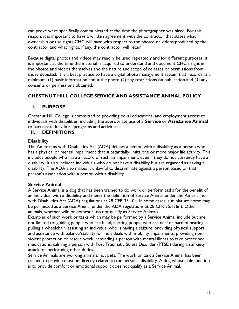can prove were specifically communicated at the time the photographer was hired. For this reason, it is important to have a written agreement with the contractor that states what ownership or use rights CHC will have with respect to the photos or videos produced by the contractor and what rights, if any, the contractor will retain.

Because digital photos and videos may readily be used repeatedly and for different purposes, it is important at the time the material is acquired to understand and document CHC's right in the photos and videos themselves and the nature and scope of releases or permissions from those depicted. It is a best practice to have a digital photo management system that records at a minimum: (1) basic information about the photo (2) any restrictions on publication and (3) any consents or permissions obtained.

## **CHESTNUT HILL COLLEGE SERVICE AND ASSISTANCE ANIMAL POLICY**

## **I. PURPOSE**

Chestnut Hill College is committed to providing equal educational and employment access to individuals with disabilities, including the appropriate use of a **Service** or **Assistance Animal** to participate fully in all programs and activities.

## **II. DEFINITIONS**

## **Disability**

The Americans with Disabilities Act (ADA) defines a person with a disability as a person who has a physical or mental impairment that substantially limits one or more major life activity. This includes people who have a record of such an impairment, even if they do not currently have a disability. It also includes individuals who do not have a disability but are regarded as having a disability. The ADA also makes it unlawful to discriminate against a person based on that person's association with a person with a disability.

## **Service Animal**

A Service Animal is a dog that has been trained to do work or perform tasks for the benefit of an individual with a disability and meets the definition of Service Animal under the Americans with Disabilities Act (ADA) regulations at 28 CFR 35.104. In some cases, a miniature horse may be permitted as a Service Animal under the ADA regulations at 28 CFR 35.136(i). Other animals, whether wild or domestic, do not qualify as Service Animals.

Examples of such work or tasks which may be performed by a Service Animal include but are not limited to: guiding people who are blind, alerting people who are deaf or hard of hearing, pulling a wheelchair, assisting an individual who is having a seizure, providing physical support and assistance with balance/stability for individuals with mobility impairments, providing nonviolent protection or rescue work, reminding a person with mental illness to take prescribed medications, calming a person with Post Traumatic Stress Disorder (PTSD) during an anxiety attack, or performing other duties.

Service Animals are working animals, not pets. The work or task a Service Animal has been trained to provide must be directly related to the person's disability. A dog whose sole function is to provide comfort or emotional support does not qualify as a Service Animal.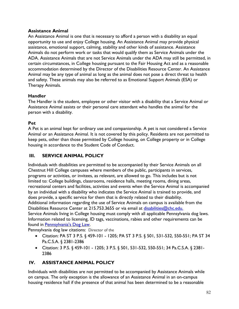## **Assistance Animal**

An Assistance Animal is one that is necessary to afford a person with a disability an equal opportunity to use and enjoy College housing. An Assistance Animal may provide physical assistance, emotional support, calming, stability and other kinds of assistance. Assistance Animals do not perform work or tasks that would qualify them as Service Animals under the ADA. Assistance Animals that are not Service Animals under the ADA may still be permitted, in certain circumstances, in College housing pursuant to the Fair Housing Act and as a reasonable accommodation determined by the Director of the Disabilities Resource Center. An Assistance Animal may be any type of animal as long as the animal does not pose a direct threat to health and safety. These animals may also be referred to as Emotional Support Animals (ESA) or Therapy Animals.

## **Handler**

The Handler is the student, employee or other visitor with a disability that a Service Animal or Assistance Animal assists or their personal care attendant who handles the animal for the person with a disability.

## **Pet**

A Pet is an animal kept for ordinary use and companionship. A pet is not considered a Service Animal or an Assistance Animal. It is not covered by this policy. Residents are not permitted to keep pets, other than those permitted by College housing, on College property or in College housing in accordance to the Student Code of Conduct.

## **III. SERVICE ANIMAL POLICY**

Individuals with disabilities are permitted to be accompanied by their Service Animals on all Chestnut Hill College campuses where members of the public, participants in services, programs or activities, or invitees, as relevant, are allowed to go. This includes but is not limited to: College buildings, classrooms, residence halls, meeting rooms, dining areas, recreational centers and facilities, activities and events when the Service Animal is accompanied by an individual with a disability who indicates the Service Animal is trained to provide, and does provide, a specific service for them that is directly related to their disability. Additional information regarding the use of Service Animals on campus is available from the Disabilities Resource Center at 215.753.3655 or via email at disabilities@chc.edu. Service Animals living in College housing must comply with all applicable Pennsylvania dog laws. Information related to licensing, ID tags, vaccinations, rabies and other requirements can be found in [Pennsylvania's Dog Law.](http://www.animallaw.info/statutes/stuspa3ps459_502.htm)

Pennsylvania dog law citations: Director of the

- Citation: PA ST 3 P.S. § 459-101 1205; PA ST 3 P.S. § 501, 531-532, 550-551; PA ST 34 Pa.C.S.A. § 2381-2386
- Citation: 3 P.S. § 459-101 1205; 3 P.S. § 501, 531-532, 550-551; 34 Pa.C.S.A. § 2381- 2386

## **IV. ASSISTANCE ANIMAL POLICY**

Individuals with disabilities are not permitted to be accompanied by Assistance Animals while on campus. The only exception is the allowance of an Assistance Animal in an on-campus housing residence hall if the presence of that animal has been determined to be a reasonable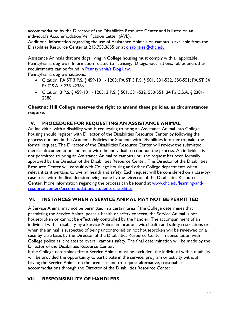accommodation by the Director of the Disabilities Resource Center and is listed on an individual's Accommodation Verification Letter (AVL).

Additional information regarding the use of Assistance Animals on campus is available from the Disabilities Resource Center at 215.753.3655 or at disabilities@chc.edu

Assistance Animals that are dogs living in College housing must comply with all applicable Pennsylvania dog laws. Information related to licensing, ID tags, vaccinations, rabies and other requirements can be found in [Pennsylvania's Dog Law.](http://www.animallaw.info/statutes/stuspa3ps459_502.htm)

Pennsylvania dog law citations:

- Citation: PA ST 3 P.S. § 459-101 1205; PA ST 3 P.S. § 501, 531-532, 550-551; PA ST 34 Pa.C.S.A. § 2381-2386
- Citation: 3 P.S. § 459-101 1205; 3 P.S. § 501, 531-532, 550-551; 34 Pa.C.S.A. § 2381- 2386

## **Chestnut Hill College reserves the right to amend these policies, as circumstances require.**

## **V. PROCEDURE FOR REQUESTING AN ASSISTANCE ANIMAL**

An individual with a disability who is requesting to bring an Assistance Animal into College housing should register with Director of the Disabilities Resource Center by following the process outlined in the Academic Policies for Students with Disabilities in order to make the formal request. The Director of the Disabilities Resource Center will review the submitted medical documentation and meet with the individual to continue the process. An individual is not permitted to bring an Assistance Animal to campus until the request has been formally approved by the Director of the Disabilities Resource Center. The Director of the Disabilities Resource Center will consult with College housing and other College departments when relevant as it pertains to overall health and safety. Each request will be considered on a case-bycase basis with the final decision being made by the Director of the Disabilities Resource Center. More information regarding the process can be found at [www.chc.edu/learning-and](http://www.chc.edu/learning-and-resource-centers/accommodations-students-disabilities)[resource-centers/accommodations-students-disabilities.](http://www.chc.edu/learning-and-resource-centers/accommodations-students-disabilities)

## **VI. INSTANCES WHEN A SERVICE ANIMAL MAY NOT BE PERMITTED**

A Service Animal may not be permitted in a certain area if the College determines that permitting the Service Animal poses a health or safety concern, the Service Animal is not housebroken or cannot be effectively controlled by the handler. The accompaniment of an individual with a disability by a Service Animal in locations with health and safety restrictions or when the animal is suspected of being uncontrolled or not housebroken will be reviewed on a case-by-case basis by the Director of the Disabilities Resource Center in consultation with College police as it relates to overall campus safety. The final determination will be made by the Director of the Disabilities Resource Center.

If the College determines that a Service Animal must be excluded, the individual with a disability will be provided the opportunity to participate in the service, program or activity without having the Service Animal on the premises and to request alternative, reasonable accommodations through the Director of the Disabilities Resource Center.

## **VII. RESPONSIBILITY OF HANDLERS**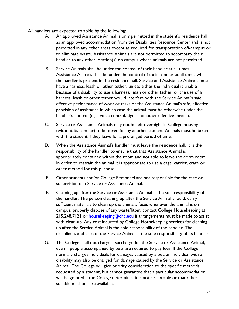All handlers are expected to abide by the following:

- A. An approved Assistance Animal is only permitted in the student's residence hall as an approved accommodation from the Disabilities Resource Center and is not permitted in any other areas except as required for transportation off-campus or to eliminate waste. Assistance Animals are not permitted to accompany their handler to any other location(s) on campus where animals are not permitted.
- B. Service Animals shall be under the control of their handler at all times. Assistance Animals shall be under the control of their handler at all times while the handler is present in the residence hall. Service and Assistance Animals must have a harness, leash or other tether, unless either the individual is unable because of a disability to use a harness, leash or other tether, or the use of a harness, leash or other tether would interfere with the Service Animal's safe, effective performance of work or tasks or the Assistance Animal's safe, effective provision of assistance in which case the animal must be otherwise under the handler's control (e.g., voice control, signals or other effective means).
- C. Service or Assistance Animals may not be left overnight in College housing (without its handler) to be cared for by another student. Animals must be taken with the student if they leave for a prolonged period of time.
- D. When the Assistance Animal's handler must leave the residence hall, it is the responsibility of the handler to ensure that that Assistance Animal is appropriately contained within the room and not able to leave the dorm room. In order to restrain the animal it is appropriate to use a cage, carrier, crate or other method for this purpose.
- E. Other students and/or College Personnel are not responsible for the care or supervision of a Service or Assistance Animal.
- F. Cleaning up after the Service or Assistance Animal is the sole responsibility of the handler. The person cleaning up after the Service Animal should: carry sufficient materials to clean up the animal's feces whenever the animal is on campus; properly dispose of any waste/litter; contact College Housekeeping at 215.248.7121 or [housekeeping@chc.edu](mailto:housekeeping@chc.edu) if arrangements must be made to assist with clean-up. Any cost incurred by College Housekeeping services for cleaning up after the Service Animal is the sole responsibility of the handler. The cleanliness and care of the Service Animal is the sole responsibility of its handler.
- G. The College shall not charge a surcharge for the Service or Assistance Animal, even if people accompanied by pets are required to pay fees. If the College normally charges individuals for damages caused by a pet, an individual with a disability may also be charged for damage caused by the Service or Assistance Animal. The College will give priority consideration to the specific methods requested by a student, but cannot guarantee that a particular accommodation will be granted if the College determines it is not reasonable or that other suitable methods are available.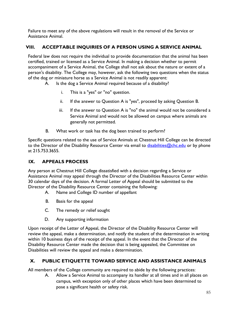Failure to meet any of the above regulations will result in the removal of the Service or Assistance Animal.

## **VIII. ACCEPTABLE INQUIRIES OF A PERSON USING A SERVICE ANIMAL**

Federal law does not require the individual to provide documentation that the animal has been certified, trained or licensed as a Service Animal. In making a decision whether to permit accompaniment of a Service Animal, the College shall not ask about the nature or extent of a person's disability. The College may, however, ask the following two questions when the status of the dog or miniature horse as a Service Animal is not readily apparent:

- A. Is the dog a Service Animal required because of a disability?
	- i. This is a "yes" or "no" question.
	- ii. If the answer to Question A is "yes", proceed by asking Question B.
	- iii. If the answer to Question A is "no" the animal would not be considered a Service Animal and would not be allowed on campus where animals are generally not permitted.
- B. What work or task has the dog been trained to perform?

Specific questions related to the use of Service Animals at Chestnut Hill College can be directed to the Director of the Disability Resource Center via email to  $disabilities@chc.edu$  or by phone at 215.753.3655.

# **IX. APPEALS PROCESS**

Any person at Chestnut Hill College dissatisfied with a decision regarding a Service or Assistance Animal may appeal through the Director of the Disabilities Resource Center within 30 calendar days of the decision. A formal Letter of Appeal should be submitted to the Director of the Disability Resource Center containing the following:

- A. Name and College ID number of appellant
- B. Basis for the appeal
- C. The remedy or relief sought
- D. Any supporting information

Upon receipt of the Letter of Appeal, the Director of the Disability Resource Center will review the appeal, make a determination, and notify the student of the determination in writing within 10 business days of the receipt of the appeal. In the event that the Director of the Disability Resource Center made the decision that is being appealed, the Committee on Disabilities will review the appeal and make a determination.

# **X. PUBLIC ETIQUETTE TOWARD SERVICE AND ASSISTANCE ANIMALS**

All members of the College community are required to abide by the following practices:

A. Allow a Service Animal to accompany its handler at all times and in all places on campus, with exception only of other places which have been determined to pose a significant health or safety risk.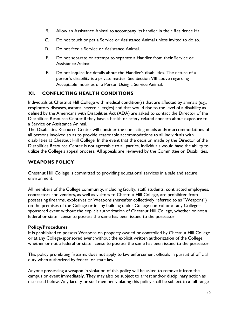- B. Allow an Assistance Animal to accompany its handler in their Residence Hall.
- C. Do not touch or pet a Service or Assistance Animal unless invited to do so.
- D. Do not feed a Service or Assistance Animal.
- E. Do not separate or attempt to separate a Handler from their Service or Assistance Animal.
- F. Do not inquire for details about the Handler's disabilities. The nature of a person's disability is a private matter. See Section VIII above regarding Acceptable Inquiries of a Person Using a Service Animal.

## **XI. CONFLICTING HEALTH CONDITIONS**

Individuals at Chestnut Hill College with medical condition(s) that are affected by animals (e.g., respiratory diseases, asthma, severe allergies) and that would rise to the level of a disability as defined by the Americans with Disabilities Act (ADA) are asked to contact the Director of the Disabilities Resource Center if they have a health or safety related concern about exposure to a Service or Assistance Animal.

The Disabilities Resource Center will consider the conflicting needs and/or accommodations of all persons involved so as to provide reasonable accommodations to all individuals with disabilities at Chestnut Hill College. In the event that the decision made by the Director of the Disabilities Resource Center is not agreeable to all parties, individuals would have the ability to utilize the College's appeal process. All appeals are reviewed by the Committee on Disabilities.

## **WEAPONS POLICY**

Chestnut Hill College is committed to providing educational services in a safe and secure environment.

All members of the College community, including faculty, staff, students, contracted employees, contractors and vendors, as well as visitors to Chestnut Hill College, are prohibited from possessing firearms, explosives or Weapons (hereafter collectively referred to as "Weapons") on the premises of the College or in any building under College control or at any College– sponsored event without the explicit authorization of Chestnut Hill College, whether or not a federal or state license to possess the same has been issued to the possessor.

## **Policy/Procedures**

It is prohibited to possess Weapons on property owned or controlled by Chestnut Hill College or at any College-sponsored event without the explicit written authorization of the College, whether or not a federal or state license to possess the same has been issued to the possessor.

This policy prohibiting firearms does not apply to law enforcement officials in pursuit of official duty when authorized by federal or state law.

Anyone possessing a weapon in violation of this policy will be asked to remove it from the campus or event immediately. They may also be subject to arrest and/or disciplinary action as discussed below. Any faculty or staff member violating this policy shall be subject to a full range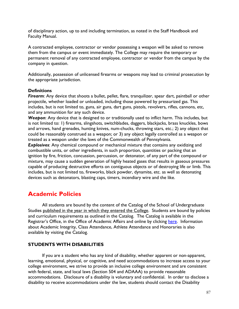of disciplinary action, up to and including termination, as noted in the Staff Handbook and Faculty Manual.

A contracted employee, contractor or vendor possessing a weapon will be asked to remove them from the campus or event immediately. The College may require the temporary or permanent removal of any contracted employee, contractor or vendor from the campus by the company in question.

Additionally, possession of unlicensed firearms or weapons may lead to criminal prosecution by the appropriate jurisdiction.

#### **Definitions**

*Firearm*: Any device that shoots a bullet, pellet, flare, tranquilizer, spear dart, paintball or other projectile, whether loaded or unloaded, including those powered by pressurized gas. This includes, but is not limited to, guns, air guns, dart guns, pistols, revolvers, rifles, cannons, etc, and any ammunition for any such device.

*Weapon*: Any device that is designed to or traditionally used to inflict harm. This includes, but is not limited to: 1) firearms, slingshots, switchblades, daggers, blackjacks, brass knuckles, bows and arrows, hand grenades, hunting knives, num-chucks, throwing stars, etc.; 2) any object that could be reasonably construed as a weapon; or 3) any object legally controlled as a weapon or treated as a weapon under the laws of the Commonwealth of Pennsylvania.

*Explosives*: Any chemical compound or mechanical mixture that contains any oxidizing and combustible units, or other ingredients, in such proportion, quantities or packing that an ignition by fire, friction, concussion, percussion, or detonator, of any part of the compound or mixture, may cause a sudden generation of highly heated gases that results in gaseous pressures capable of producing destructive efforts on contiguous objects or of destroying life or limb. This includes, but is not limited to, fireworks, black powder, dynamite, etc. as well as detonating devices such as detonators, blasting caps, timers, incendiary wire and the like.

# **Academic Policies**

All students are bound by the content of the Catalog of the School of Undergraduate Studies published in the year in which they entered the College. Students are bound by policies and curriculum requirements as outlined in the Catalog. The Catalog is available in the Registrar's Office, in the Office of Academic Affairs and online by clicking [here.](http://www.chc.edu/Undergraduate/Services/Registrar/) Information about Academic Integrity, Class Attendance, Athlete Attendance and Honoraries is also available by visiting the Catalog.

## **STUDENTS WITH DISABILITIES**

If you are a student who has any kind of disability, whether apparent or non-apparent, learning, emotional, physical, or cognitive, and need accommodations to increase access to your college environment, we strive to provide an inclusive college environment and are consistent with federal, state, and local laws (Section 504 and ADAAA) to provide reasonable accommodations. Disclosure of a disability is voluntary and confidential. In order to disclose a disability to receive accommodations under the law, students should contact the Disability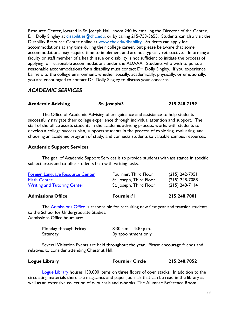Resource Center, located in St. Joseph Hall, room 240 by emailing the Director of the Center, Dr. Dolly Singley at [disabilities@chc.edu,](mailto:disabilities@chc.edu) or by calling 215-753-3655. Students can also visit the Disability Resource Center online at [www.chc.edu/disability.](http://www.chc.edu/disability) Students can apply for accommodations at any time during their college career, but please be aware that some accommodations may require time to implement and are not typically retroactive. Informing a faculty or staff member of a health issue or disability is not sufficient to initiate the process of applying for reasonable accommodations under the ADAAA. Students who wish to pursue reasonable accommodations for a disability must contact Dr. Dolly Singley. If you experience barriers to the college environment, whether socially, academically, physically, or emotionally, you are encouraged to contact Dr. Dolly Singley to discuss your concerns.

## *ACADEMIC SERVICES*

| <b>Academic Advising</b><br>St. Joseph/3 |
|------------------------------------------|
|------------------------------------------|

The Office of Academic Advising offers guidance and assistance to help students successfully navigate their college experience through individual attention and support. The staff of the office assists students in the academic advising process, works with students to develop a college success plan, supports students in the process of exploring, evaluating, and choosing an academic program of study, and connects students to valuable campus resources.

#### **Academic Support Services**

The goal of Academic Support Services is to provide students with assistance in specific subject areas and to offer students help with writing tasks.

| <b>Admissions Office</b>                                                                     | <b>Fournier/I</b>                                                           | 215.248.7001                                             |
|----------------------------------------------------------------------------------------------|-----------------------------------------------------------------------------|----------------------------------------------------------|
| Foreign Language Resource Center<br><b>Math Center</b><br><b>Writing and Tutoring Center</b> | Fournier, Third Floor<br>St. Joseph, Third Floor<br>St. Joseph, Third Floor | $(215)$ 242-7951<br>$(215)$ 248-7088<br>$(215)$ 248-7114 |
|                                                                                              |                                                                             |                                                          |

The **Admissions Office** is responsible for recruiting new first year and transfer students to the School for Undergraduate Studies. Admissions Office hours are:

| Monday through Friday | 8:30 a.m. - 4:30 p.m. |
|-----------------------|-----------------------|
| Saturday              | By appointment only   |

Several Visitation Events are held throughout the year. Please encourage friends and relatives to consider attending Chestnut Hill!

| Logue Library | <b>Fournier Circle</b> | 215.248.7052 |
|---------------|------------------------|--------------|
|               |                        |              |

[Logue Library](http://www.chc.edu/Facilities/Logue_Library/) houses 130,000 items on three floors of open stacks. In addition to the circulating materials there are magazines and paper journals that can be read in the library as well as an extensive collection of e-journals and e-books. The Alumnae Reference Room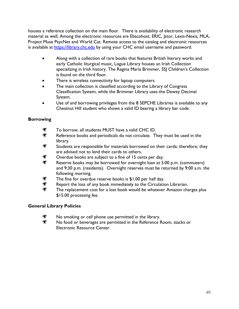houses a reference collection on the main floor. There is availability of electronic research material as well. Among the electronic resources are Ebscohost, ERIC, Jstor, Lexis-Nexis, MLA, Project Muse PsycNet and World Cat. Remote access to the catalog and electronic resources is available at [https://library.chc.edu](https://library.chc.edu/) by using your CHC email username and password.

- Along with a collection of rare books that features British literary works and early Catholic liturgical music, Logue Library houses an Irish Collection specializing in Irish history. The Regina Maria Brimmer, SSJ Children's Collection is found on the third floor.
- There is wireless connectivity for laptop computers.
- The main collection is classified according to the Library of Congress Classification System, while the Brimmer Library uses the Dewey Decimal System.
- Use of and borrowing privileges from the 8 SEPCHE Libraries is available to any Chestnut Hill student who shows a valid ID bearing a library bar code.

## **Borrowing**

- 灣 To borrow, all students MUST have a valid CHC ID.
- ₩ Reference books and periodicals do not circulate. They must be used in the library.
- \* Students are responsible for materials borrowed on their cards; therefore, they are advised not to lend their cards to others.
- ₩ Overdue books are subject to a fine of 15 cents per day.
- Reserve books may be borrowed for overnight loan at 5:00 p.m. (commuters) and 9:30 p.m. (residents). Overnight reserves must be returned by 9:00 a.m. the following morning.
- 为 The fine for overdue reserve books is \$1.00 per half day.
- ח Report the loss of any book immediately to the Circulation Librarian.
- ₩ The replacement cost for a lost book would be whatever Amazon charges plus \$15.00 processing fee.

## **General Library Policies**

- 灣 No smoking or cell phone use permitted in the library.
- 米 No food or beverages are permitted in the Reference Room, stacks or Electronic Resource Center.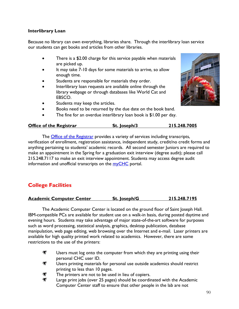## **Interlibrary Loan**

Because no library can own everything, libraries share. Through the interlibrary loan service our students can get books and articles from other libraries.

- There is a \$2.00 charge for this service payable when materials are picked up.
- It may take 7-10 days for some materials to arrive, so allow enough time.
- Students are responsible for materials they order.
- Interlibrary loan requests are available online through the library webpage or through databases like World Cat and EBSCO.
- Students may keep the articles.
- Books need to be returned by the due date on the book band.
- The fine for an overdue interlibrary loan book is  $$1.00$  per day.

| <b>Office of the Registrar</b> | St. Joseph/3 | 215.248.7005 |
|--------------------------------|--------------|--------------|
|                                |              |              |

The **Office of the Registrar** provides a variety of services including transcripts, verification of enrollment, registration assistance, independent study, credit/no credit forms and anything pertaining to students' academic records. All second semester Juniors are required to make an appointment in the Spring for a graduation exit interview (degree audit); please call 215.248.7117 to make an exit interview appointment. Students may access degree audit information and unofficial transcripts on the [myCHC](http://my.chc.edu/ics) portal.

# **College Facilities**

**Academic Computer Center St. Joseph/G 215.248.7195**

The Academic Computer Center is located on the ground floor of Saint Joseph Hall. IBM-compatible PCs are available for student use on a walk-in basis, during posted daytime and evening hours. Students may take advantage of major state-of-the-art software for purposes such as word processing, statistical analysis, graphics, desktop publication, database manipulation, web page editing, web browsing over the Internet and e-mail. Laser printers are available for high quality printed work related to academics. However, there are some restrictions to the use of the printers:

- $\mathbf{H}$ Users must log onto the computer from which they are printing using their personal CHC user ID.
- ₩ Users printing materials for personal use outside academics should restrict printing to less than 10 pages.
- The printers are not to be used in lieu of copiers.
- ₩ Large print jobs (over 25 pages) should be coordinated with the Academic Computer Center staff to ensure that other people in the lab are not

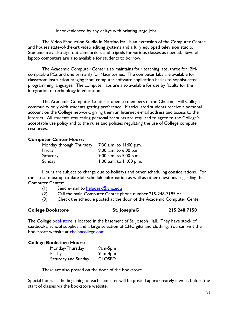inconvenienced by any delays with printing large jobs.

The Video Production Studio in Martino Hall is an extension of the Computer Center and houses state-of-the-art video editing systems and a fully equipped television studio. Students may also sign out camcorders and tripods for various classes as needed. Several laptop computers are also available for students to borrow.

The Academic Computer Center also maintains four teaching labs, three for IBMcompatible PCs and one primarily for Macintoshes. The computer labs are available for classroom instruction ranging from computer software application basics to sophisticated programming languages. The computer labs are also available for use by faculty for the integration of technology in education.

The Academic Computer Center is open to members of the Chestnut Hill College community only with students getting preference. Matriculated students receive a personal account on the College network, giving them an Internet e-mail address and access to the Internet. All students requesting personal accounts are required to agree to the College's acceptable use policy and to the rules and policies regulating the use of College computer resources.

## **Computer Center Hours:**

| Monday through Thursday | 7:30 a.m. to 11:00 p.m.   |
|-------------------------|---------------------------|
| Friday                  | 9:00 a.m. to 6:00 p.m.    |
| Saturday                | 9:00 a.m. to $5:00$ p.m.  |
| Sunday                  | 1:00 p.m. to $11:00$ p.m. |

Hours are subject to change due to holidays and other scheduling considerations. For the latest, most up-to-date lab schedule information as well as other questions regarding the Computer Center:

- (1) Send e-mail to  $helpdesk@chc.edu$
- (2) Call the main Computer Center phone number 215-248-7195 or
- (3) Check the schedule posted at the door of the Academic Computer Center

| <b>College Bookstore</b> | St. Joseph/G | 215.248.7150 |
|--------------------------|--------------|--------------|
|                          |              |              |

The College **bookstore** is located in the basement of St. Joseph Hall. They have stock of textbooks, school supplies and a large selection of CHC gifts and clothing. You can visit the bookstore website at [chc.bncollege.com.](http://chc.bncollege.com/webapp/wcs/stores/servlet/BNCBHomePage?storeId=86737&catalogId=10001&langId=-1)

#### **College Bookstore Hours:**

| Monday-Thursday     | 9am-5pm       |
|---------------------|---------------|
| Friday              | 9am-4pm       |
| Saturday and Sunday | <b>CLOSED</b> |

These are also posted on the door of the bookstore.

Special hours at the beginning of each semester will be posted approximately a week before the start of classes via the bookstore website.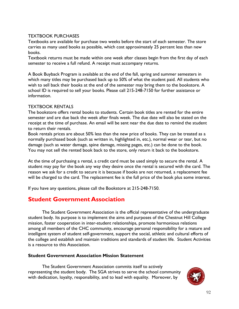## TEXTBOOK PURCHASES

Textbooks are available for purchase two weeks before the start of each semester. The store carries as many used books as possible, which cost approximately 25 percent less than new books.

Textbook returns must be made within one week after classes begin from the first day of each semester to receive a full refund. A receipt must accompany returns.

A Book Buyback Program is available at the end of the fall, spring and summer semesters in which many titles may be purchased back up to 50% of what the student paid. All students who wish to sell back their books at the end of the semester may bring them to the bookstore. A school ID is required to sell your books. Please call 215-248-7150 for further assistance or information.

## TEXTBOOK RENTALS

The bookstore offers rental books to students. Certain book titles are rented for the entire semester and are due back the week after finals week. The due date will also be stated on the receipt at the time of purchase. An email will be sent near the due date to remind the student to return their rentals.

Book rentals prices are about 50% less than the new price of books. They can be treated as a normally purchased book (such as written in, highlighted in, etc.), normal wear or tear, but no damage (such as water damage, spine damage, missing pages, etc.) can be done to the book. You may not sell the rented book back to the store, only return it back to the bookstore.

At the time of purchasing a rental, a credit card must be used simply to secure the rental. A student may pay for the book any way they desire once the rental is secured with the card. The reason we ask for a credit to secure it is because if books are not returned, a replacement fee will be charged to the card. The replacement fee is the full price of the book plus some interest.

If you have any questions, please call the Bookstore at 215-248-7150.

# **Student Government Association**

The Student Government Association is the official representative of the undergraduate student body. Its purpose is to implement the aims and purposes of the Chestnut Hill College mission, foster cooperation in inter-student relationships, promote harmonious relations among all members of the CHC community, encourage personal responsibility for a mature and intelligent system of student self-government, support the social, athletic and cultural efforts of the college and establish and maintain traditions and standards of student life. Student Activities is a resource to this Association.

## **Student Government Association Mission Statement**

The Student Government Association commits itself to actively representing the student body. The SGA strives to serve the school community with dedication, loyalty, responsibility, and to lead with equality. Moreover, by

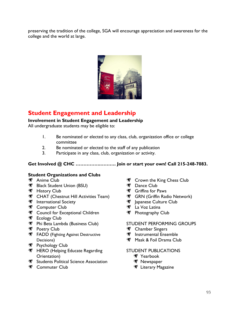preserving the tradition of the college, SGA will encourage appreciation and awareness for the college and the world at large.



# **Student Engagement and Leadership**

## **Involvement in Student Engagement and Leadership**

All undergraduate students may be eligible to:

- 1. Be nominated or elected to any class, club, organization office or college committee
- 2. Be nominated or elected to the staff of any publication
- 3. Participate in any class, club, organization or activity.

## **Get Involved @ CHC …………….………. Join or start your own! Call 215-248-7083.**

## **Student Organizations and Clubs**

- **※ Anime Club**
- **Black Student Union (BSU)**
- **W** History Club
- **THE CHAT (Chestnut Hill Activities Team)**
- **International Society**
- **SEXT** Computer Club
- **SECOUNCIL FOR EXCEPTIONAL CHILDREN**
- **Fig. Ecology Club**
- Phi Beta Lambda (Business Club)
- **Poetry Club**
- **W** FADD (Fighting Against Destructive Decisions)
- **Psychology Club**
- **HERO (Helping Educate Regarding** Orientation)
- Students Political Science Association
- **※ Commuter Club**
- **SEXT** Crown the King Chess Club
- **W** Dance Club
- **W** Griffins for Paws
- **M** GRN (Griffin Radio Network)
- **M** lapanese Culture Club
- La Voz Latina
- Photography Club

## STUDENT PERFORMING GROUPS

- **Solution** Chamber Singers
- **Instrumental Ensemble**
- Mask & Foil Drama Club

#### STUDENT PUBLICATIONS

- **※ Yearbook**
- **W** Newspaper
- **W** Literary Magazine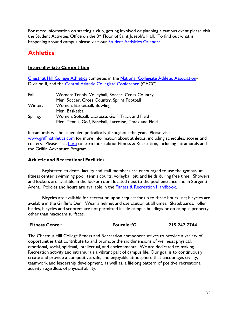For more information on starting a club, getting involved or planning a campus event please visit the Student Activities Office on the 3<sup>rd</sup> Floor of Saint Joseph's Hall. To find out what is happening around campus please visit our [Student Activities Calendar.](http://www.chc.edu/undergraduate/Student_Life/student_activities/)

# **Athletics**

## **Intercollegiate Competition**

[Chestnut Hill College](http://www.griffinathletics.com/) Athletics competes in the [National Collegiate Athletic Association-](http://www.ncaa.com/)Division II, and the [Central Atlantic Collegiate Conference](http://www.caccathletics.org/landing/index) (CACC)

| Fall:   | Women: Tennis, Volleyball, Soccer, Cross Country       |  |  |
|---------|--------------------------------------------------------|--|--|
|         | Men: Soccer, Cross Country, Sprint Football            |  |  |
| Winter: | Women: Basketball, Bowling                             |  |  |
|         | Men: Basketball                                        |  |  |
| Spring: | Women: Softball, Lacrosse, Golf. Track and Field       |  |  |
|         | Men: Tennis, Golf, Baseball, Lacrosse, Track and Field |  |  |

Intramurals will be scheduled periodically throughout the year. Please visit [www.griffinathletics.com](http://www.griffinathletics.com/) for more information about athletics, including schedules, scores and rosters. Please click [here](http://www.griffinathletics.com/sports/2009/12/7/GEN_1207095301.aspx?id=4) to learn more about Fitness & Recreation, including intramurals and the Griffin Adventure Program.

## **Athletic and Recreational Facilities**

Registered students, faculty and staff members are encouraged to use the gymnasium, fitness center, swimming pool, tennis courts, volleyball pit, and fields during free time. Showers and lockers are available in the locker room located next to the pool entrance and in Sorgenti Arena. Policies and hours are available in the [Fitness & Recreation Handbook.](http://griffinathletics.com/documents/2011/9/29/Chestnut_Hill_College_Fitness_Recreation_Handbook.pdf?id=138)

Bicycles are available for recreation upon request for up to three hours use; bicycles are available in the Griffin's Den. Wear a helmet and use caution at all times. Skateboards, roller blades, bicycles and scooters are not permitted inside campus buildings or on campus property other than macadam surfaces.

| <b>Fitness Center</b> | <b>Fournier/G</b> | 215.242.7744 |
|-----------------------|-------------------|--------------|
|                       |                   |              |

The Chestnut Hill College Fitness and Recreation component strives to provide a variety of opportunities that contribute to and promote the six dimensions of wellness; physical, emotional, social, spiritual, intellectual, and environmental. We are dedicated to making Recreation activity and intramurals a vibrant part of campus life. Our goal is to continuously create and provide a competitive, safe, and enjoyable atmosphere that encourages civility, teamwork and leadership development, as well as, a lifelong pattern of positive recreational activity regardless of physical ability.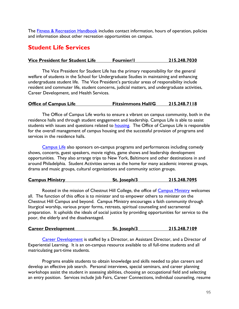The **Fitness & Recreation Handbook** includes contact information, hours of operation, policies and information about other recreation opportunities on campus.

# **Student Life Services**

## **Vice President for Student Life Fournier/1 215.248.7030**

The Vice President for Student Life has the primary responsibility for the general welfare of students in the School for Undergraduate Studies in maintaining and enhancing undergraduate student life. The Vice President's particular areas of responsibility include resident and commuter life, student concerns, judicial matters, and undergraduate activities, Career Development, and Health Services.

#### **Office of Campus Life Fitzsimmons Hall/G 215.248.7118**

The Office of Campus Life works to ensure a vibrant on campus community, both in the residence halls and through student engagement and leadership. Campus Life is able to assist students with issues and questions related to **housing**. The Office of Campus Life is responsible for the overall management of campus housing and the successful provision of programs and services in the residence halls.

[Campus](http://www.chc.edu/undergraduate/Student_Life/student_activities/) Life also sponsors on-campus programs and performances including comedy shows, concerts, guest speakers, movie nights, game shows and leadership development opportunities. They also arrange trips to New York, Baltimore and other destinations in and around Philadelphia. Student Activities serves as the home for many academic interest groups, drama and music groups, cultural organizations and community action groups.

| <b>Campus Ministry</b> | St. Joseph/3 | 215.248.7095 |
|------------------------|--------------|--------------|
|                        |              |              |

Rooted in the mission of Chestnut Hill College, the office of [Campus Ministry](http://www.chc.edu/Mission_and_Ministry/Campus_Ministry/) welcomes all. The function of this office is to minister and to empower others to minister on the Chestnut Hill Campus and beyond. Campus Ministry encourages a faith community through liturgical worship, various prayer forms, retreats, spiritual counseling and sacramental preparation. It upholds the ideals of social justice by providing opportunities for service to the poor, the elderly and the disadvantaged.

| <b>Career Development</b> | St. Joseph/3 | 215.248.7109 |
|---------------------------|--------------|--------------|
|                           |              |              |

[Career Development](http://www.chc.edu/Undergraduate/Services/Career_Development/) is staffed by a Director, an Assistant Director, and a Director of Experiential Learning. It is an on-campus resource available to all full-time students and all matriculating part-time students.

Programs enable students to obtain knowledge and skills needed to plan careers and develop an effective job search. Personal interviews, special seminars, and career planning workshops assist the student in assessing abilities, choosing an occupational field and selecting an entry position. Services include Job Fairs, Career Connections, individual counseling, resume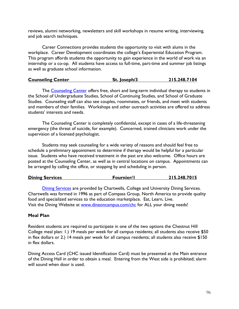reviews, alumni networking, newsletters and skill workshops in resume writing, interviewing, and job search techniques.

Career Connections provides students the opportunity to visit with alums in the workplace. Career Development coordinates the college's Experiential Education Program. This program affords students the opportunity to gain experience in the world of work via an internship or a co-op. All students have access to full-time, part-time and summer job listings as well as graduate school information.

### **Counseling Center St. Joseph/3 215.248.7104**

The [Counseling Center](http://www.chc.edu/undergraduate/services/Counseling_Center/) offers free, short and long-term individual therapy to students in the School of Undergraduate Studies, School of Continuing Studies, and School of Graduate Studies. Counseling staff can also see couples, roommates, or friends, and meet with students and members of their families. Workshops and other outreach activities are offered to address students' interests and needs.

The Counseling Center is completely confidential, except in cases of a life-threatening emergency (the threat of suicide, for example). Concerned, trained clinicians work under the supervision of a licensed psychologist.

Students may seek counseling for a wide variety of reasons and should feel free to schedule a preliminary appointment to determine if therapy would be helpful for a particular issue. Students who have received treatment in the past are also welcome. Office hours are posted at the Counseling Center, as well as in central locations on campus. Appointments can be arranged by calling the office, or stopping by and scheduling in person.

| <b>Dining Services</b> | <b>Fournier/I</b> | 215.248.7015 |
|------------------------|-------------------|--------------|
|                        |                   |              |

**[Dining Services](http://www.dineoncampus.com/chc) are provided by Chartwells, College and University Dining Services.** Chartwells was formed in 1996 as part of Compass Group, North America to provide quality food and specialized services to the education marketplace. Eat, Learn, Live. Visit the Dining Website at [www.dineoncampus.com/chc](http://www.dineoncampus.com/chc) for ALL your dining needs!

## **Meal Plan**

Resident students are required to participate in one of the two options the Chestnut Hill College meal plan: 1.) 19 meals per week for all campus residents; all students also receive \$50 in flex dollars or 2.) 14 meals per week for all campus residents; all students also receive \$150 in flex dollars.

Dining Access Card (CHC issued Identification Card) must be presented at the Main entrance of the Dining Hall in order to obtain a meal. Entering from the West side is prohibited; alarm will sound when door is used.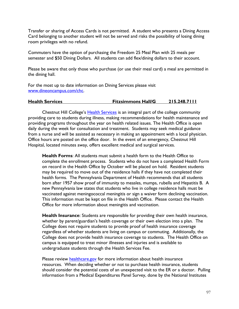Transfer or sharing of Access Cards is not permitted. A student who presents a Dining Access Card belonging to another student will not be served and risks the possibility of losing dining room privileges with no refund.

Commuters have the option of purchasing the Freedom 25 Meal Plan with 25 meals per semester and \$50 Dining Dollars. All students can add flex/dining dollars to their account.

Please be aware that only those who purchase (or use their meal card) a meal are permitted in the dining hall.

For the most up to date information on Dining Services please visit [www.dineoncampus.com/chc.](http://www.dineoncampus.com/chc)

## **Health Services Fitzsimmons Hall/G 215.248.7111**

Chestnut Hill College's [Health Services](http://www.chc.edu/undergraduate/services/Health_Services/) is an integral part of the college community providing care to students during illness, making recommendations for health maintenance and providing programs throughout the year on health related issues. The Health Office is open daily during the week for consultation and treatment. Students may seek medical guidance from a nurse and will be assisted as necessary in making an appointment with a local physician. Office hours are posted on the office door. In the event of an emergency, Chestnut Hill Hospital, located minutes away, offers excellent medical and surgical services.

**Health Forms**: All students must submit a health form to the Health Office to complete the enrollment process. Students who do not have a completed Health Form on record in the Health Office by October will be placed on hold. Resident students may be required to move out of the residence halls if they have not completed their health forms. The Pennsylvania Department of Health recommends that all students born after 1957 show proof of immunity to measles, mumps, rubella and Hepatitis B. A new Pennsylvania law states that students who live in college residence halls must be vaccinated against meningococcal meningitis or sign a waiver form declining vaccination. This information must be kept on file in the Health Office. Please contact the Health Office for more information about meningitis and vaccination.

**Health Insurance**: Students are responsible for providing their own health insurance, whether by parent/guardian's health coverage or their own election into a plan. The College does not require students to provide proof of health insurance coverage regardless of whether students are living on campus or commuting. Additionally, the College does not provide health insurance coverage to students. The Health Office on campus is equipped to treat minor illnesses and injuries and is available to undergraduate students through the Health Services Fee.

Please review **healthcare.gov** for more information about health insurance resources. When deciding whether or not to purchase health insurance, students should consider the potential costs of an unexpected visit to the ER or a doctor. Pulling information from a Medical Expenditures Panel Survey, done by the National Institutes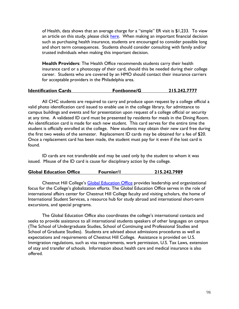of Health, data shows that an average charge for a "simple" ER visit is \$1,233. To view an article on this study, please click [here.](http://www.washingtonpost.com/blogs/wonkblog/wp/2013/03/02/an-average-er-visit-costs-more-than-an-average-months-rent/) When making an important financial decision such as purchasing health insurance, students are encouraged to consider possible long and short term consequences. Students should consider consulting with family and/or trusted individuals when making this important decision.

**Health Providers**: The Health Office recommends students carry their health insurance card or a photocopy of their card, should this be needed during their college career. Students who are covered by an HMO should contact their insurance carriers for acceptable providers in the Philadelphia area.

| 215.242.7777<br><b>Identification Cards</b><br>Fontbonne/G |
|------------------------------------------------------------|
|------------------------------------------------------------|

All CHC students are required to carry and produce upon request by a college official a valid photo identification card issued to enable use in the college library, for admittance to campus buildings and events and for presentation upon request of a college official or security at any time. A validated ID card must be presented by residents for meals in the Dining Room. An identification card is made for each new student. This card serves for the entire time the student is officially enrolled at the college. New students may obtain their new card free during the first two weeks of the semester. Replacement ID cards may be obtained for a fee of \$20. Once a replacement card has been made, the student must pay for it even if the lost card is found.

ID cards are not transferable and may be used only by the student to whom it was issued. Misuse of the ID card is cause for disciplinary action by the college.

| <b>Global Education Office</b> | <b>Fournier/I</b> | 215.242.7989 |
|--------------------------------|-------------------|--------------|
|--------------------------------|-------------------|--------------|

Chestnut Hill College's [Global Education Office](http://www.chc.edu/globaleducation/) provides leadership and organizational focus for the College's globalization efforts. The Global Education Office serves in the role of international affairs center for Chestnut Hill College faculty and visiting scholars, the home of International Student Services, a resource hub for study abroad and international short-term excursions, and special programs.

The Global Education Office also coordinates the college's international contacts and seeks to provide assistance to all international students speakers of other languages on campus (The School of Undergraduate Studies, School of Continuing and Professional Studies and School of Graduate Studies). Students are advised about admissions procedures as well as expectations and requirements of Chestnut Hill College. Assistance is provided on U.S. Immigration regulations, such as visa requirements, work permission, U.S. Tax Laws, extension of stay and transfer of schools. Information about health care and medical insurance is also offered.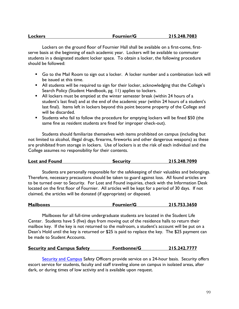| <b>Lockers</b> | <b>Fournier/G</b> | 215.248.7083 |
|----------------|-------------------|--------------|
|                |                   |              |

Lockers on the ground floor of Fournier Hall shall be available on a first-come, firstserve basis at the beginning of each academic year. Lockers will be available to commuter students in a designated student locker space. To obtain a locker, the following procedure should be followed:

- Go to the Mail Room to sign out a locker. A locker number and a combination lock will be issued at this time.
- All students will be required to sign for their locker, acknowledging that the College's Search Policy (Student Handbook, pg. 11) applies to lockers.
- All lockers must be emptied at the winter semester break (within 24 hours of a student's last final) and at the end of the academic year (within 24 hours of a student's last final). Items left in lockers beyond this point become property of the College and will be discarded.
- Students who fail to follow the procedure for emptying lockers will be fined \$50 (the same fine as resident students are fined for improper check-out).

Students should familiarize themselves with items prohibited on campus (including but not limited to alcohol, illegal drugs, firearms, fireworks and other dangerous weapons) as these are prohibited from storage in lockers. Use of lockers is at the risk of each individual and the College assumes no responsibility for their contents.

| <b>Lost and Found</b> | <b>Security</b> | 215.248.7090 |
|-----------------------|-----------------|--------------|
|                       |                 |              |

Students are personally responsible for the safekeeping of their valuables and belongings. Therefore, necessary precautions should be taken to guard against loss. All found articles are to be turned over to Security. For Lost and Found inquiries, check with the Information Desk located on the first floor of Fournier. All articles will be kept for a period of 30 days. If not claimed, the articles will be donated (if appropriate) or disposed.

| <b>Mailboxes</b> | <b>Fournier/G</b> | 215.753.3650 |
|------------------|-------------------|--------------|
|                  |                   |              |

Mailboxes for all full-time undergraduate students are located in the Student Life Center. Students have 5 (five) days from moving out of the residence halls to return their mailbox key. If the key is not returned to the mailroom, a student's account will be put on a Dean's Hold until the key is returned or \$25 is paid to replace the key. The \$25 payment can be made to Student Accounts.

| <b>Security and Campus Safety</b> | Fontbonne/G | 215.242.7777 |
|-----------------------------------|-------------|--------------|
|                                   |             |              |

[Security and Campus](http://www.chc.edu/sus_student_services.aspx?id=937) Safety Officers provide service on a 24-hour basis. Security offers escort service for students, faculty and staff traveling alone on campus in isolated areas, after dark, or during times of low activity and is available upon request.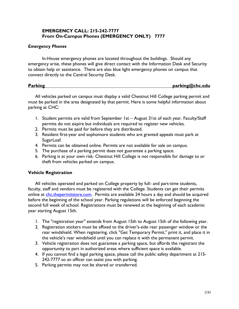## **EMERGENCY CALL: 215-242-7777 From On-Campus Phones (EMERGENCY ONLY) 7777**

## *Emergency Phones*

In-House emergency phones are located throughout the buildings. Should any emergency arise, these phones will give direct contact with the Information Desk and Security to obtain help or assistance. There are also blue light emergency phones on campus that connect directly to the Central Security Desk.

#### **Parking parking@chc.edu**

All vehicles parked on campus must display a valid Chestnut Hill College parking permit and must be parked in the area designated by that permit. Here is some helpful information about parking at CHC:

- 1. Student permits are valid from September 1st August 31st of each year. Faculty/Staff permits do not expire but individuals are required to register new vehicles.
- 2. Permits must be paid for before they are distributed.
- 3. Resident first-year and sophomore students who are granted appeals must park at SugarLoaf.
- 4. Permits can be obtained online. Permits are not available for sale on campus.
- 5. The purchase of a parking permit does not guarantee a parking space.
- 6. Parking is at your own risk. Chestnut Hill College is not responsible for damage to or theft from vehicles parked on campus.

## **Vehicle Registration**

All vehicles operated and parked on College property by full- and part-time students, faculty, staff and vendors must be registered with the College. Students can get their permits online at [chc.thepermitstore.com.](file:///C:/Users/baileyk/Documents/Student%20Handbook/2015-2016/chc.thepermitstore.com) Permits are available 24 hours a day and should be acquired before the beginning of the school year. Parking regulations will be enforced beginning the second full week of school. Registrations must be renewed at the beginning of each academic year starting August 15th.

- 1. The "registration year" extends from August 15th to August 15th of the following year.
- 2. Registration stickers must be affixed to the driver's-side rear passenger window or the rear windshield. When registering, click "Get Temporary Permit," print it, and place it in the vehicle's rear windshield until you can replace it with the permanent permit.
- 3. Vehicle registration does not guarantee a parking space, but affords the registrant the opportunity to part in authorized areas where sufficient space is available.
- 4. If you cannot find a legal parking space, please call the public safety department at 215- 242-7777 so an officer can assist you with parking.
- 5. Parking permits may not be shared or transferred.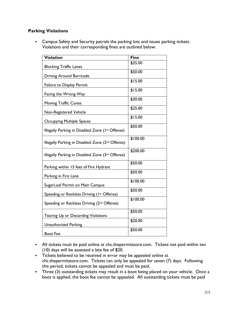## **Parking Violations**

**• Campus Safety and Security patrols the parking lots and issues parking tickets.** Violations and their corresponding fines are outlined below:

| <b>Violation</b>                                 | <b>Fine</b> |
|--------------------------------------------------|-------------|
|                                                  | \$35.00     |
| <b>Blocking Traffic Lanes</b>                    |             |
| Driving Around Barricade                         | \$50.00     |
| Failure to Display Permit                        | \$15.00     |
| Facing the Wrong Way                             | \$15.00     |
| <b>Moving Traffic Cones</b>                      | \$30.00     |
| Non-Registered Vehicle                           | \$25.00     |
| <b>Occupying Multiple Spaces</b>                 | \$15.00     |
| Illegally Parking in Disabled Zone (Ist Offense) | \$50.00     |
| Illegally Parking in Disabled Zone (2nd Offense) | \$100.00    |
| Illegally Parking in Disabled Zone (3rd Offense) | \$200.00    |
| Parking within 15 feet of Fire Hydrant           | \$50.00     |
| Parking in Fire Lane                             | \$50.00     |
| SugarLoaf Permit on Main Campus                  | \$100.00    |
| Speeding or Reckless Driving (1st Offense)       | \$50.00     |
| Speeding or Reckless Driving (2nd Offense)       | \$100.00    |
| Tearing Up or Discarding Violations              | \$50.00     |
| <b>Unauthorized Parking</b>                      | \$20.00     |
| <b>Boot Fee</b>                                  | \$50.00     |

- **•** All tickets must be paid online at chc.thepermitstore.com. Tickets not paid within ten (10) days will be assessed a late fee of \$20.
- Tickets believed to be received in error may be appealed online at chc.thepermitstore.com. Tickets can only be appealed for seven (7) days. Following this period, tickets cannot be appealed and must be paid.
- Three (3) outstanding tickets may result in a boot being placed on your vehicle. Once a boot is applied, the boot fee cannot be appealed. All outstanding tickets must be paid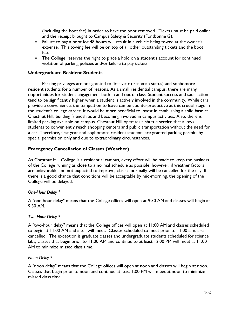(including the boot fee) in order to have the boot removed. Tickets must be paid online and the receipt brought to Campus Safety & Security (Fontbonne G).

- Failure to pay a boot for 48 hours will result in a vehicle being towed at the owner's expense. This towing fee will be on top of all other outstanding tickets and the boot fee.
- The College reserves the right to place a hold on a student's account for continued violation of parking policies and/or failure to pay tickets.

## **Undergraduate Resident Students**

Parking privileges are not granted to first-year (freshman status) and sophomore resident students for a number of reasons. As a small residential campus, there are many opportunities for student engagement both in and out of class. Student success and satisfaction tend to be significantly higher when a student is actively involved in the community. While cars provide a convenience, the temptation to leave can be counterproductive at this crucial stage in the student's college career. It would be more beneficial to invest in establishing a solid base at Chestnut Hill, building friendships and becoming involved in campus activities. Also, there is limited parking available on campus. Chestnut Hill operates a shuttle service that allows students to conveniently reach shopping centers and public transportation without the need for a car. Therefore, first year and sophomore resident students are granted parking permits by special permission only and due to extraordinary circumstances.

## **Emergency Cancellation of Classes (Weather)**

As Chestnut Hill College is a residential campus, every effort will be made to keep the business of the College running as close to a normal schedule as possible; however, if weather factors are unfavorable and not expected to improve, classes normally will be cancelled for the day. If there is a good chance that conditions will be acceptable by mid-morning, the opening of the College will be delayed.

#### *One-Hour Delay \**

A "one-hour delay" means that the College offices will open at 9:30 AM and classes will begin at 9:30 AM.

#### *Two-Hour Delay \**

A "two-hour delay" means that the College offices will open at 11:00 AM and classes scheduled to begin at 11:00 AM and after will meet. Classes scheduled to meet prior to 11:00 a.m. are cancelled. The exception is graduate classes and undergraduate students scheduled for science labs, classes that begin prior to 11:00 AM and continue to at least 12:00 PM will meet at 11:00 AM to minimize missed class time.

#### *Noon Delay \**

A "noon delay" means that the College offices will open at noon and classes will begin at noon. Classes that begin prior to noon and continue at least 1:00 PM will meet at noon to minimize missed class time.